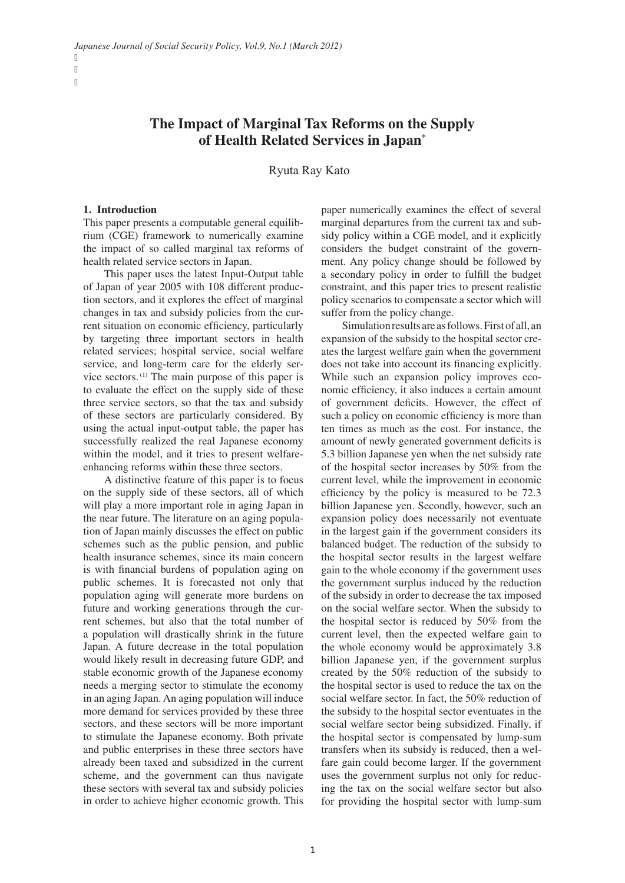ľ ľ ľ

# **The Impact of Marginal Tax Reforms on the Supply of Health Related Services in Japan\***

Ryuta Ray Kato

#### **1. Introduction**

This paper presents a computable general equilibrium (CGE) framework to numerically examine the impact of so called marginal tax reforms of health related service sectors in Japan.

This paper uses the latest Input-Output table of Japan of year 2005 with 108 different production sectors, and it explores the effect of marginal changes in tax and subsidy policies from the current situation on economic efficiency, particularly by targeting three important sectors in health related services; hospital service, social welfare service, and long-term care for the elderly service sectors. (1) The main purpose of this paper is to evaluate the effect on the supply side of these three service sectors, so that the tax and subsidy of these sectors are particularly considered. By using the actual input-output table, the paper has successfully realized the real Japanese economy within the model, and it tries to present welfareenhancing reforms within these three sectors.

A distinctive feature of this paper is to focus on the supply side of these sectors, all of which will play a more important role in aging Japan in the near future. The literature on an aging population of Japan mainly discusses the effect on public schemes such as the public pension, and public health insurance schemes, since its main concern is with financial burdens of population aging on public schemes. It is forecasted not only that population aging will generate more burdens on future and working generations through the current schemes, but also that the total number of a population will drastically shrink in the future Japan. A future decrease in the total population would likely result in decreasing future GDP, and stable economic growth of the Japanese economy needs a merging sector to stimulate the economy in an aging Japan. An aging population will induce more demand for services provided by these three sectors, and these sectors will be more important to stimulate the Japanese economy. Both private and public enterprises in these three sectors have already been taxed and subsidized in the current scheme, and the government can thus navigate these sectors with several tax and subsidy policies in order to achieve higher economic growth. This

paper numerically examines the effect of several marginal departures from the current tax and subsidy policy within a CGE model, and it explicitly considers the budget constraint of the government. Any policy change should be followed by a secondary policy in order to fulfill the budget constraint, and this paper tries to present realistic policy scenarios to compensate a sector which will suffer from the policy change.

Simulation results are as follows. First of all, an expansion of the subsidy to the hospital sector creates the largest welfare gain when the government does not take into account its financing explicitly. While such an expansion policy improves economic efficiency, it also induces a certain amount of government deficits. However, the effect of such a policy on economic efficiency is more than ten times as much as the cost. For instance, the amount of newly generated government deficits is 5.3 billion Japanese yen when the net subsidy rate of the hospital sector increases by 50% from the current level, while the improvement in economic efficiency by the policy is measured to be 72.3 billion Japanese yen. Secondly, however, such an expansion policy does necessarily not eventuate in the largest gain if the government considers its balanced budget. The reduction of the subsidy to the hospital sector results in the largest welfare gain to the whole economy if the government uses the government surplus induced by the reduction of the subsidy in order to decrease the tax imposed on the social welfare sector. When the subsidy to the hospital sector is reduced by 50% from the current level, then the expected welfare gain to the whole economy would be approximately 3.8 billion Japanese yen, if the government surplus created by the 50% reduction of the subsidy to the hospital sector is used to reduce the tax on the social welfare sector. In fact, the 50% reduction of the subsidy to the hospital sector eventuates in the social welfare sector being subsidized. Finally, if the hospital sector is compensated by lump-sum transfers when its subsidy is reduced, then a welfare gain could become larger. If the government uses the government surplus not only for reducing the tax on the social welfare sector but also for providing the hospital sector with lump-sum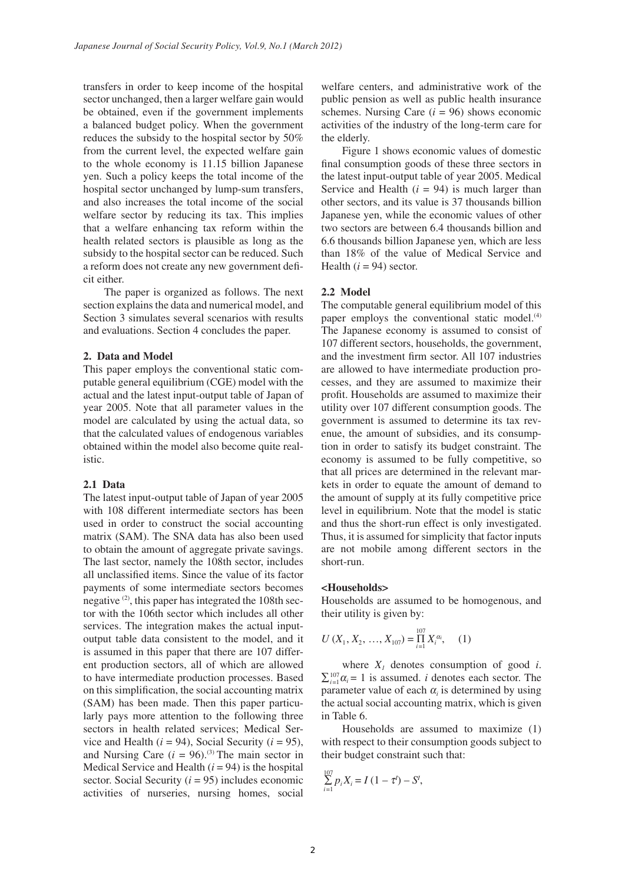transfers in order to keep income of the hospital sector unchanged, then a larger welfare gain would be obtained, even if the government implements a balanced budget policy. When the government reduces the subsidy to the hospital sector by 50% from the current level, the expected welfare gain to the whole economy is 11.15 billion Japanese yen. Such a policy keeps the total income of the hospital sector unchanged by lump-sum transfers, and also increases the total income of the social welfare sector by reducing its tax. This implies that a welfare enhancing tax reform within the health related sectors is plausible as long as the subsidy to the hospital sector can be reduced. Such a reform does not create any new government deficit either.

The paper is organized as follows. The next section explains the data and numerical model, and Section 3 simulates several scenarios with results and evaluations. Section 4 concludes the paper.

#### **2. Data and Model**

This paper employs the conventional static computable general equilibrium (CGE) model with the actual and the latest input-output table of Japan of year 2005. Note that all parameter values in the model are calculated by using the actual data, so that the calculated values of endogenous variables obtained within the model also become quite realistic.

#### **2.1 Data**

The latest input-output table of Japan of year 2005 with 108 different intermediate sectors has been used in order to construct the social accounting matrix (SAM). The SNA data has also been used to obtain the amount of aggregate private savings. The last sector, namely the 108th sector, includes all unclassified items. Since the value of its factor payments of some intermediate sectors becomes negative  $(2)$ , this paper has integrated the 108th sector with the 106th sector which includes all other services. The integration makes the actual inputoutput table data consistent to the model, and it is assumed in this paper that there are 107 different production sectors, all of which are allowed to have intermediate production processes. Based on this simplification, the social accounting matrix (SAM) has been made. Then this paper particularly pays more attention to the following three sectors in health related services; Medical Service and Health ( $i = 94$ ), Social Security ( $i = 95$ ), and Nursing Care  $(i = 96)$ .<sup>(3)</sup> The main sector in Medical Service and Health  $(i = 94)$  is the hospital sector. Social Security (*i* = 95) includes economic activities of nurseries, nursing homes, social

welfare centers, and administrative work of the public pension as well as public health insurance schemes. Nursing Care  $(i = 96)$  shows economic activities of the industry of the long-term care for the elderly.

Figure 1 shows economic values of domestic final consumption goods of these three sectors in the latest input-output table of year 2005. Medical Service and Health  $(i = 94)$  is much larger than other sectors, and its value is 37 thousands billion Japanese yen, while the economic values of other two sectors are between 6.4 thousands billion and 6.6 thousands billion Japanese yen, which are less than 18% of the value of Medical Service and Health  $(i = 94)$  sector.

### **2.2 Model**

The computable general equilibrium model of this paper employs the conventional static model.<sup>(4)</sup> The Japanese economy is assumed to consist of 107 different sectors, households, the government, and the investment firm sector. All 107 industries are allowed to have intermediate production processes, and they are assumed to maximize their profit. Households are assumed to maximize their utility over 107 different consumption goods. The government is assumed to determine its tax revenue, the amount of subsidies, and its consumption in order to satisfy its budget constraint. The economy is assumed to be fully competitive, so that all prices are determined in the relevant markets in order to equate the amount of demand to the amount of supply at its fully competitive price level in equilibrium. Note that the model is static and thus the short-run effect is only investigated. Thus, it is assumed for simplicity that factor inputs are not mobile among different sectors in the short-run.

#### **<Households>**

Households are assumed to be homogenous, and their utility is given by:

$$
U(X_1, X_2, ..., X_{107}) = \prod_{i=1}^{107} X_i^{\alpha_i}, \quad (1)
$$

 $\sum_{i=1}^{107} \alpha_i = 1$  is assumed. *i* denotes each sector. The where  $X_i$  denotes consumption of good  $i$ . parameter value of each  $\alpha$ <sub>i</sub> is determined by using the actual social accounting matrix, which is given in Table 6.

Households are assumed to maximize (1) with respect to their consumption goods subject to their budget constraint such that:

$$
\sum_{i=1}^{107} p_i X_i = I (1 - \tau^l) - S^l,
$$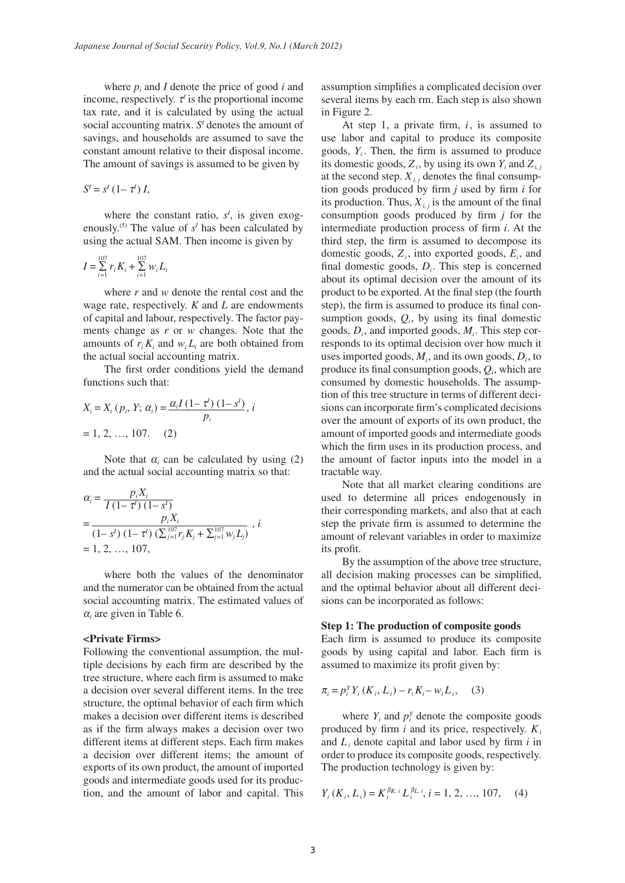where  $p_i$  and  $I$  denote the price of good  $i$  and income, respectively.  $\tau$ <sup>*i*</sup> is the proportional income tax rate, and it is calculated by using the actual social accounting matrix.  $S<sup>T</sup>$  denotes the amount of savings, and households are assumed to save the constant amount relative to their disposal income. The amount of savings is assumed to be given by

$$
S^{\prime} = s^{\prime} (1 - \tau^{\prime}) I,
$$

where the constant ratio,  $s<sup>I</sup>$ , is given exogenously.<sup>(5)</sup> The value of  $s<sup>I</sup>$  has been calculated by using the actual SAM. Then income is given by

$$
I = \sum_{i=1}^{107} r_i K_i + \sum_{i=1}^{107} w_i L_i
$$

where *r* and *w* denote the rental cost and the wage rate, respectively. *K* and *L* are endowments of capital and labour, respectively. The factor payments change as *r* or *w* changes. Note that the amounts of  $r_i K_i$  and  $w_i L_i$  are both obtained from the actual social accounting matrix.

The first order conditions yield the demand functions such that:

$$
X_i = X_i (p_i, Y; \alpha_i) = \frac{\alpha_i I (1 - \tau^i) (1 - s^i)}{p_i}, i
$$
  
= 1, 2, ..., 107. (2)

Note that  $\alpha_i$  can be calculated by using (2) and the actual social accounting matrix so that:

$$
\alpha_{i} = \frac{p_{i}X_{i}}{I(1-\tau^{l})(1-s^{l})}
$$
\n
$$
= \frac{p_{i}X_{i}}{(1-s^{l})(1-\tau^{l})(\sum_{j=1}^{107}r_{j}K_{j} + \sum_{j=1}^{107}w_{j}L_{j})}, i = 1, 2, ..., 107,
$$

where both the values of the denominator and the numerator can be obtained from the actual social accounting matrix. The estimated values of  $\alpha$ <sub>i</sub> are given in Table 6.

#### **<Private Firms>**

Following the conventional assumption, the multiple decisions by each firm are described by the tree structure, where each firm is assumed to make a decision over several different items. In the tree structure, the optimal behavior of each firm which makes a decision over different items is described as if the firm always makes a decision over two different items at different steps. Each firm makes a decision over different items; the amount of exports of its own product, the amount of imported goods and intermediate goods used for its production, and the amount of labor and capital. This

assumption simplifies a complicated decision over several items by each rm. Each step is also shown in Figure 2.

At step 1, a private firm, *i*, is assumed to use labor and capital to produce its composite goods, *Yi* . Then, the firm is assumed to produce its domestic goods,  $Z_i$ , by using its own  $Y_i$  and  $Z_{i,j}$ at the second step.  $X_{i,j}$  denotes the final consumption goods produced by firm *j* used by firm *i* for its production. Thus,  $X_{i,j}$  is the amount of the final consumption goods produced by firm *j* for the intermediate production process of firm *i*. At the third step, the firm is assumed to decompose its domestic goods,  $Z_i$ , into exported goods,  $E_i$ , and final domestic goods, *Di*. This step is concerned about its optimal decision over the amount of its product to be exported. At the final step (the fourth step), the firm is assumed to produce its final consumption goods, *Qi*, by using its final domestic goods, *Di*, and imported goods, *Mi*. This step corresponds to its optimal decision over how much it uses imported goods,  $M_i$ , and its own goods,  $D_i$ , to produce its final consumption goods, *Qi*, which are consumed by domestic households. The assumption of this tree structure in terms of different decisions can incorporate firm's complicated decisions over the amount of exports of its own product, the amount of imported goods and intermediate goods which the firm uses in its production process, and the amount of factor inputs into the model in a tractable way.

Note that all market clearing conditions are used to determine all prices endogenously in their corresponding markets, and also that at each step the private firm is assumed to determine the amount of relevant variables in order to maximize its profit.

By the assumption of the above tree structure, all decision making processes can be simplified, and the optimal behavior about all different decisions can be incorporated as follows:

#### **Step 1: The production of composite goods**

Each firm is assumed to produce its composite goods by using capital and labor. Each firm is assumed to maximize its profit given by:

$$
\pi_i = p_i^Y Y_i (K_i, L_i) - r_i K_i - w_i L_i, \quad (3)
$$

where  $Y_i$  and  $p_i^Y$  denote the composite goods produced by firm  $i$  and its price, respectively.  $K_i$ and  $L_i$  denote capital and labor used by firm  $i$  in order to produce its composite goods, respectively. The production technology is given by:

$$
Y_i(K_i, L_i) = K_i^{\beta K, i} L_i^{\beta L, i}, i = 1, 2, ..., 107, \quad (4)
$$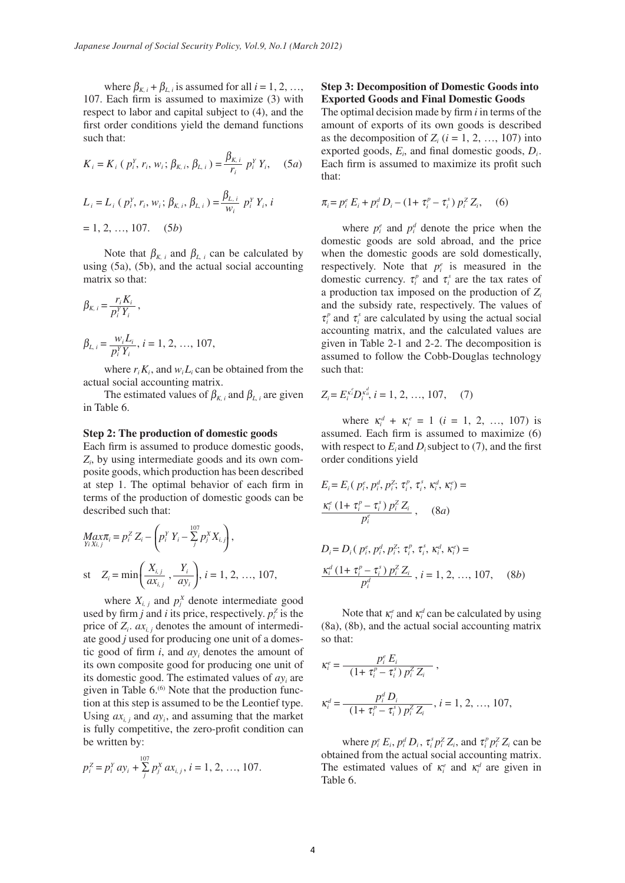where  $\beta_{K,i}$  +  $\beta_{L,i}$  is assumed for all  $i = 1, 2, ...,$ 107. Each firm is assumed to maximize (3) with respect to labor and capital subject to (4), and the first order conditions yield the demand functions such that:

$$
K_{i} = K_{i} (p_{i}^{Y}, r_{i}, w_{i}; \beta_{K, i}, \beta_{L, i}) = \frac{\beta_{K, i}}{r_{i}} p_{i}^{Y} Y_{i}, \quad (5a)
$$

$$
L_{i} = L_{i} (p_{i}^{Y}, r_{i}, w_{i}; \beta_{K, i}, \beta_{L, i}) = \frac{\beta_{L, i}}{w_{i}} p_{i}^{Y} Y_{i}, i
$$

$$
= 1, 2, ..., 107. \quad (5b)
$$

Note that  $\beta_{K,i}$  and  $\beta_{L,i}$  can be calculated by using (5a), (5b), and the actual social accounting matrix so that:

$$
\beta_{K, i} = \frac{r_i \mathbf{K}_i}{p_i^Y Y_i},
$$
\n
$$
\beta_{L, i} = \frac{w_i L_i}{p_i^Y Y_i}, i = 1, 2, ..., 107,
$$

*ri Ki*

where  $r_i K_i$ , and  $w_i L_i$  can be obtained from the actual social accounting matrix.

The estimated values of  $\beta_{K,i}$  and  $\beta_{L,i}$  are given in Table 6.

#### **Step 2: The production of domestic goods**

Each firm is assumed to produce domestic goods, *Zi* , by using intermediate goods and its own composite goods, which production has been described at step 1. The optimal behavior of each firm in terms of the production of domestic goods can be described such that:

$$
Max_{YiX_{i,j}} = p_i^Z Z_i - \left( p_i^Y Y_i - \sum_{j}^{107} p_j^X X_{i,j} \right),
$$
  
st  $Z_i = min \left( \frac{X_{i,j}}{ax_{i,j}}, \frac{Y_i}{ay_i} \right), i = 1, 2, ..., 107,$ 

where  $X_{i,j}$  and  $p_j^X$  denote intermediate good used by firm *j* and *i* its price, respectively.  $p_i^z$  is the price of  $Z_i$ .  $ax_i$ , denotes the amount of intermediate good *j* used for producing one unit of a domestic good of firm  $i$ , and  $a y_i$  denotes the amount of its own composite good for producing one unit of its domestic good. The estimated values of  $a y_i$  are given in Table 6.<sup>(6)</sup> Note that the production function at this step is assumed to be the Leontief type. Using  $ax_i$  *i* and  $ay_i$ , and assuming that the market is fully competitive, the zero-profit condition can be written by:

$$
p_i^Z = p_i^Y \, a y_i + \sum_{j}^{107} p_j^X \, a x_{i,j}, \, i = 1, \, 2, \, \dots, \, 107.
$$

#### **Step 3: Decomposition of Domestic Goods into Exported Goods and Final Domestic Goods**

The optimal decision made by firm *i* in terms of the amount of exports of its own goods is described as the decomposition of  $Z_i$  ( $i = 1, 2, ..., 107$ ) into exported goods,  $E_i$ , and final domestic goods,  $D_i$ . Each firm is assumed to maximize its profit such that:

$$
\pi_i = p_i^e E_i + p_i^d D_i - (1 + \tau_i^p - \tau_i^s) p_i^Z Z_i, \quad (6)
$$

where  $p_i^e$  and  $p_i^d$  denote the price when the domestic goods are sold abroad, and the price when the domestic goods are sold domestically, respectively. Note that  $p_i^e$  is measured in the domestic currency.  $\tau_i^p$  and  $\tau_i^s$  are the tax rates of a production tax imposed on the production of *Zi* and the subsidy rate, respectively. The values of  $\tau_i^p$  and  $\tau_i^s$  are calculated by using the actual social accounting matrix, and the calculated values are given in Table 2-1 and 2-2. The decomposition is assumed to follow the Cobb-Douglas technology such that:

$$
Z_i = E_i^{\kappa_i^e} D_i^{\kappa_{ii}^d}, \, i = 1, 2, \, \dots, \, 107, \quad (7)
$$

where  $\kappa_i^d + \kappa_i^e = 1$  (*i* = 1, 2, ..., 107) is assumed. Each firm is assumed to maximize (6) with respect to  $E_i$  and  $D_i$  subject to (7), and the first order conditions yield

$$
E_i = E_i (p_i^e, p_i^d, p_i^z; \tau_i^p, \tau_i^s, \kappa_i^d, \kappa_i^e) =
$$
  

$$
\frac{\kappa_i^e (1 + \tau_i^p - \tau_i^s) p_i^z Z_i}{p_i^e}, \quad (8a)
$$

$$
D_i = D_i (p_i^e, p_i^d, p_i^z; \tau_i^p, \tau_i^s, \kappa_i^d, \kappa_i^e) =
$$
  

$$
\frac{\kappa_i^d (1 + \tau_i^p - \tau_i^s) p_i^z Z_i}{p_i^d}, i = 1, 2, ..., 107, \quad (8b)
$$

Note that  $\kappa_i^e$  and  $\kappa_i^d$  can be calculated by using (8a), (8b), and the actual social accounting matrix so that:

$$
\kappa_i^e = \frac{p_i^e E_i}{(1 + \tau_i^p - \tau_i^s) p_i^Z Z_i},
$$
  
\n
$$
\kappa_i^d = \frac{p_i^d D_i}{(1 + \tau_i^p - \tau_i^s) p_i^Z Z_i}, i = 1, 2, ..., 107,
$$

where  $p_i^e E_i$ ,  $p_i^d D_i$ ,  $\tau_i^s p_i^z Z_i$ , and  $\tau_i^p p_i^z Z_i$  can be obtained from the actual social accounting matrix. The estimated values of  $\kappa_i^e$  and  $\kappa_i^d$  are given in Table 6.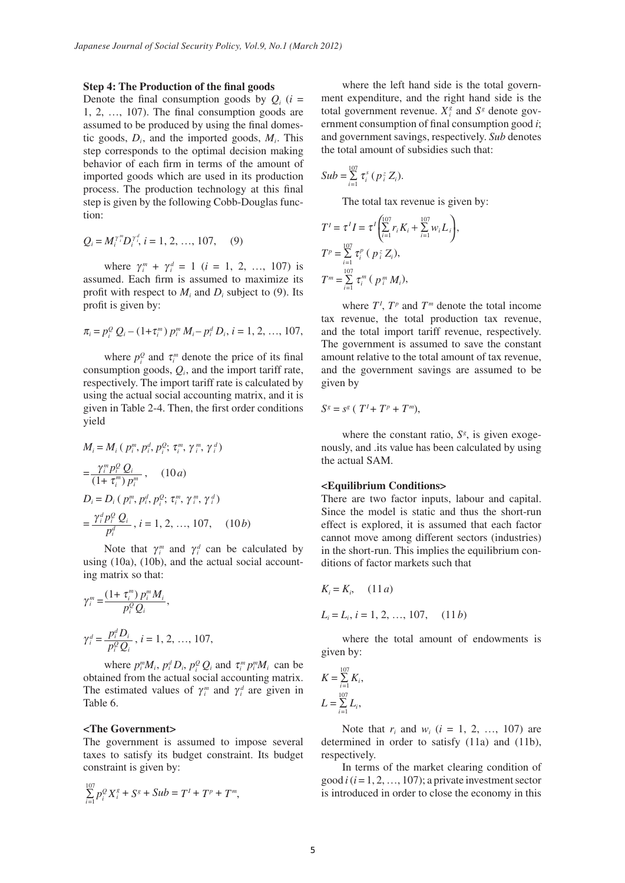#### **Step 4: The Production of the final goods**

Denote the final consumption goods by  $Q_i$  ( $i =$ 1, 2, …, 107). The final consumption goods are assumed to be produced by using the final domestic goods,  $D_i$ , and the imported goods,  $M_i$ . This step corresponds to the optimal decision making behavior of each firm in terms of the amount of imported goods which are used in its production process. The production technology at this final step is given by the following Cobb-Douglas function:

$$
Q_i = M_i^{\gamma_{ii}} D_i^{\gamma_{i}^{d}}, \, i = 1, 2, ..., 107, \quad (9)
$$

where  $\gamma_i^m + \gamma_i^d = 1$  (*i* = 1, 2, ..., 107) is assumed. Each firm is assumed to maximize its profit with respect to  $M_i$  and  $D_i$  subject to (9). Its profit is given by:

$$
\pi_i = p_i^Q Q_i - (1 + \tau_i^m) p_i^m M_i - p_i^d D_i, i = 1, 2, ..., 107,
$$

where  $p_i^Q$  and  $\tau_i^m$  denote the price of its final consumption goods, *Qi*, and the import tariff rate, respectively. The import tariff rate is calculated by using the actual social accounting matrix, and it is given in Table 2-4. Then, the first order conditions yield

$$
M_i = M_i \left( p_i^m, p_i^d, p_i^Q; \tau_i^m, \gamma_i^m, \gamma_i^d \right)
$$
  
= 
$$
\frac{\gamma_i^m p_i^Q Q_i}{(1 + \tau_i^m) p_i^m}, \quad (10a)
$$
  

$$
D_i = D_i \left( p_i^m, p_i^d, p_i^Q; \tau_i^m, \gamma_i^m, \gamma_i^d \right)
$$
  
= 
$$
\frac{\gamma_i^d p_i^Q Q_i}{p_i^d}, i = 1, 2, ..., 107, \quad (10b)
$$

Note that  $\gamma_i^m$  and  $\gamma_i^d$  can be calculated by using (10a), (10b), and the actual social accounting matrix so that:

$$
\gamma_i^m = \frac{(1 + \tau_i^m) p_i^m M_i}{p_i^Q Q_i},
$$
  

$$
\gamma_i^d = \frac{p_i^d D_i}{p_i^Q Q_i}, i = 1, 2, ..., 107,
$$

where  $p_i^m M_i$ ,  $p_i^d D_i$ ,  $p_i^Q Q_i$  and  $\tau_i^m p_i^m M_i$  can be obtained from the actual social accounting matrix. The estimated values of  $\gamma_i^m$  and  $\gamma_i^d$  are given in Table 6.

#### **<The Government>**

The government is assumed to impose several taxes to satisfy its budget constraint. Its budget constraint is given by:

$$
\sum_{i=1}^{107} p_i^{\mathcal{Q}} X_i^s + S^s + Sub = T^t + T^p + T^m,
$$

where the left hand side is the total government expenditure, and the right hand side is the total government revenue.  $X_i^g$  and  $S^g$  denote government consumption of final consumption good *i*; and government savings, respectively. *Sub* denotes the total amount of subsidies such that:

$$
Sub = \sum_{i=1}^{107} \tau_i^s (p_i^z Z_i).
$$

The total tax revenue is given by:

$$
T^{I} = \tau^{I} I = \tau^{I} \left( \sum_{i=1}^{107} r_{i} K_{i} + \sum_{i=1}^{107} w_{i} L_{i} \right),
$$
  
\n
$$
T^{p} = \sum_{i=1}^{107} \tau_{i}^{p} \left( p_{i}^{z} Z_{i} \right),
$$
  
\n
$$
T^{m} = \sum_{i=1}^{107} \tau_{i}^{m} \left( p_{i}^{m} M_{i} \right),
$$

where  $T^I$ ,  $T^p$  and  $T^m$  denote the total income tax revenue, the total production tax revenue, and the total import tariff revenue, respectively. The government is assumed to save the constant amount relative to the total amount of tax revenue, and the government savings are assumed to be given by

$$
S^g = s^g (T^I + T^p + T^m),
$$

where the constant ratio,  $S^g$ , is given exogenously, and .its value has been calculated by using the actual SAM.

#### **<Equilibrium Conditions>**

There are two factor inputs, labour and capital. Since the model is static and thus the short-run effect is explored, it is assumed that each factor cannot move among different sectors (industries) in the short-run. This implies the equilibrium conditions of factor markets such that

$$
K_i = K_i, \quad (11 a)
$$
  
\n
$$
L_i = L_i, i = 1, 2, ..., 107, \quad (11 b)
$$

where the total amount of endowments is given by:

$$
K = \sum_{i=1}^{107} K_i,
$$
  

$$
L = \sum_{i=1}^{107} L_i,
$$

Note that  $r_i$  and  $w_i$  ( $i = 1, 2, ..., 107$ ) are determined in order to satisfy (11a) and (11b), respectively.

In terms of the market clearing condition of good *i* (*i* = 1, 2, …, 107); a private investment sector is introduced in order to close the economy in this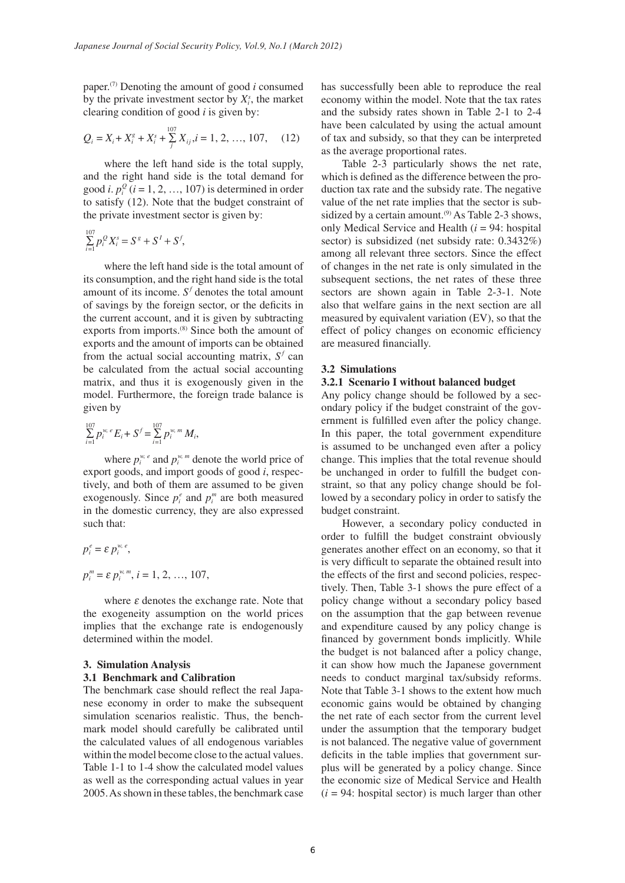paper.(7) Denoting the amount of good *i* consumed by the private investment sector by  $X_i^s$ , the market clearing condition of good *i* is given by:

$$
Q_i = X_i + X_i^s + X_i^s + \sum_{j}^{107} X_{ij}, i = 1, 2, ..., 107, \quad (12)
$$

where the left hand side is the total supply, and the right hand side is the total demand for good *i*.  $p_i^Q$  (*i* = 1, 2, …, 107) is determined in order to satisfy (12). Note that the budget constraint of the private investment sector is given by:

$$
\sum_{i=1}^{107} p_i^Q X_i^s = S^g + S^I + S^f,
$$

where the left hand side is the total amount of its consumption, and the right hand side is the total amount of its income.  $S<sup>f</sup>$  denotes the total amount of savings by the foreign sector, or the deficits in the current account, and it is given by subtracting exports from imports.<sup>(8)</sup> Since both the amount of exports and the amount of imports can be obtained from the actual social accounting matrix,  $S^f$  can be calculated from the actual social accounting matrix, and thus it is exogenously given in the model. Furthermore, the foreign trade balance is given by

$$
\sum_{i=1}^{107} p_i^{w_i} E_i + S^f = \sum_{i=1}^{107} p_i^{w_i m} M_i,
$$

where  $p_i^{w, e}$  and  $p_i^{w, m}$  denote the world price of export goods, and import goods of good *i*, respectively, and both of them are assumed to be given exogenously. Since  $p_i^e$  and  $p_i^m$  are both measured in the domestic currency, they are also expressed such that:

$$
p_i^e = \varepsilon p_i^{w,e},
$$
  
\n
$$
p_i^m = \varepsilon p_i^{w,m}, i = 1, 2, ..., 107,
$$

where  $\varepsilon$  denotes the exchange rate. Note that the exogeneity assumption on the world prices implies that the exchange rate is endogenously determined within the model.

### **3. Simulation Analysis 3.1 Benchmark and Calibration**

The benchmark case should reflect the real Japanese economy in order to make the subsequent simulation scenarios realistic. Thus, the benchmark model should carefully be calibrated until the calculated values of all endogenous variables within the model become close to the actual values. Table 1-1 to 1-4 show the calculated model values as well as the corresponding actual values in year 2005. As shown in these tables, the benchmark case has successfully been able to reproduce the real economy within the model. Note that the tax rates and the subsidy rates shown in Table 2-1 to 2-4 have been calculated by using the actual amount of tax and subsidy, so that they can be interpreted as the average proportional rates.

Table 2-3 particularly shows the net rate, which is defined as the difference between the production tax rate and the subsidy rate. The negative value of the net rate implies that the sector is subsidized by a certain amount.<sup> $(9)$ </sup> As Table 2-3 shows, only Medical Service and Health (*i* = 94: hospital sector) is subsidized (net subsidy rate: 0.3432%) among all relevant three sectors. Since the effect of changes in the net rate is only simulated in the subsequent sections, the net rates of these three sectors are shown again in Table 2-3-1. Note also that welfare gains in the next section are all measured by equivalent variation (EV), so that the effect of policy changes on economic efficiency are measured financially.

### **3.2 Simulations**

#### **3.2.1 Scenario I without balanced budget**

Any policy change should be followed by a secondary policy if the budget constraint of the government is fulfilled even after the policy change. In this paper, the total government expenditure is assumed to be unchanged even after a policy change. This implies that the total revenue should be unchanged in order to fulfill the budget constraint, so that any policy change should be followed by a secondary policy in order to satisfy the budget constraint.

However, a secondary policy conducted in order to fulfill the budget constraint obviously generates another effect on an economy, so that it is very difficult to separate the obtained result into the effects of the first and second policies, respectively. Then, Table 3-1 shows the pure effect of a policy change without a secondary policy based on the assumption that the gap between revenue and expenditure caused by any policy change is financed by government bonds implicitly. While the budget is not balanced after a policy change, it can show how much the Japanese government needs to conduct marginal tax/subsidy reforms. Note that Table 3-1 shows to the extent how much economic gains would be obtained by changing the net rate of each sector from the current level under the assumption that the temporary budget is not balanced. The negative value of government deficits in the table implies that government surplus will be generated by a policy change. Since the economic size of Medical Service and Health  $(i = 94:$  hospital sector) is much larger than other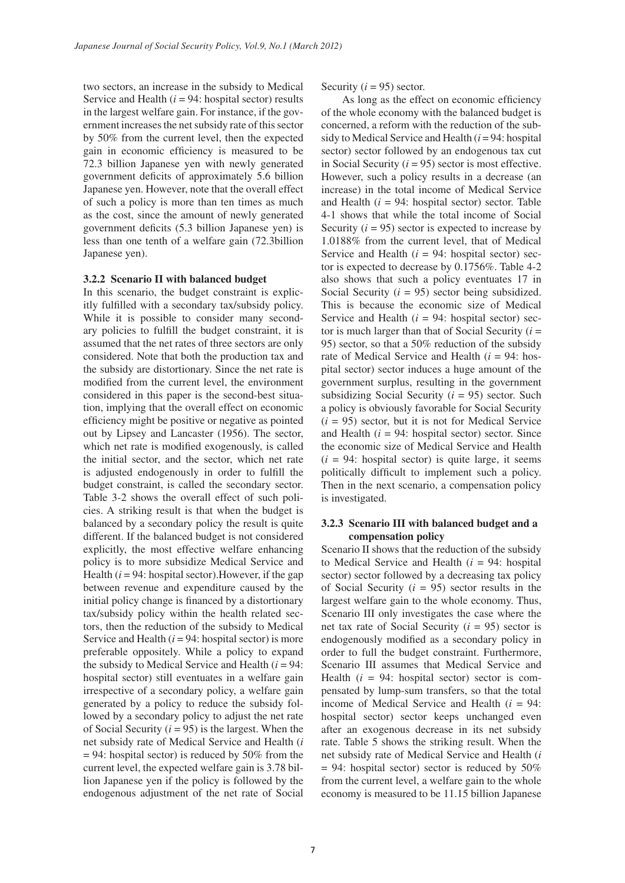two sectors, an increase in the subsidy to Medical Service and Health  $(i = 94$ : hospital sector) results in the largest welfare gain. For instance, if the government increases the net subsidy rate of this sector by 50% from the current level, then the expected gain in economic efficiency is measured to be 72.3 billion Japanese yen with newly generated government deficits of approximately 5.6 billion Japanese yen. However, note that the overall effect of such a policy is more than ten times as much as the cost, since the amount of newly generated government deficits (5.3 billion Japanese yen) is less than one tenth of a welfare gain (72.3billion Japanese yen).

#### **3.2.2 Scenario II with balanced budget**

In this scenario, the budget constraint is explicitly fulfilled with a secondary tax/subsidy policy. While it is possible to consider many secondary policies to fulfill the budget constraint, it is assumed that the net rates of three sectors are only considered. Note that both the production tax and the subsidy are distortionary. Since the net rate is modified from the current level, the environment considered in this paper is the second-best situation, implying that the overall effect on economic efficiency might be positive or negative as pointed out by Lipsey and Lancaster (1956). The sector, which net rate is modified exogenously, is called the initial sector, and the sector, which net rate is adjusted endogenously in order to fulfill the budget constraint, is called the secondary sector. Table 3-2 shows the overall effect of such policies. A striking result is that when the budget is balanced by a secondary policy the result is quite different. If the balanced budget is not considered explicitly, the most effective welfare enhancing policy is to more subsidize Medical Service and Health  $(i = 94$ : hospital sector). However, if the gap between revenue and expenditure caused by the initial policy change is financed by a distortionary tax/subsidy policy within the health related sectors, then the reduction of the subsidy to Medical Service and Health  $(i = 94:$  hospital sector) is more preferable oppositely. While a policy to expand the subsidy to Medical Service and Health  $(i = 94)$ : hospital sector) still eventuates in a welfare gain irrespective of a secondary policy, a welfare gain generated by a policy to reduce the subsidy followed by a secondary policy to adjust the net rate of Social Security  $(i = 95)$  is the largest. When the net subsidy rate of Medical Service and Health (*i*  $= 94$ : hospital sector) is reduced by 50% from the current level, the expected welfare gain is 3.78 billion Japanese yen if the policy is followed by the endogenous adjustment of the net rate of Social

Security  $(i = 95)$  sector.

As long as the effect on economic efficiency of the whole economy with the balanced budget is concerned, a reform with the reduction of the subsidy to Medical Service and Health (*i* = 94: hospital sector) sector followed by an endogenous tax cut in Social Security  $(i = 95)$  sector is most effective. However, such a policy results in a decrease (an increase) in the total income of Medical Service and Health  $(i = 94$ : hospital sector) sector. Table 4-1 shows that while the total income of Social Security  $(i = 95)$  sector is expected to increase by 1.0188% from the current level, that of Medical Service and Health  $(i = 94:$  hospital sector) sector is expected to decrease by 0.1756%. Table 4-2 also shows that such a policy eventuates 17 in Social Security  $(i = 95)$  sector being subsidized. This is because the economic size of Medical Service and Health  $(i = 94:$  hospital sector) sector is much larger than that of Social Security  $(i =$ 95) sector, so that a 50% reduction of the subsidy rate of Medical Service and Health (*i* = 94: hospital sector) sector induces a huge amount of the government surplus, resulting in the government subsidizing Social Security (*i* = 95) sector. Such a policy is obviously favorable for Social Security  $(i = 95)$  sector, but it is not for Medical Service and Health  $(i = 94:$  hospital sector) sector. Since the economic size of Medical Service and Health  $(i = 94:$  hospital sector) is quite large, it seems politically difficult to implement such a policy. Then in the next scenario, a compensation policy is investigated.

### **3.2.3 Scenario III with balanced budget and a compensation policy**

Scenario II shows that the reduction of the subsidy to Medical Service and Health (*i* = 94: hospital sector) sector followed by a decreasing tax policy of Social Security (*i* = 95) sector results in the largest welfare gain to the whole economy. Thus, Scenario III only investigates the case where the net tax rate of Social Security  $(i = 95)$  sector is endogenously modified as a secondary policy in order to full the budget constraint. Furthermore, Scenario III assumes that Medical Service and Health  $(i = 94$ : hospital sector) sector is compensated by lump-sum transfers, so that the total income of Medical Service and Health (*i* = 94: hospital sector) sector keeps unchanged even after an exogenous decrease in its net subsidy rate. Table 5 shows the striking result. When the net subsidy rate of Medical Service and Health (*i*  $= 94$ : hospital sector) sector is reduced by 50% from the current level, a welfare gain to the whole economy is measured to be 11.15 billion Japanese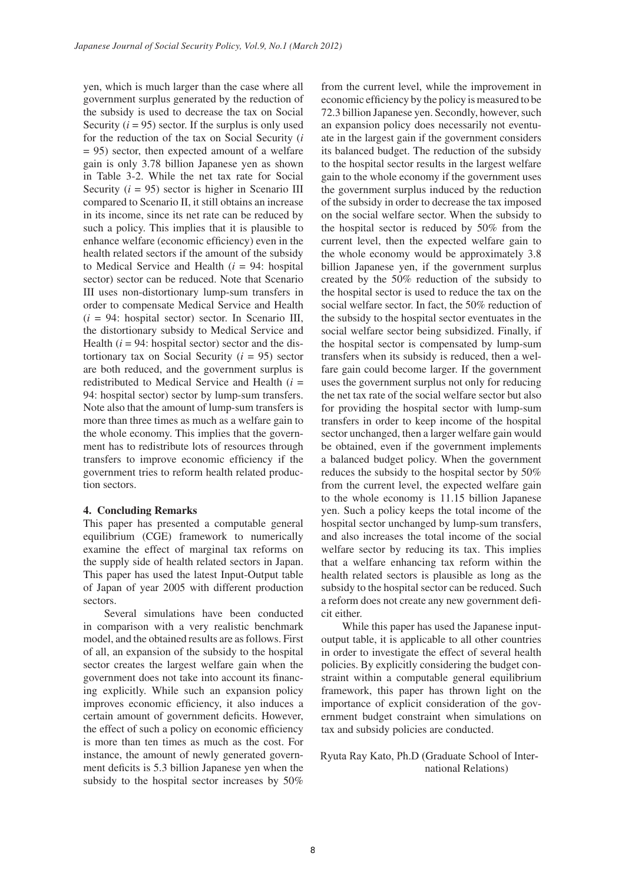yen, which is much larger than the case where all government surplus generated by the reduction of the subsidy is used to decrease the tax on Social Security  $(i = 95)$  sector. If the surplus is only used for the reduction of the tax on Social Security (*i* = 95) sector, then expected amount of a welfare gain is only 3.78 billion Japanese yen as shown in Table 3-2. While the net tax rate for Social Security  $(i = 95)$  sector is higher in Scenario III compared to Scenario II, it still obtains an increase in its income, since its net rate can be reduced by such a policy. This implies that it is plausible to enhance welfare (economic efficiency) even in the health related sectors if the amount of the subsidy to Medical Service and Health (*i* = 94: hospital sector) sector can be reduced. Note that Scenario III uses non-distortionary lump-sum transfers in order to compensate Medical Service and Health  $(i = 94$ : hospital sector) sector. In Scenario III, the distortionary subsidy to Medical Service and Health  $(i = 94$ : hospital sector) sector and the distortionary tax on Social Security  $(i = 95)$  sector are both reduced, and the government surplus is redistributed to Medical Service and Health (*i* = 94: hospital sector) sector by lump-sum transfers. Note also that the amount of lump-sum transfers is more than three times as much as a welfare gain to the whole economy. This implies that the government has to redistribute lots of resources through transfers to improve economic efficiency if the government tries to reform health related production sectors.

#### **4. Concluding Remarks**

This paper has presented a computable general equilibrium (CGE) framework to numerically examine the effect of marginal tax reforms on the supply side of health related sectors in Japan. This paper has used the latest Input-Output table of Japan of year 2005 with different production sectors.

Several simulations have been conducted in comparison with a very realistic benchmark model, and the obtained results are as follows. First of all, an expansion of the subsidy to the hospital sector creates the largest welfare gain when the government does not take into account its financing explicitly. While such an expansion policy improves economic efficiency, it also induces a certain amount of government deficits. However, the effect of such a policy on economic efficiency is more than ten times as much as the cost. For instance, the amount of newly generated government deficits is 5.3 billion Japanese yen when the mational Relations) subsidy to the hospital sector increases by 50%

from the current level, while the improvement in economic efficiency by the policy is measured to be 72.3 billion Japanese yen. Secondly, however, such an expansion policy does necessarily not eventuate in the largest gain if the government considers its balanced budget. The reduction of the subsidy to the hospital sector results in the largest welfare gain to the whole economy if the government uses the government surplus induced by the reduction of the subsidy in order to decrease the tax imposed on the social welfare sector. When the subsidy to the hospital sector is reduced by 50% from the current level, then the expected welfare gain to the whole economy would be approximately 3.8 billion Japanese yen, if the government surplus created by the 50% reduction of the subsidy to the hospital sector is used to reduce the tax on the social welfare sector. In fact, the 50% reduction of the subsidy to the hospital sector eventuates in the social welfare sector being subsidized. Finally, if the hospital sector is compensated by lump-sum transfers when its subsidy is reduced, then a welfare gain could become larger. If the government uses the government surplus not only for reducing the net tax rate of the social welfare sector but also for providing the hospital sector with lump-sum transfers in order to keep income of the hospital sector unchanged, then a larger welfare gain would be obtained, even if the government implements a balanced budget policy. When the government reduces the subsidy to the hospital sector by 50% from the current level, the expected welfare gain to the whole economy is 11.15 billion Japanese yen. Such a policy keeps the total income of the hospital sector unchanged by lump-sum transfers, and also increases the total income of the social welfare sector by reducing its tax. This implies that a welfare enhancing tax reform within the health related sectors is plausible as long as the subsidy to the hospital sector can be reduced. Such a reform does not create any new government deficit either.

While this paper has used the Japanese inputoutput table, it is applicable to all other countries in order to investigate the effect of several health policies. By explicitly considering the budget constraint within a computable general equilibrium framework, this paper has thrown light on the importance of explicit consideration of the government budget constraint when simulations on tax and subsidy policies are conducted.

Ryuta Ray Kato, Ph.D (Graduate School of Inter-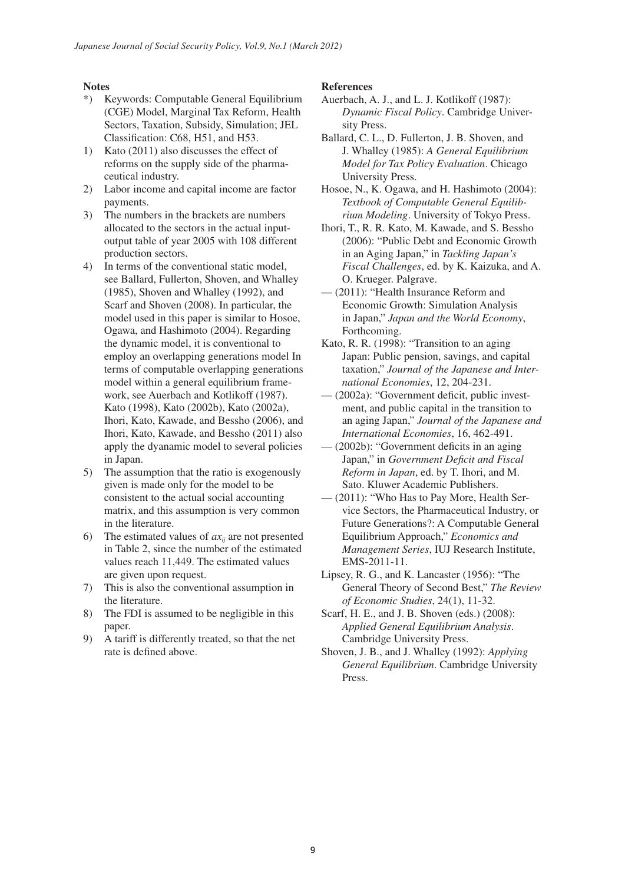## **Notes**

- \*) Keywords: Computable General Equilibrium (CGE) Model, Marginal Tax Reform, Health Sectors, Taxation, Subsidy, Simulation; JEL Classification: C68, H51, and H53.
- 1) Kato (2011) also discusses the effect of reforms on the supply side of the pharmaceutical industry.
- 2) Labor income and capital income are factor payments.
- 3) The numbers in the brackets are numbers allocated to the sectors in the actual inputoutput table of year 2005 with 108 different production sectors.
- 4) In terms of the conventional static model, see Ballard, Fullerton, Shoven, and Whalley (1985), Shoven and Whalley (1992), and Scarf and Shoven (2008). In particular, the model used in this paper is similar to Hosoe, Ogawa, and Hashimoto (2004). Regarding the dynamic model, it is conventional to employ an overlapping generations model In terms of computable overlapping generations model within a general equilibrium framework, see Auerbach and Kotlikoff (1987). Kato (1998), Kato (2002b), Kato (2002a), Ihori, Kato, Kawade, and Bessho (2006), and Ihori, Kato, Kawade, and Bessho (2011) also apply the dyanamic model to several policies in Japan.
- 5) The assumption that the ratio is exogenously given is made only for the model to be consistent to the actual social accounting matrix, and this assumption is very common in the literature.
- 6) The estimated values of  $ax_{ii}$  are not presented in Table 2, since the number of the estimated values reach 11,449. The estimated values are given upon request.
- 7) This is also the conventional assumption in the literature.
- 8) The FDI is assumed to be negligible in this paper.
- 9) A tariff is differently treated, so that the net rate is defined above.

## **References**

- Auerbach, A. J., and L. J. Kotlikoff (1987): *Dynamic Fiscal Policy*. Cambridge University Press.
- Ballard, C. L., D. Fullerton, J. B. Shoven, and J. Whalley (1985): *A General Equilibrium Model for Tax Policy Evaluation*. Chicago University Press.
- Hosoe, N., K. Ogawa, and H. Hashimoto (2004): *Textbook of Computable General Equilibrium Modeling*. University of Tokyo Press.
- Ihori, T., R. R. Kato, M. Kawade, and S. Bessho (2006): "Public Debt and Economic Growth in an Aging Japan," in *Tackling Japan's Fiscal Challenges*, ed. by K. Kaizuka, and A. O. Krueger. Palgrave.
- (2011): "Health Insurance Reform and Economic Growth: Simulation Analysis in Japan," *Japan and the World Economy*, Forthcoming.
- Kato, R. R. (1998): "Transition to an aging Japan: Public pension, savings, and capital taxation," *Journal of the Japanese and International Economies*, 12, 204-231.
- (2002a): "Government deficit, public investment, and public capital in the transition to an aging Japan," *Journal of the Japanese and International Economies*, 16, 462-491.
- (2002b): "Government deficits in an aging Japan," in *Government Deficit and Fiscal Reform in Japan*, ed. by T. Ihori, and M. Sato. Kluwer Academic Publishers.
- (2011): "Who Has to Pay More, Health Service Sectors, the Pharmaceutical Industry, or Future Generations?: A Computable General Equilibrium Approach," *Economics and Management Series*, IUJ Research Institute, EMS-2011-11.
- Lipsey, R. G., and K. Lancaster (1956): "The General Theory of Second Best," *The Review of Economic Studies*, 24(1), 11-32.
- Scarf, H. E., and J. B. Shoven (eds.) (2008): *Applied General Equilibrium Analysis*. Cambridge University Press.
- Shoven, J. B., and J. Whalley (1992): *Applying General Equilibrium*. Cambridge University Press.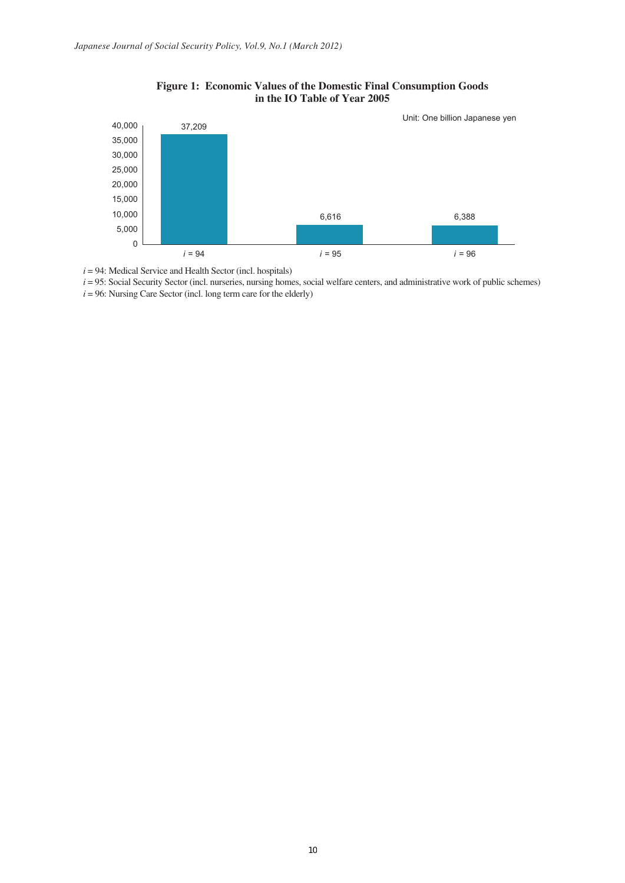

## **Figure 1: Economic Values of the Domestic Final Consumption Goods in the IO Table of Year 2005**

 $i = 94$ : Medical Service and Health Sector (incl. hospitals)

*i* = 95: Social Security Sector (incl. nurseries, nursing homes, social welfare centers, and administrative work of public schemes)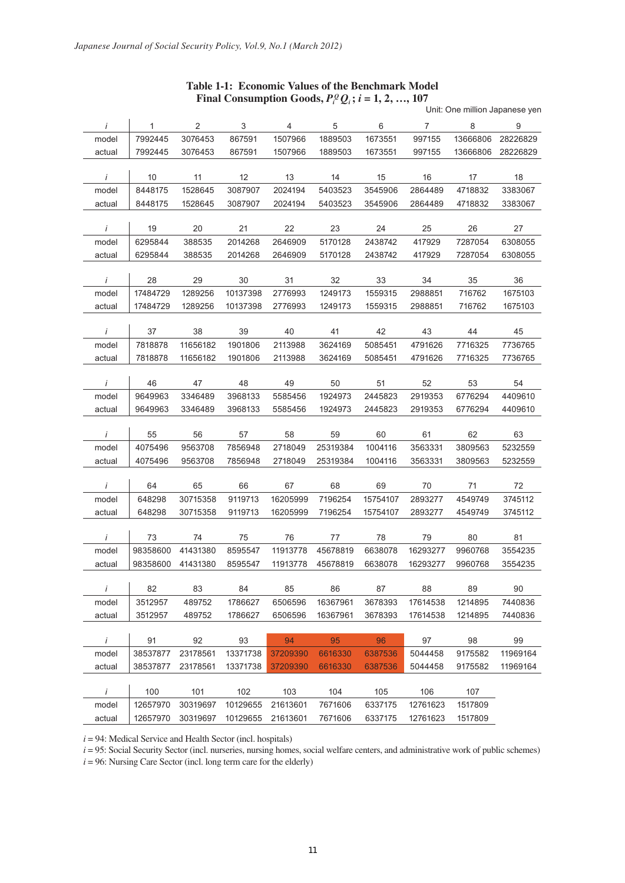|              |              |                |                           |                |          |          |                |          | Unit: One million Japanese yen |
|--------------|--------------|----------------|---------------------------|----------------|----------|----------|----------------|----------|--------------------------------|
| $\dot{I}$    | $\mathbf{1}$ | $\overline{2}$ | $\ensuremath{\mathsf{3}}$ | $\overline{4}$ | 5        | 6        | $\overline{7}$ | 8        | 9                              |
| model        | 7992445      | 3076453        | 867591                    | 1507966        | 1889503  | 1673551  | 997155         | 13666806 | 28226829                       |
| actual       | 7992445      | 3076453        | 867591                    | 1507966        | 1889503  | 1673551  | 997155         | 13666806 | 28226829                       |
|              |              |                |                           |                |          |          |                |          |                                |
| İ            | 10           | 11             | 12                        | 13             | 14       | 15       | 16             | 17       | 18                             |
| model        | 8448175      | 1528645        | 3087907                   | 2024194        | 5403523  | 3545906  | 2864489        | 4718832  | 3383067                        |
| actual       | 8448175      | 1528645        | 3087907                   | 2024194        | 5403523  | 3545906  | 2864489        | 4718832  | 3383067                        |
|              |              |                |                           |                |          |          |                |          |                                |
| İ            | 19           | 20             | 21                        | 22             | 23       | 24       | 25             | 26       | 27                             |
| model        | 6295844      | 388535         | 2014268                   | 2646909        | 5170128  | 2438742  | 417929         | 7287054  | 6308055                        |
| actual       | 6295844      | 388535         | 2014268                   | 2646909        | 5170128  | 2438742  | 417929         | 7287054  | 6308055                        |
|              |              |                |                           |                |          |          |                |          |                                |
| İ            | 28           | 29             | 30                        | 31             | 32       | 33       | 34             | 35       | 36                             |
| model        | 17484729     | 1289256        | 10137398                  | 2776993        | 1249173  | 1559315  | 2988851        | 716762   | 1675103                        |
| actual       | 17484729     | 1289256        | 10137398                  | 2776993        | 1249173  | 1559315  | 2988851        | 716762   | 1675103                        |
|              |              |                |                           |                |          |          |                |          |                                |
| $\dot{I}$    | 37           | 38             | 39                        | 40             | 41       | 42       | 43             | 44       | 45                             |
| model        | 7818878      | 11656182       | 1901806                   | 2113988        | 3624169  | 5085451  | 4791626        | 7716325  | 7736765                        |
| actual       | 7818878      | 11656182       | 1901806                   | 2113988        | 3624169  | 5085451  | 4791626        | 7716325  | 7736765                        |
| $\dot{I}$    | 46           | 47             | 48                        | 49             | 50       | 51       | 52             | 53       | 54                             |
| model        | 9649963      | 3346489        | 3968133                   | 5585456        | 1924973  | 2445823  | 2919353        | 6776294  | 4409610                        |
| actual       | 9649963      | 3346489        | 3968133                   | 5585456        | 1924973  | 2445823  | 2919353        | 6776294  | 4409610                        |
|              |              |                |                           |                |          |          |                |          |                                |
| $\dot{I}$    | 55           | 56             | 57                        | 58             | 59       | 60       | 61             | 62       | 63                             |
| model        | 4075496      | 9563708        | 7856948                   | 2718049        | 25319384 | 1004116  | 3563331        | 3809563  | 5232559                        |
| actual       | 4075496      | 9563708        | 7856948                   | 2718049        | 25319384 | 1004116  | 3563331        | 3809563  | 5232559                        |
|              |              |                |                           |                |          |          |                |          |                                |
| İ            | 64           | 65             | 66                        | 67             | 68       | 69       | 70             | 71       | 72                             |
| model        | 648298       | 30715358       | 9119713                   | 16205999       | 7196254  | 15754107 | 2893277        | 4549749  | 3745112                        |
| actual       | 648298       | 30715358       | 9119713                   | 16205999       | 7196254  | 15754107 | 2893277        | 4549749  | 3745112                        |
|              |              |                |                           |                |          |          |                |          |                                |
| İ            | 73           | 74             | 75                        | 76             | 77       | 78       | 79             | 80       | 81                             |
| model        | 98358600     | 41431380       | 8595547                   | 11913778       | 45678819 | 6638078  | 16293277       | 9960768  | 3554235                        |
| actual       | 98358600     | 41431380       | 8595547                   | 11913778       | 45678819 | 6638078  | 16293277       | 9960768  | 3554235                        |
|              |              |                |                           |                |          |          |                |          |                                |
| $\mathbf{i}$ | 82           | 83             | 84                        | 85             | 86       | 87       | 88             | 89       | 90                             |
| model        | 3512957      | 489752         | 1786627                   | 6506596        | 16367961 | 3678393  | 17614538       | 1214895  | 7440836                        |
| actual       | 3512957      | 489752         | 1786627                   | 6506596        | 16367961 | 3678393  | 17614538       | 1214895  | 7440836                        |
|              |              |                |                           |                |          |          |                |          |                                |
| $\dot{I}$    | 91           | 92             | 93                        | 94             | 95       | 96       | 97             | 98       | 99                             |
| model        | 38537877     | 23178561       | 13371738                  | 37209390       | 6616330  | 6387536  | 5044458        | 9175582  | 11969164                       |
| actual       | 38537877     | 23178561       | 13371738                  | 37209390       | 6616330  | 6387536  | 5044458        | 9175582  | 11969164                       |
|              |              |                |                           |                |          |          |                |          |                                |
| $\dot{I}$    | 100          | 101            | 102                       | 103            | 104      | 105      | 106            | 107      |                                |
| model        | 12657970     | 30319697       | 10129655                  | 21613601       | 7671606  | 6337175  | 12761623       | 1517809  |                                |
| actual       | 12657970     | 30319697       | 10129655 21613601         |                | 7671606  | 6337175  | 12761623       | 1517809  |                                |

# **Table 1-1: Economic Values of the Benchmark Model Final Consumption Goods,**  $P_i^Q Q_i$ **;**  $i = 1, 2, ..., 107$

 $i = 94$ : Medical Service and Health Sector (incl. hospitals)

*i* = 95: Social Security Sector (incl. nurseries, nursing homes, social welfare centers, and administrative work of public schemes)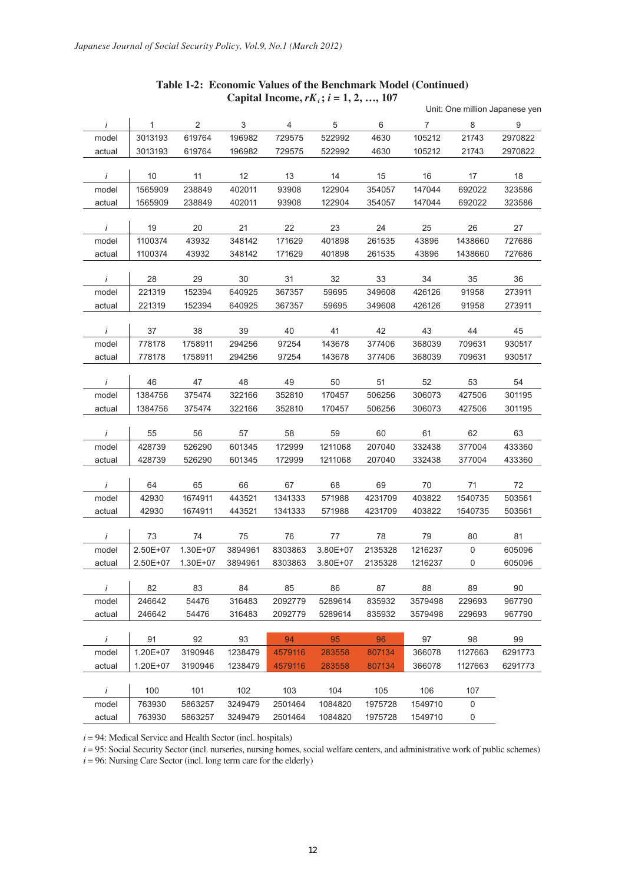# Unit: One million Japanese yen *i* 1 2 3 4 5 6 7 8 9 model 3013193 619764 196982 729575 522992 4630 105212 21743 2970822 actual 3013193 619764 196982 729575 522992 4630 105212 21743 2970822 *i* 10 11 12 13 14 15 16 17 18 model 1565909 238849 402011 93908 122904 354057 147044 692022 323586 actual 1565909 238849 402011 93908 122904 354057 147044 692022 323586 *i* 19 20 21 22 23 24 25 26 27 model 1100374 43932 348142 171629 401898 261535 43896 1438660 727686 actual 1100374 43932 348142 171629 401898 261535 43896 1438660 727686 *i* 28 29 30 31 32 33 34 35 36 model 221319 152394 640925 367357 59695 349608 426126 91958 273911 actual 221319 152394 640925 367357 59695 349608 426126 91958 273911 *i* 37 38 39 40 41 42 43 44 45 model 778178 1758911 294256 97254 143678 377406 368039 709631 930517 actual 778178 1758911 294256 97254 143678 377406 368039 709631 930517 *i* 46 47 48 49 50 51 52 53 54 model 1384756 375474 322166 352810 170457 506256 306073 427506 301195 actual 1384756 375474 322166 352810 170457 506256 306073 427506 301195 *i* 55 56 57 58 59 60 61 62 63 model 428739 526290 601345 172999 1211068 207040 332438 377004 433360 actual 428739 526290 601345 172999 1211068 207040 332438 377004 433360 *i* 64 65 66 67 68 69 70 71 72 model 42930 1674911 443521 1341333 571988 4231709 403822 1540735 503561 actual 42930 1674911 443521 1341333 571988 4231709 403822 1540735 503561 *i* 73 74 75 76 77 78 79 80 81 model 2.50E+07 1.30E+07 3894961 8303863 3.80E+07 2135328 1216237 0 605096 actual 2.50E+07 1.30E+07 3894961 8303863 3.80E+07 2135328 1216237 0 605096 *i* 82 83 84 85 86 87 88 89 90 model 246642 54476 316483 2092779 5289614 835932 3579498 229693 967790 actual 246642 54476 316483 2092779 5289614 835932 3579498 229693 967790 *i* 91 92 93 94 95 96 97 98 99 model 1.20E+07 3190946 1238479 4579116 283558 807134 366078 1127663 6291773 actual 1.20E+07 3190946 1238479 4579116 283558 807134 366078 1127663 6291773 *i* 100 101 102 103 104 105 106 107 model 763930 5863257 3249479 2501464 1084820 1975728 1549710 0

### **Table 1-2: Economic Values of the Benchmark Model (Continued) Capital Income,**  $rK_i$ ;  $i = 1, 2, ..., 107$

 $i = 94$ : Medical Service and Health Sector (incl. hospitals)

*i* = 95: Social Security Sector (incl. nurseries, nursing homes, social welfare centers, and administrative work of public schemes)

actual 763930 5863257 3249479 2501464 1084820 1975728 1549710 0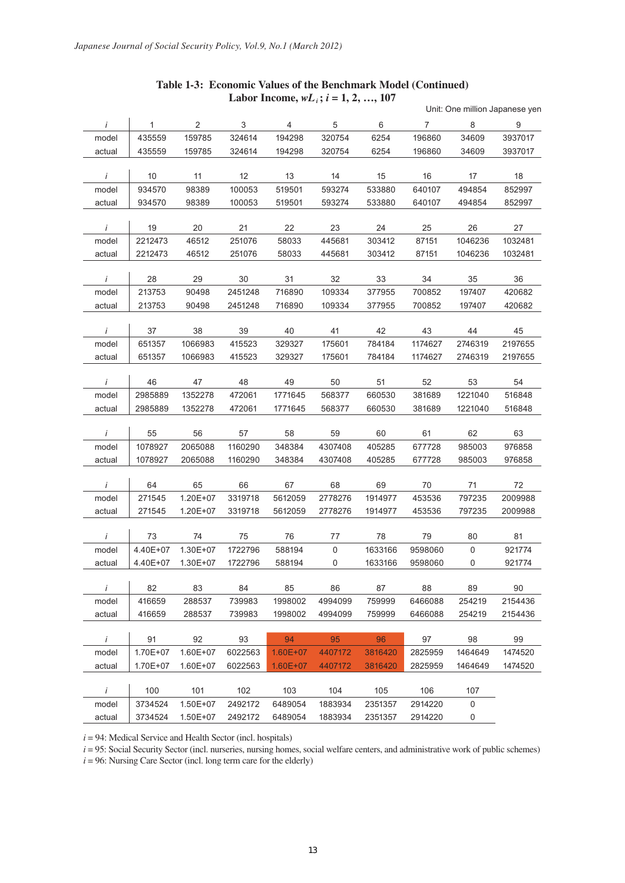## **Table 1-3: Economic Values of the Benchmark Model (Continued)**  Labor Income,  $wL_i$ ;  $i = 1, 2, ..., 107$

|            |          |          |         |                |             |         |                |             | Unit: One million Japanese yen |
|------------|----------|----------|---------|----------------|-------------|---------|----------------|-------------|--------------------------------|
| $\dot{I}$  | 1        | 2        | 3       | $\overline{4}$ | 5           | 6       | $\overline{7}$ | 8           | 9                              |
| model      | 435559   | 159785   | 324614  | 194298         | 320754      | 6254    | 196860         | 34609       | 3937017                        |
| actual     | 435559   | 159785   | 324614  | 194298         | 320754      | 6254    | 196860         | 34609       | 3937017                        |
|            |          |          |         |                |             |         |                |             |                                |
| İ          | 10       | 11       | 12      | 13             | 14          | 15      | 16             | 17          | 18                             |
| model      | 934570   | 98389    | 100053  | 519501         | 593274      | 533880  | 640107         | 494854      | 852997                         |
| actual     | 934570   | 98389    | 100053  | 519501         | 593274      | 533880  | 640107         | 494854      | 852997                         |
|            |          |          |         |                |             |         |                |             |                                |
| İ          | 19       | 20       | 21      | 22             | 23          | 24      | 25             | 26          | 27                             |
| model      | 2212473  | 46512    | 251076  | 58033          | 445681      | 303412  | 87151          | 1046236     | 1032481                        |
| actual     | 2212473  | 46512    | 251076  | 58033          | 445681      | 303412  | 87151          | 1046236     | 1032481                        |
|            |          |          |         |                |             |         |                |             |                                |
| İ          | 28       | 29       | 30      | 31             | 32          | 33      | 34             | 35          | 36                             |
| model      | 213753   | 90498    | 2451248 | 716890         | 109334      | 377955  | 700852         | 197407      | 420682                         |
| actual     | 213753   | 90498    | 2451248 | 716890         | 109334      | 377955  | 700852         | 197407      | 420682                         |
| $\dot{I}$  | 37       | 38       | 39      | 40             | 41          | 42      | 43             | 44          | 45                             |
| model      | 651357   | 1066983  | 415523  | 329327         | 175601      | 784184  | 1174627        | 2746319     | 2197655                        |
| actual     | 651357   | 1066983  | 415523  | 329327         | 175601      | 784184  | 1174627        | 2746319     | 2197655                        |
|            |          |          |         |                |             |         |                |             |                                |
| $\ddot{l}$ | 46       | 47       | 48      | 49             | 50          | 51      | 52             | 53          | 54                             |
| model      | 2985889  | 1352278  | 472061  | 1771645        | 568377      | 660530  | 381689         | 1221040     | 516848                         |
| actual     | 2985889  | 1352278  | 472061  | 1771645        | 568377      | 660530  | 381689         | 1221040     | 516848                         |
|            |          |          |         |                |             |         |                |             |                                |
| $\dot{I}$  | 55       | 56       | 57      | 58             | 59          | 60      | 61             | 62          | 63                             |
| model      | 1078927  | 2065088  | 1160290 | 348384         | 4307408     | 405285  | 677728         | 985003      | 976858                         |
| actual     | 1078927  | 2065088  | 1160290 | 348384         | 4307408     | 405285  | 677728         | 985003      | 976858                         |
|            |          |          |         |                |             |         |                |             |                                |
| İ          | 64       | 65       | 66      | 67             | 68          | 69      | 70             | 71          | 72                             |
| model      | 271545   | 1.20E+07 | 3319718 | 5612059        | 2778276     | 1914977 | 453536         | 797235      | 2009988                        |
| actual     | 271545   | 1.20E+07 | 3319718 | 5612059        | 2778276     | 1914977 | 453536         | 797235      | 2009988                        |
|            |          |          |         |                |             |         |                |             |                                |
| İ          | 73       | 74       | 75      | 76             | 77          | 78      | 79             | 80          | 81                             |
| model      | 4.40E+07 | 1.30E+07 | 1722796 | 588194         | $\mathsf 0$ | 1633166 | 9598060        | $\mathbf 0$ | 921774                         |
| actual     | 4.40E+07 | 1.30E+07 | 1722796 | 588194         | 0           | 1633166 | 9598060        | 0           | 921774                         |
|            |          |          |         |                |             |         |                |             |                                |
| $\dot{I}$  | 82       | 83       | 84      | 85             | 86          | 87      | 88             | 89          | $90\,$                         |
| model      | 416659   | 288537   | 739983  | 1998002        | 4994099     | 759999  | 6466088        | 254219      | 2154436                        |
| actual     | 416659   | 288537   | 739983  | 1998002        | 4994099     | 759999  | 6466088        | 254219      | 2154436                        |
| $\dot{I}$  | 91       | 92       | 93      | 94             | 95          | 96      | 97             | 98          | 99                             |
| model      | 1.70E+07 | 1.60E+07 | 6022563 | $1.60E + 07$   | 4407172     | 3816420 | 2825959        | 1464649     | 1474520                        |
| actual     | 1.70E+07 | 1.60E+07 | 6022563 | $1.60E + 07$   | 4407172     | 3816420 | 2825959        | 1464649     | 1474520                        |
|            |          |          |         |                |             |         |                |             |                                |
| $\dot{I}$  | 100      | 101      | 102     | 103            | 104         | 105     | 106            | 107         |                                |
| model      | 3734524  | 1.50E+07 | 2492172 | 6489054        | 1883934     | 2351357 | 2914220        | 0           |                                |
| actual     | 3734524  | 1.50E+07 | 2492172 | 6489054        | 1883934     | 2351357 | 2914220        | $\pmb{0}$   |                                |
|            |          |          |         |                |             |         |                |             |                                |

 $i = 94$ : Medical Service and Health Sector (incl. hospitals)

*i* = 95: Social Security Sector (incl. nurseries, nursing homes, social welfare centers, and administrative work of public schemes)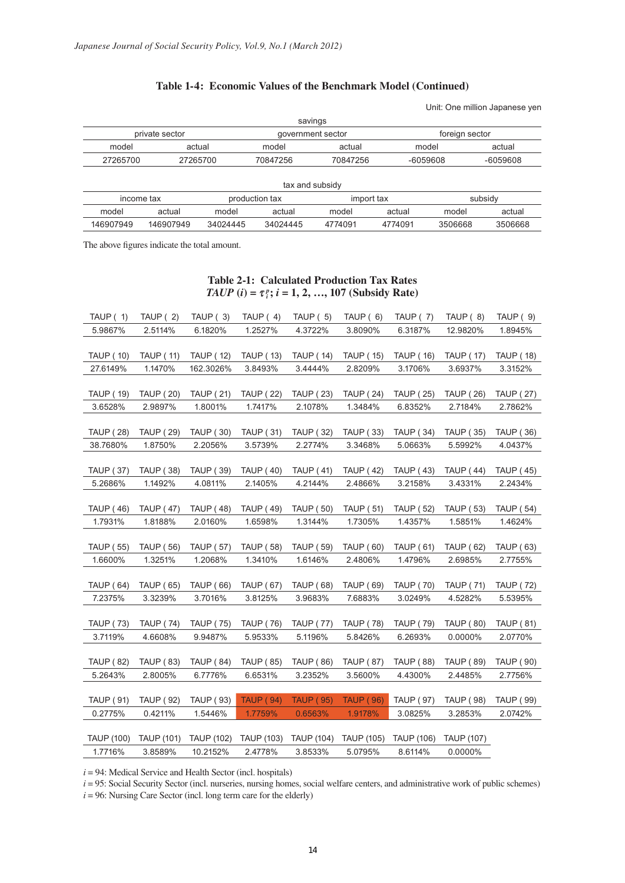# **Table 1-4: Economic Values of the Benchmark Model (Continued)**

Unit: One million Japanese yen

|                | savings |                |                   |                 |          |                |            |  |  |  |  |
|----------------|---------|----------------|-------------------|-----------------|----------|----------------|------------|--|--|--|--|
| private sector |         |                | government sector |                 |          | foreign sector |            |  |  |  |  |
| model          |         | actual         | model             | actual          | model    |                | actual     |  |  |  |  |
| 27265700       |         | 27265700       | 70847256          | 70847256        | -6059608 |                | $-6059608$ |  |  |  |  |
|                |         |                |                   |                 |          |                |            |  |  |  |  |
|                |         |                |                   | tax and subsidy |          |                |            |  |  |  |  |
| income tax     |         | production tax |                   | import tax      |          |                | subsidy    |  |  |  |  |
| model          | actual  | model          | actual            | model           | actual   | model          | actual     |  |  |  |  |

146907949 146907949 34024445 34024445 4774091 4774091 3506668 3506668

The above figures indicate the total amount.

## **Table 2-1: Calculated Production Tax Rates**  $TAUP(i) = \tau_i^p$ ;  $i = 1, 2, ..., 107$  (Subsidy Rate)

| TAUP $(1)$        | TAUP (2)         | TAUP $(3)$       | TAUP $(4)$       | TAUP $(5)$                                             | TAUP $(6)$       | TAUP (7)         | TAUP (8)          | TAUP $(9)$       |
|-------------------|------------------|------------------|------------------|--------------------------------------------------------|------------------|------------------|-------------------|------------------|
| 5.9867%           | 2.5114%          | 6.1820%          | 1.2527%          | 4.3722%                                                | 3.8090%          | 6.3187%          | 12.9820%          | 1.8945%          |
|                   |                  |                  |                  |                                                        |                  |                  |                   |                  |
| <b>TAUP (10)</b>  | <b>TAUP (11)</b> | <b>TAUP (12)</b> | <b>TAUP (13)</b> | <b>TAUP (14)</b>                                       | <b>TAUP (15)</b> | <b>TAUP (16)</b> | <b>TAUP (17)</b>  | <b>TAUP (18)</b> |
| 27.6149%          | 1.1470%          | 162.3026%        | 3.8493%          | 3.4444%                                                | 2.8209%          | 3.1706%          | 3.6937%           | 3.3152%          |
|                   |                  |                  |                  |                                                        |                  |                  |                   |                  |
| <b>TAUP (19)</b>  | <b>TAUP (20)</b> | <b>TAUP (21)</b> | <b>TAUP (22)</b> | <b>TAUP (23)</b>                                       | <b>TAUP (24)</b> | <b>TAUP (25)</b> | <b>TAUP (26)</b>  | <b>TAUP (27)</b> |
| 3.6528%           | 2.9897%          | 1.8001%          | 1.7417%          | 2.1078%                                                | 1.3484%          | 6.8352%          | 2.7184%           | 2.7862%          |
|                   |                  |                  |                  |                                                        |                  |                  |                   |                  |
| <b>TAUP (28)</b>  | <b>TAUP (29)</b> | <b>TAUP (30)</b> | <b>TAUP (31)</b> | <b>TAUP (32)</b>                                       | <b>TAUP (33)</b> | <b>TAUP (34)</b> | <b>TAUP (35)</b>  | <b>TAUP (36)</b> |
| 38.7680%          | 1.8750%          | 2.2056%          | 3.5739%          | 2.2774%                                                | 3.3468%          | 5.0663%          | 5.5992%           | 4.0437%          |
|                   |                  |                  |                  |                                                        |                  |                  |                   |                  |
| <b>TAUP (37)</b>  | <b>TAUP (38)</b> | <b>TAUP (39)</b> | <b>TAUP (40)</b> | <b>TAUP (41)</b>                                       | <b>TAUP (42)</b> | TAUP ( 43)       | <b>TAUP (44)</b>  | <b>TAUP (45)</b> |
| 5.2686%           | 1.1492%          | 4.0811%          | 2.1405%          | 4.2144%                                                | 2.4866%          | 3.2158%          | 3.4331%           | 2.2434%          |
|                   |                  |                  |                  |                                                        |                  |                  |                   |                  |
| <b>TAUP (46)</b>  | <b>TAUP (47)</b> | <b>TAUP (48)</b> | <b>TAUP (49)</b> | <b>TAUP (50)</b>                                       | <b>TAUP (51)</b> | TAUP (52)        | <b>TAUP (53)</b>  | <b>TAUP (54)</b> |
| 1.7931%           | 1.8188%          | 2.0160%          | 1.6598%          | 1.3144%                                                | 1.7305%          | 1.4357%          | 1.5851%           | 1.4624%          |
|                   |                  |                  |                  |                                                        |                  |                  |                   |                  |
| <b>TAUP (55)</b>  | <b>TAUP (56)</b> | <b>TAUP (57)</b> | <b>TAUP (58)</b> | <b>TAUP (59)</b>                                       | TAUP (60)        | <b>TAUP (61)</b> | <b>TAUP (62)</b>  | <b>TAUP (63)</b> |
| 1.6600%           | 1.3251%          | 1.2068%          | 1.3410%          | 1.6146%                                                | 2.4806%          | 1.4796%          | 2.6985%           | 2.7755%          |
|                   |                  |                  |                  |                                                        |                  |                  |                   |                  |
| <b>TAUP (64)</b>  | <b>TAUP (65)</b> | <b>TAUP (66)</b> | <b>TAUP (67)</b> | <b>TAUP (68)</b>                                       | <b>TAUP (69)</b> | <b>TAUP (70)</b> | <b>TAUP (71)</b>  | <b>TAUP (72)</b> |
| 7.2375%           | 3.3239%          | 3.7016%          | 3.8125%          | 3.9683%                                                | 7.6883%          | 3.0249%          | 4.5282%           | 5.5395%          |
|                   |                  |                  |                  |                                                        |                  |                  |                   |                  |
| <b>TAUP (73)</b>  | <b>TAUP (74)</b> | <b>TAUP (75)</b> | TAUP ( 76)       | <b>TAUP (77)</b>                                       | <b>TAUP (78)</b> | <b>TAUP (79)</b> | <b>TAUP (80)</b>  | <b>TAUP (81)</b> |
| 3.7119%           | 4.6608%          | 9.9487%          | 5.9533%          | 5.1196%                                                | 5.8426%          | 6.2693%          | 0.0000%           | 2.0770%          |
|                   |                  |                  |                  |                                                        |                  |                  |                   |                  |
| <b>TAUP (82)</b>  | <b>TAUP (83)</b> | <b>TAUP (84)</b> | <b>TAUP (85)</b> | <b>TAUP (86)</b>                                       | <b>TAUP (87)</b> | <b>TAUP (88)</b> | <b>TAUP (89)</b>  | <b>TAUP (90)</b> |
| 5.2643%           | 2.8005%          | 6.7776%          | 6.6531%          | 3.2352%                                                | 3.5600%          | 4.4300%          | 2.4485%           | 2.7756%          |
|                   |                  |                  |                  |                                                        |                  |                  |                   |                  |
| <b>TAUP (91)</b>  | TAUP ( 92)       | <b>TAUP (93)</b> | <b>TAUP (94)</b> | <b>TAUP (95)</b>                                       | <b>TAUP (96)</b> | TAUP ( 97)       | <b>TAUP (98)</b>  | <b>TAUP (99)</b> |
| 0.2775%           | 0.4211%          | 1.5446%          | 1.7759%          | 0.6563%                                                | 1.9178%          | 3.0825%          | 3.2853%           | 2.0742%          |
|                   |                  |                  |                  |                                                        |                  |                  |                   |                  |
| <b>TAUP (100)</b> | TAUP (101)       |                  |                  | TAUP (102) TAUP (103) TAUP (104) TAUP (105) TAUP (106) |                  |                  | <b>TAUP (107)</b> |                  |
| 1.7716%           | 3.8589%          | 10.2152%         | 2.4778%          | 3.8533%                                                | 5.0795%          | 8.6114%          | 0.0000%           |                  |

 $i = 94$ : Medical Service and Health Sector (incl. hospitals)

*i* = 95: Social Security Sector (incl. nurseries, nursing homes, social welfare centers, and administrative work of public schemes)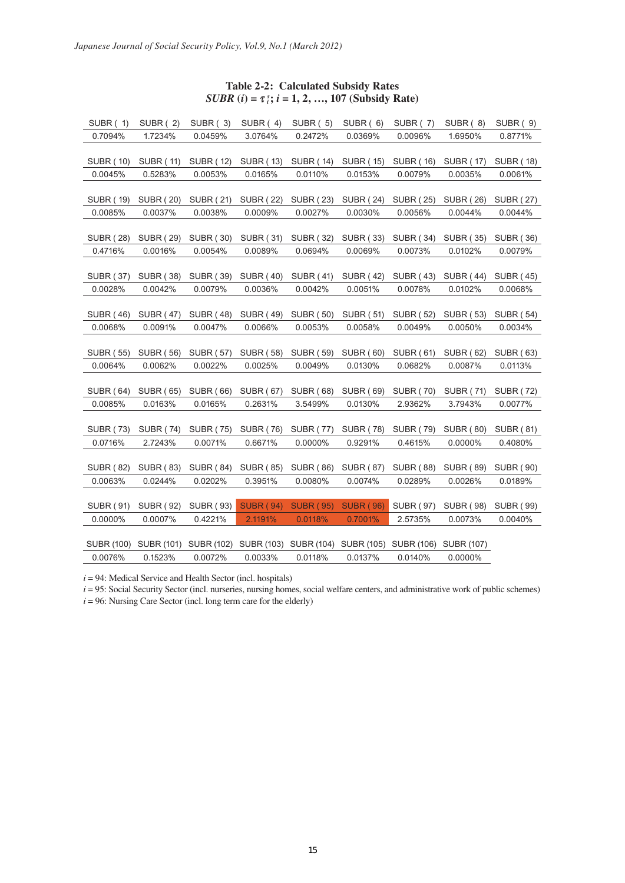# **Table 2-2: Calculated Subsidy Rates** *SUBR*  $(i) = \tau_i^s$ ;  $i = 1, 2, ..., 107$  (Subsidy Rate)

| SUBR (1)          | <b>SUBR (2)</b>  | SUBR (3)         | SUBR (4)         | <b>SUBR (5)</b>  | SUBR (6)                         | <b>SUBR (7)</b>  | SUBR (8)         | <b>SUBR (9)</b>  |
|-------------------|------------------|------------------|------------------|------------------|----------------------------------|------------------|------------------|------------------|
| 0.7094%           | 1.7234%          | 0.0459%          | 3.0764%          | 0.2472%          | 0.0369%                          | 0.0096%          | 1.6950%          | 0.8771%          |
|                   |                  |                  |                  |                  |                                  |                  |                  |                  |
| <b>SUBR (10)</b>  | <b>SUBR (11)</b> | <b>SUBR (12)</b> | <b>SUBR (13)</b> | <b>SUBR (14)</b> | <b>SUBR (15)</b>                 | <b>SUBR (16)</b> | <b>SUBR (17)</b> | <b>SUBR (18)</b> |
| 0.0045%           | 0.5283%          | 0.0053%          | 0.0165%          | 0.0110%          | 0.0153%                          | 0.0079%          | 0.0035%          | 0.0061%          |
|                   |                  |                  |                  |                  |                                  |                  |                  |                  |
| <b>SUBR (19)</b>  | <b>SUBR (20)</b> | <b>SUBR (21)</b> | <b>SUBR (22)</b> | <b>SUBR (23)</b> | <b>SUBR (24)</b>                 | <b>SUBR (25)</b> | <b>SUBR (26)</b> | <b>SUBR (27)</b> |
| 0.0085%           | 0.0037%          | 0.0038%          | 0.0009%          | 0.0027%          | 0.0030%                          | 0.0056%          | 0.0044%          | 0.0044%          |
|                   |                  |                  |                  |                  |                                  |                  |                  |                  |
| <b>SUBR (28)</b>  | <b>SUBR (29)</b> | <b>SUBR (30)</b> | <b>SUBR (31)</b> | <b>SUBR (32)</b> | <b>SUBR (33)</b>                 | <b>SUBR (34)</b> | <b>SUBR (35)</b> | <b>SUBR (36)</b> |
| 0.4716%           | 0.0016%          | 0.0054%          | 0.0089%          | 0.0694%          | 0.0069%                          | 0.0073%          | 0.0102%          | 0.0079%          |
|                   |                  |                  |                  |                  |                                  |                  |                  |                  |
| <b>SUBR (37)</b>  | <b>SUBR (38)</b> | <b>SUBR (39)</b> | <b>SUBR (40)</b> | <b>SUBR (41)</b> | <b>SUBR (42)</b>                 | <b>SUBR (43)</b> | <b>SUBR (44)</b> | <b>SUBR (45)</b> |
| 0.0028%           | 0.0042%          | 0.0079%          | 0.0036%          | 0.0042%          | 0.0051%                          | 0.0078%          | 0.0102%          | 0.0068%          |
|                   |                  |                  |                  |                  |                                  |                  |                  |                  |
| <b>SUBR (46)</b>  | <b>SUBR (47)</b> | <b>SUBR (48)</b> | <b>SUBR (49)</b> | <b>SUBR (50)</b> | <b>SUBR (51)</b>                 | <b>SUBR (52)</b> | <b>SUBR (53)</b> | <b>SUBR (54)</b> |
| 0.0068%           | 0.0091%          | 0.0047%          | 0.0066%          | 0.0053%          | 0.0058%                          | 0.0049%          | 0.0050%          | 0.0034%          |
|                   |                  |                  |                  |                  |                                  |                  |                  |                  |
| <b>SUBR (55)</b>  | <b>SUBR (56)</b> | <b>SUBR (57)</b> | <b>SUBR (58)</b> | <b>SUBR (59)</b> | <b>SUBR (60)</b>                 | <b>SUBR (61)</b> | <b>SUBR (62)</b> | <b>SUBR (63)</b> |
| 0.0064%           | 0.0062%          | 0.0022%          | 0.0025%          | 0.0049%          | 0.0130%                          | 0.0682%          | 0.0087%          | 0.0113%          |
|                   |                  |                  |                  |                  |                                  |                  |                  |                  |
| <b>SUBR (64)</b>  | <b>SUBR (65)</b> | <b>SUBR (66)</b> | <b>SUBR (67)</b> | <b>SUBR (68)</b> | <b>SUBR (69)</b>                 | <b>SUBR (70)</b> | <b>SUBR (71)</b> | <b>SUBR (72)</b> |
| 0.0085%           | 0.0163%          | 0.0165%          | 0.2631%          | 3.5499%          | 0.0130%                          | 2.9362%          | 3.7943%          | 0.0077%          |
|                   |                  |                  |                  |                  |                                  |                  |                  |                  |
| <b>SUBR (73)</b>  | <b>SUBR (74)</b> | <b>SUBR (75)</b> | <b>SUBR (76)</b> | <b>SUBR (77)</b> | <b>SUBR (78)</b>                 | <b>SUBR (79)</b> | <b>SUBR (80)</b> | <b>SUBR (81)</b> |
| 0.0716%           | 2.7243%          | 0.0071%          | 0.6671%          | 0.0000%          | 0.9291%                          | 0.4615%          | 0.0000%          | 0.4080%          |
|                   |                  |                  |                  |                  |                                  |                  |                  |                  |
| <b>SUBR (82)</b>  | <b>SUBR (83)</b> | <b>SUBR (84)</b> | <b>SUBR (85)</b> | <b>SUBR (86)</b> | <b>SUBR (87)</b>                 | <b>SUBR (88)</b> | <b>SUBR (89)</b> | <b>SUBR (90)</b> |
| 0.0063%           | 0.0244%          | 0.0202%          | 0.3951%          | 0.0080%          | 0.0074%                          | 0.0289%          | 0.0026%          | 0.0189%          |
|                   |                  |                  |                  |                  |                                  |                  |                  |                  |
| SUBR (91)         | <b>SUBR (92)</b> | <b>SUBR (93)</b> | <b>SUBR (94)</b> | <b>SUBR (95)</b> | <b>SUBR (96)</b>                 | <b>SUBR (97)</b> | <b>SUBR (98)</b> | <b>SUBR (99)</b> |
| 0.0000%           | 0.0007%          | 0.4221%          | 2.1191%          | 0.0118%          | 0.7001%                          | 2.5735%          | 0.0073%          | 0.0040%          |
|                   |                  |                  |                  |                  |                                  |                  |                  |                  |
| <b>SUBR (100)</b> | SUBR (101)       | SUBR (102)       |                  |                  | SUBR (103) SUBR (104) SUBR (105) | SUBR (106)       | SUBR (107)       |                  |
| 0.0076%           | 0.1523%          | 0.0072%          | 0.0033%          | 0.0118%          | 0.0137%                          | 0.0140%          | 0.0000%          |                  |

 $i = 94$ : Medical Service and Health Sector (incl. hospitals)

*i* = 95: Social Security Sector (incl. nurseries, nursing homes, social welfare centers, and administrative work of public schemes)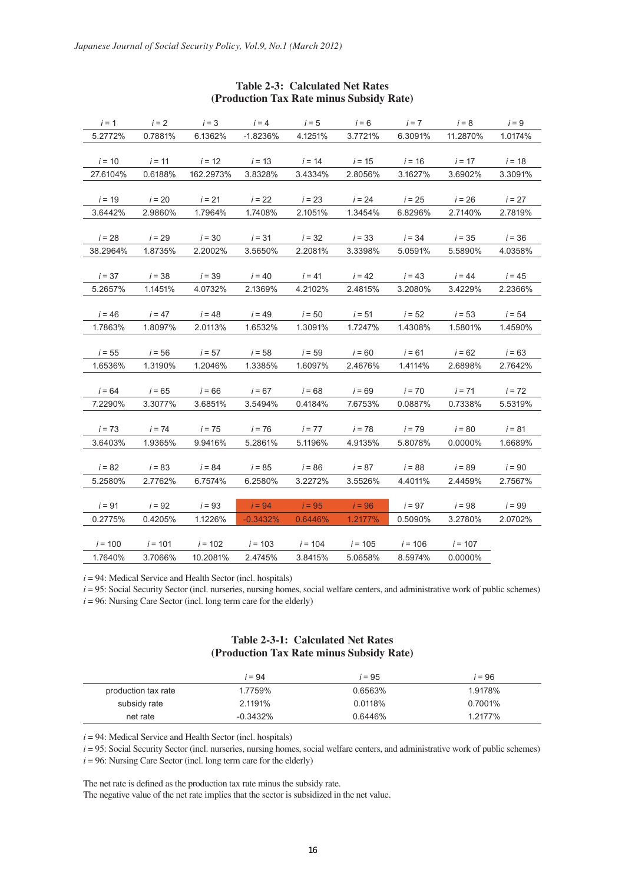| $i = 1$   | $i = 2$   | $i = 3$   | $i = 4$    | $i = 5$   | $i = 6$   | $i = 7$   | $i = 8$   | $i = 9$  |
|-----------|-----------|-----------|------------|-----------|-----------|-----------|-----------|----------|
| 5.2772%   | 0.7881%   | 6.1362%   | $-1.8236%$ | 4.1251%   | 3.7721%   | 6.3091%   | 11.2870%  | 1.0174%  |
|           |           |           |            |           |           |           |           |          |
| $i = 10$  | $i = 11$  | $i = 12$  | $i = 13$   | $i = 14$  | $i = 15$  | $i = 16$  | $i = 17$  | $i = 18$ |
| 27.6104%  | 0.6188%   | 162.2973% | 3.8328%    | 3.4334%   | 2.8056%   | 3.1627%   | 3.6902%   | 3.3091%  |
|           |           |           |            |           |           |           |           |          |
| $i = 19$  | $i = 20$  | $i = 21$  | $i = 22$   | $i = 23$  | $i = 24$  | $i = 25$  | $i = 26$  | $i = 27$ |
| 3.6442%   | 2.9860%   | 1.7964%   | 1.7408%    | 2.1051%   | 1.3454%   | 6.8296%   | 2.7140%   | 2.7819%  |
|           |           |           |            |           |           |           |           |          |
| $i = 28$  | $i = 29$  | $i = 30$  | $i = 31$   | $i = 32$  | $i = 33$  | $i = 34$  | $i = 35$  | $i = 36$ |
| 38.2964%  | 1.8735%   | 2.2002%   | 3.5650%    | 2.2081%   | 3.3398%   | 5.0591%   | 5.5890%   | 4.0358%  |
|           |           |           |            |           |           |           |           |          |
| $i = 37$  | $i = 38$  | $i = 39$  | $i = 40$   | $i = 41$  | $i = 42$  | $i = 43$  | $i = 44$  | $i = 45$ |
| 5.2657%   | 1.1451%   | 4.0732%   | 2.1369%    | 4.2102%   | 2.4815%   | 3.2080%   | 3.4229%   | 2.2366%  |
|           |           |           |            |           |           |           |           |          |
| $i = 46$  | $i = 47$  | $i = 48$  | $i = 49$   | $i = 50$  | $i = 51$  | $i = 52$  | $i = 53$  | $i = 54$ |
| 1.7863%   | 1.8097%   | 2.0113%   | 1.6532%    | 1.3091%   | 1.7247%   | 1.4308%   | 1.5801%   | 1.4590%  |
|           |           |           |            |           |           |           |           |          |
| $i = 55$  | $i = 56$  | $i = 57$  | $i = 58$   | $i = 59$  | $i = 60$  | $i = 61$  | $i = 62$  | $i = 63$ |
| 1.6536%   | 1.3190%   | 1.2046%   | 1.3385%    | 1.6097%   | 2.4676%   | 1.4114%   | 2.6898%   | 2.7642%  |
|           |           |           |            |           |           |           |           |          |
| $i = 64$  | $i = 65$  | $i = 66$  | $i = 67$   | $i = 68$  | $i = 69$  | $i = 70$  | $i = 71$  | $i = 72$ |
| 7.2290%   | 3.3077%   | 3.6851%   | 3.5494%    | 0.4184%   | 7.6753%   | 0.0887%   | 0.7338%   | 5.5319%  |
| $i = 73$  | $i = 74$  | $i = 75$  | $i = 76$   | $i = 77$  | $i = 78$  | $i = 79$  | $i = 80$  | $i = 81$ |
| 3.6403%   | 1.9365%   | 9.9416%   | 5.2861%    | 5.1196%   | 4.9135%   | 5.8078%   | 0.0000%   | 1.6689%  |
|           |           |           |            |           |           |           |           |          |
| $i = 82$  | $i = 83$  | $i = 84$  | $i = 85$   | $i = 86$  | $i = 87$  | $i = 88$  | $i = 89$  | $i = 90$ |
| 5.2580%   | 2.7762%   | 6.7574%   | 6.2580%    | 3.2272%   | 3.5526%   | 4.4011%   | 2.4459%   | 2.7567%  |
|           |           |           |            |           |           |           |           |          |
| $i = 91$  | $i = 92$  | $i = 93$  | $i = 94$   | $i = 95$  | $i = 96$  | $i = 97$  | $i = 98$  | $i = 99$ |
| 0.2775%   | 0.4205%   | 1.1226%   | $-0.3432%$ | 0.6446%   | 1.2177%   | 0.5090%   | 3.2780%   | 2.0702%  |
|           |           |           |            |           |           |           |           |          |
| $i = 100$ | $i = 101$ | $i = 102$ | $i = 103$  | $i = 104$ | $i = 105$ | $i = 106$ | $i = 107$ |          |
| 1.7640%   | 3.7066%   | 10.2081%  | 2.4745%    | 3.8415%   | 5.0658%   | 8.5974%   | 0.0000%   |          |

## **Table 2-3: Calculated Net Rates (Production Tax Rate minus Subsidy Rate)**

 $i = 94$ : Medical Service and Health Sector (incl. hospitals)

*i* = 95: Social Security Sector (incl. nurseries, nursing homes, social welfare centers, and administrative work of public schemes)

 $i = 96$ : Nursing Care Sector (incl. long term care for the elderly)

# **Table 2-3-1: Calculated Net Rates (Production Tax Rate minus Subsidy Rate)**

|                     | i = 94     | <i>i</i> = 95 | i = 96  |
|---------------------|------------|---------------|---------|
| production tax rate | 1.7759%    | 0.6563%       | 1.9178% |
| subsidy rate        | 2.1191%    | 0.0118%       | 0.7001% |
| net rate            | $-0.3432%$ | 0.6446%       | 1.2177% |

 $i = 94$ : Medical Service and Health Sector (incl. hospitals)

*i* = 95: Social Security Sector (incl. nurseries, nursing homes, social welfare centers, and administrative work of public schemes)

 $i = 96$ : Nursing Care Sector (incl. long term care for the elderly)

The net rate is defined as the production tax rate minus the subsidy rate.

The negative value of the net rate implies that the sector is subsidized in the net value.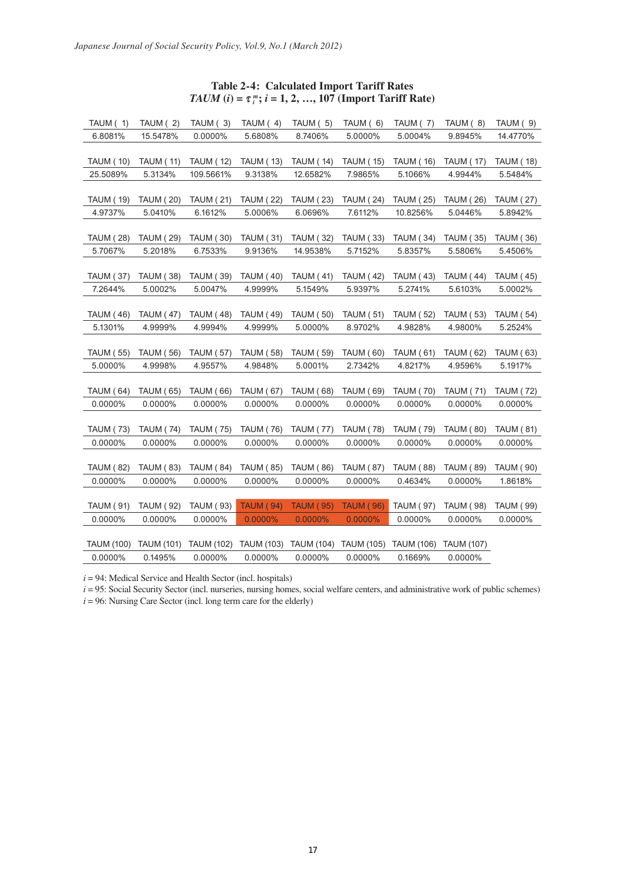| <b>Table 2-4: Calculated Import Tariff Rates</b>                                    |
|-------------------------------------------------------------------------------------|
| <i>TAUM</i> ( <i>i</i> ) = $\tau_i^m$ ; <i>i</i> = 1, 2, , 107 (Import Tariff Rate) |

| TAUM (1)          | TAUM (2)          | TAUM (3)          | TAUM (4)          | TAUM (5)          | TAUM (6)          | TAUM (7)          | TAUM (8)          | TAUM (9)         |
|-------------------|-------------------|-------------------|-------------------|-------------------|-------------------|-------------------|-------------------|------------------|
| 6.8081%           | 15.5478%          | 0.0000%           | 5.6808%           | 8.7406%           | 5.0000%           | 5.0004%           | 9.8945%           | 14.4770%         |
|                   |                   |                   |                   |                   |                   |                   |                   |                  |
| <b>TAUM (10)</b>  | <b>TAUM (11)</b>  | <b>TAUM (12)</b>  | <b>TAUM (13)</b>  | <b>TAUM (14)</b>  | <b>TAUM (15)</b>  | <b>TAUM (16)</b>  | <b>TAUM (17)</b>  | <b>TAUM (18)</b> |
| 25.5089%          | 5.3134%           | 109.5661%         | 9.3138%           | 12.6582%          | 7.9865%           | 5.1066%           | 4.9944%           | 5.5484%          |
|                   |                   |                   |                   |                   |                   |                   |                   |                  |
| <b>TAUM (19)</b>  | <b>TAUM (20)</b>  | <b>TAUM (21)</b>  | <b>TAUM (22)</b>  | <b>TAUM (23)</b>  | <b>TAUM (24)</b>  | <b>TAUM (25)</b>  | <b>TAUM (26)</b>  | <b>TAUM (27)</b> |
| 4.9737%           | 5.0410%           | 6.1612%           | 5.0006%           | 6.0696%           | 7.6112%           | 10.8256%          | 5.0446%           | 5.8942%          |
|                   |                   |                   |                   |                   |                   |                   |                   |                  |
| <b>TAUM (28)</b>  | <b>TAUM (29)</b>  | <b>TAUM (30)</b>  | <b>TAUM (31)</b>  | <b>TAUM (32)</b>  | <b>TAUM (33)</b>  | <b>TAUM (34)</b>  | <b>TAUM (35)</b>  | <b>TAUM (36)</b> |
| 5.7067%           | 5.2018%           | 6.7533%           | 9.9136%           | 14.9538%          | 5.7152%           | 5.8357%           | 5.5806%           | 5.4506%          |
|                   |                   |                   |                   |                   |                   |                   |                   |                  |
| <b>TAUM (37)</b>  | <b>TAUM (38)</b>  | <b>TAUM (39)</b>  | <b>TAUM (40)</b>  | <b>TAUM (41)</b>  | <b>TAUM (42)</b>  | <b>TAUM (43)</b>  | <b>TAUM (44)</b>  | <b>TAUM (45)</b> |
| 7.2644%           | 5.0002%           | 5.0047%           | 4.9999%           | 5.1549%           | 5.9397%           | 5.2741%           | 5.6103%           | 5.0002%          |
|                   |                   |                   |                   |                   |                   |                   |                   |                  |
| <b>TAUM (46)</b>  | <b>TAUM (47)</b>  | <b>TAUM (48)</b>  | <b>TAUM (49)</b>  | <b>TAUM (50)</b>  | <b>TAUM (51)</b>  | <b>TAUM (52)</b>  | <b>TAUM (53)</b>  | <b>TAUM (54)</b> |
| 5.1301%           | 4.9999%           | 4.9994%           | 4.9999%           | 5.0000%           | 8.9702%           | 4.9828%           | 4.9800%           | 5.2524%          |
|                   |                   |                   |                   |                   |                   |                   |                   |                  |
| <b>TAUM (55)</b>  | <b>TAUM (56)</b>  | <b>TAUM (57)</b>  | <b>TAUM (58)</b>  | <b>TAUM (59)</b>  | <b>TAUM (60)</b>  | <b>TAUM (61)</b>  | <b>TAUM (62)</b>  | <b>TAUM (63)</b> |
| 5.0000%           | 4.9998%           | 4.9557%           | 4.9848%           | 5.0001%           | 2.7342%           | 4.8217%           | 4.9596%           | 5.1917%          |
|                   |                   |                   |                   |                   |                   |                   |                   |                  |
| <b>TAUM (64)</b>  | <b>TAUM (65)</b>  | TAUM (66)         | <b>TAUM (67)</b>  | <b>TAUM (68)</b>  | <b>TAUM (69)</b>  | <b>TAUM (70)</b>  | <b>TAUM (71)</b>  | <b>TAUM (72)</b> |
| 0.0000%           | 0.0000%           | 0.0000%           | 0.0000%           | 0.0000%           | 0.0000%           | 0.0000%           | 0.0000%           | 0.0000%          |
|                   |                   |                   |                   |                   |                   |                   |                   |                  |
| <b>TAUM (73)</b>  | <b>TAUM (74)</b>  | <b>TAUM (75)</b>  | <b>TAUM (76)</b>  | <b>TAUM (77)</b>  | <b>TAUM (78)</b>  | <b>TAUM (79)</b>  | <b>TAUM (80)</b>  | <b>TAUM (81)</b> |
| 0.0000%           | 0.0000%           | 0.0000%           | 0.0000%           | 0.0000%           | 0.0000%           | 0.0000%           | 0.0000%           | 0.0000%          |
|                   |                   |                   |                   |                   |                   |                   |                   |                  |
| <b>TAUM (82)</b>  | <b>TAUM (83)</b>  | <b>TAUM (84)</b>  | <b>TAUM (85)</b>  | <b>TAUM (86)</b>  | <b>TAUM (87)</b>  | <b>TAUM (88)</b>  | <b>TAUM (89)</b>  | <b>TAUM (90)</b> |
| 0.0000%           | 0.0000%           | 0.0000%           | 0.0000%           | 0.0000%           | 0.0000%           | 0.4634%           | 0.0000%           | 1.8618%          |
|                   |                   |                   |                   |                   |                   |                   |                   |                  |
| <b>TAUM (91)</b>  | <b>TAUM (92)</b>  | <b>TAUM (93)</b>  | <b>TAUM (94)</b>  | <b>TAUM (95)</b>  | <b>TAUM (96)</b>  | <b>TAUM (97)</b>  | <b>TAUM (98)</b>  | <b>TAUM (99)</b> |
| 0.0000%           | 0.0000%           | 0.0000%           | 0.0000%           | 0.0000%           | 0.0000%           | 0.0000%           | 0.0000%           | 0.0000%          |
|                   |                   |                   |                   |                   |                   |                   |                   |                  |
| <b>TAUM (100)</b> | <b>TAUM (101)</b> | <b>TAUM (102)</b> | <b>TAUM (103)</b> | <b>TAUM (104)</b> | <b>TAUM (105)</b> | <b>TAUM (106)</b> | <b>TAUM (107)</b> |                  |
| 0.0000%           | 0.1495%           | 0.0000%           | 0.0000%           | 0.0000%           | 0.0000%           | 0.1669%           | 0.0000%           |                  |

 $i = 94$ : Medical Service and Health Sector (incl. hospitals)

*i* = 95: Social Security Sector (incl. nurseries, nursing homes, social welfare centers, and administrative work of public schemes)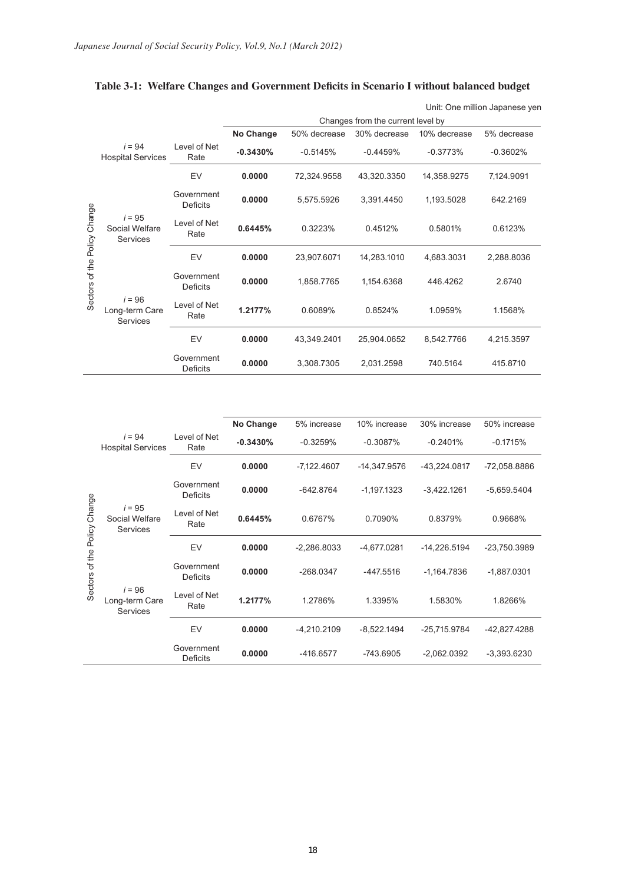|                       |                                               |                               |            |              |                                   |              | Unit: One million Japanese yen |
|-----------------------|-----------------------------------------------|-------------------------------|------------|--------------|-----------------------------------|--------------|--------------------------------|
|                       |                                               |                               |            |              | Changes from the current level by |              |                                |
|                       |                                               |                               | No Change  | 50% decrease | 30% decrease                      | 10% decrease | 5% decrease                    |
|                       | $i = 94$<br><b>Hospital Services</b>          | Level of Net<br>Rate          | $-0.3430%$ | $-0.5145%$   | $-0.4459%$                        | $-0.3773%$   | $-0.3602%$                     |
|                       |                                               | EV                            | 0.0000     | 72,324.9558  | 43,320.3350                       | 14,358.9275  | 7,124.9091                     |
|                       |                                               | Government<br><b>Deficits</b> | 0.0000     | 5,575.5926   | 3,391.4450                        | 1,193.5028   | 642.2169                       |
| Change                | $i = 95$<br>Social Welfare<br>Services        | Level of Net<br>Rate          | 0.6445%    | 0.3223%      | 0.4512%                           | 0.5801%      | 0.6123%                        |
|                       |                                               | EV                            | 0.0000     | 23,907.6071  | 14,283.1010                       | 4.683.3031   | 2,288.8036                     |
| Sectors of the Policy |                                               | Government<br><b>Deficits</b> | 0.0000     | 1,858.7765   | 1,154.6368                        | 446.4262     | 2.6740                         |
|                       | $i = 96$<br>Long-term Care<br><b>Services</b> | Level of Net<br>Rate          | 1.2177%    | 0.6089%      | 0.8524%                           | 1.0959%      | 1.1568%                        |
|                       |                                               | EV                            | 0.0000     | 43,349.2401  | 25,904.0652                       | 8,542.7766   | 4,215.3597                     |
|                       |                                               | Government<br>Deficits        | 0.0000     | 3,308.7305   | 2,031.2598                        | 740.5164     | 415.8710                       |

# **Table 3-1: Welfare Changes and Government Deficits in Scenario I without balanced budget**

|                  |                                               |                               | No Change  | 5% increase   | 10% increase  | 30% increase  | 50% increase  |
|------------------|-----------------------------------------------|-------------------------------|------------|---------------|---------------|---------------|---------------|
|                  | $i = 94$<br><b>Hospital Services</b>          | Level of Net<br>Rate          | $-0.3430%$ | $-0.3259%$    | $-0.3087%$    | $-0.2401%$    | $-0.1715%$    |
|                  |                                               | EV                            | 0.0000     | $-7,122.4607$ | -14,347.9576  | -43,224.0817  | -72,058.8886  |
| Change<br>Policy | $i = 95$<br>Social Welfare<br><b>Services</b> | Government<br>Deficits        | 0.0000     | $-642.8764$   | $-1,197.1323$ | $-3,422.1261$ | $-5,659.5404$ |
|                  |                                               | Level of Net<br>Rate          | 0.6445%    | 0.6767%       | 0.7090%       |               | 0.9668%       |
|                  |                                               | EV                            | 0.0000     | $-2,286.8033$ | $-4,677.0281$ | -14,226.5194  | -23,750.3989  |
| Sectors of the   |                                               | Government<br><b>Deficits</b> | 0.0000     | $-268.0347$   | $-447.5516$   | $-1,164.7836$ | $-1,887.0301$ |
|                  | $i = 96$<br>Long-term Care<br><b>Services</b> | Level of Net<br>Rate          | 1.2177%    | 1.2786%       | 1.3395%       | 1.5830%       | 1.8266%       |
|                  |                                               | EV                            | 0.0000     | $-4,210.2109$ | $-8,522.1494$ | -25,715.9784  | -42,827.4288  |
|                  |                                               | Government<br>Deficits        | 0.0000     | $-416.6577$   | $-743.6905$   | $-2,062.0392$ | $-3,393.6230$ |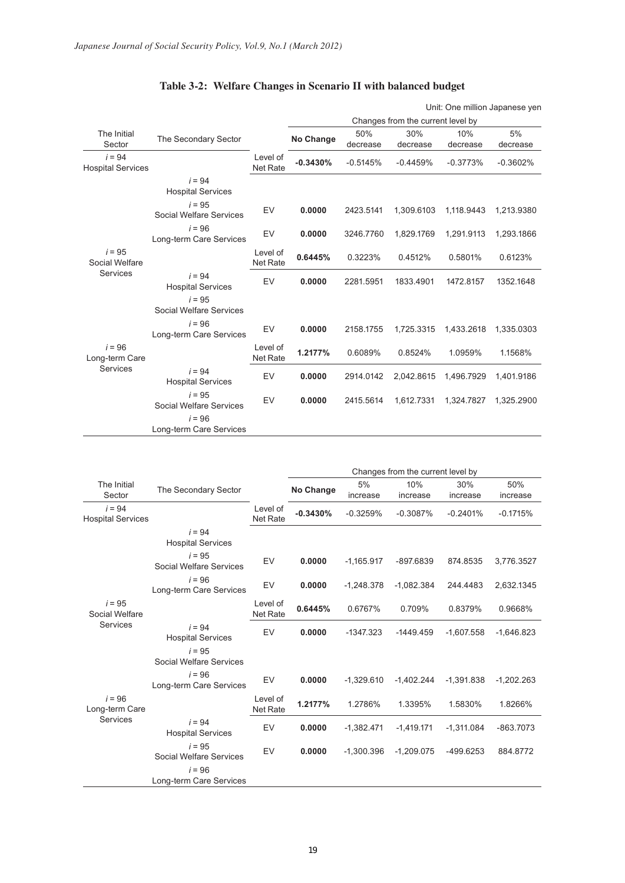|                                      |                                      |                             |            |                 |                                   |                 | Unit: One million Japanese yen |
|--------------------------------------|--------------------------------------|-----------------------------|------------|-----------------|-----------------------------------|-----------------|--------------------------------|
|                                      |                                      |                             |            |                 | Changes from the current level by |                 |                                |
| The Initial<br>Sector                | The Secondary Sector                 |                             | No Change  | 50%<br>decrease | 30%<br>decrease                   | 10%<br>decrease | 5%<br>decrease                 |
| $i = 94$<br><b>Hospital Services</b> |                                      | Level of<br><b>Net Rate</b> | $-0.3430%$ | $-0.5145%$      | $-0.4459%$                        | $-0.3773%$      | $-0.3602%$                     |
|                                      | $i = 94$<br><b>Hospital Services</b> |                             |            |                 |                                   |                 |                                |
|                                      | $i = 95$<br>Social Welfare Services  | EV                          | 0.0000     | 2423.5141       | 1,309.6103                        | 1,118.9443      | 1,213.9380                     |
|                                      | $i = 96$<br>Long-term Care Services  | EV                          | 0.0000     | 3246.7760       | 1,829.1769                        | 1,291.9113      | 1,293.1866                     |
| $i = 95$<br>Social Welfare           |                                      | Level of<br><b>Net Rate</b> | 0.6445%    | 0.3223%         | 0.4512%                           | 0.5801%         | 0.6123%                        |
| Services                             | $i = 94$<br><b>Hospital Services</b> | EV                          | 0.0000     | 2281.5951       | 1833.4901                         | 1472.8157       | 1352.1648                      |
|                                      | $i = 95$<br>Social Welfare Services  |                             |            |                 |                                   |                 |                                |
|                                      | $i = 96$<br>Long-term Care Services  | EV                          | 0.0000     | 2158.1755       | 1,725.3315                        | 1,433.2618      | 1,335.0303                     |
| $i = 96$<br>Long-term Care           |                                      | Level of<br><b>Net Rate</b> | 1.2177%    | 0.6089%         | 0.8524%                           | 1.0959%         | 1.1568%                        |
| <b>Services</b>                      | $i = 94$<br><b>Hospital Services</b> | EV                          | 0.0000     | 2914.0142       | 2,042.8615                        | 1,496.7929      | 1,401.9186                     |
|                                      | $i = 95$<br>Social Welfare Services  | EV                          | 0.0000     | 2415.5614       | 1,612.7331                        | 1,324.7827      | 1,325.2900                     |
|                                      | $i = 96$<br>Long-term Care Services  |                             |            |                 |                                   |                 |                                |

# **Table 3-2: Welfare Changes in Scenario II with balanced budget**

|                                      |                                      |                             |            |              | Changes from the current level by |              |              |
|--------------------------------------|--------------------------------------|-----------------------------|------------|--------------|-----------------------------------|--------------|--------------|
| The Initial                          |                                      |                             |            | 5%           | 10%                               | 30%          | 50%          |
| Sector                               | The Secondary Sector                 |                             | No Change  | increase     | increase                          | increase     | increase     |
| $i = 94$<br><b>Hospital Services</b> |                                      | Level of<br>Net Rate        | $-0.3430%$ | $-0.3259%$   | $-0.3087%$                        | $-0.2401%$   | $-0.1715%$   |
|                                      | $i = 94$<br><b>Hospital Services</b> |                             |            |              |                                   |              |              |
|                                      | $i = 95$<br>Social Welfare Services  | EV                          | 0.0000     | $-1,165.917$ | -897.6839                         | 874.8535     | 3,776.3527   |
|                                      | $i = 96$<br>Long-term Care Services  | EV                          | 0.0000     | $-1,248.378$ | $-1,082.384$                      | 244.4483     | 2,632.1345   |
| $i = 95$<br>Social Welfare           |                                      | Level of<br>Net Rate        | 0.6445%    | 0.6767%      | 0.709%                            | 0.8379%      | 0.9668%      |
| Services                             | $i = 94$<br><b>Hospital Services</b> | EV                          | 0.0000     | $-1347.323$  | $-1449.459$                       | $-1,607.558$ | $-1,646.823$ |
|                                      | $i = 95$<br>Social Welfare Services  |                             |            |              |                                   |              |              |
|                                      | $i = 96$<br>Long-term Care Services  | EV                          | 0.0000     | $-1.329.610$ | $-1.402.244$                      | $-1.391.838$ | $-1,202.263$ |
| $i = 96$<br>Long-term Care           |                                      | Level of<br><b>Net Rate</b> | 1.2177%    | 1.2786%      | 1.3395%                           | 1.5830%      | 1.8266%      |
| Services                             | $i = 94$<br><b>Hospital Services</b> | EV                          | 0.0000     | $-1,382.471$ | $-1,419.171$                      | $-1,311.084$ | $-863.7073$  |
|                                      | $i = 95$<br>Social Welfare Services  | EV                          | 0.0000     | $-1,300.396$ | $-1,209.075$                      | -499.6253    | 884.8772     |
|                                      | $i = 96$<br>Long-term Care Services  |                             |            |              |                                   |              |              |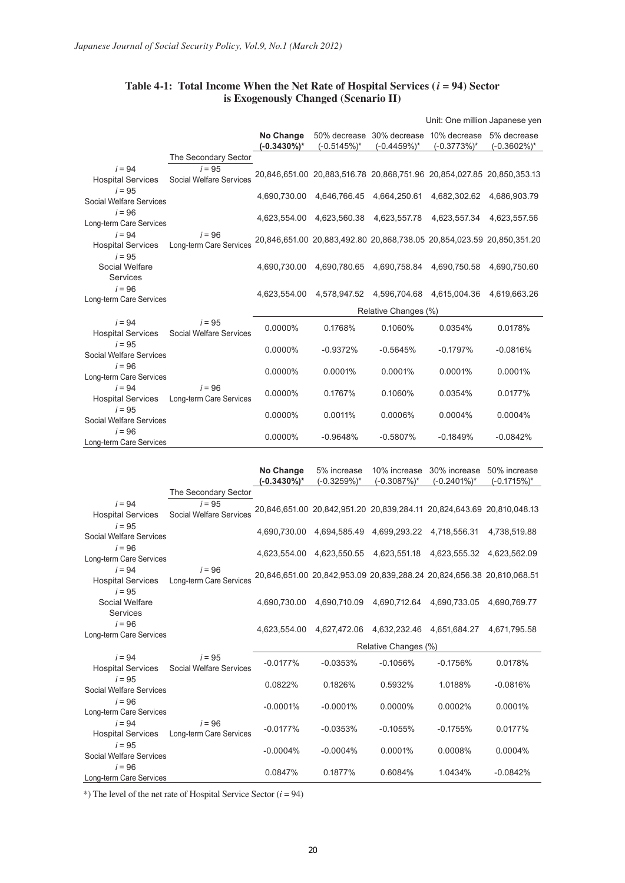|                                                  |                                     |                          |                                        |                           | Unit: One million Japanese yen                                        |                |
|--------------------------------------------------|-------------------------------------|--------------------------|----------------------------------------|---------------------------|-----------------------------------------------------------------------|----------------|
|                                                  |                                     | No Change<br>(-0.3430%)* | $(-0.5145%)$ *                         | $(-0.4459\%)^*$           | 50% decrease 30% decrease 10% decrease 5% decrease<br>$(-0.3773%)$ *  | $(-0.3602\%)*$ |
|                                                  | The Secondary Sector                |                          |                                        |                           |                                                                       |                |
| $i = 94$<br><b>Hospital Services</b>             | $i = 95$<br>Social Welfare Services |                          |                                        |                           | 20,846,651.00 20,883,516.78 20,868,751.96 20,854,027.85 20,850,353.13 |                |
| $i = 95$<br>Social Welfare Services              |                                     |                          | 4,690,730.00 4,646,766.45 4,664,250.61 |                           | 4,682,302.62                                                          | 4,686,903.79   |
| $i = 96$<br>Long-term Care Services              |                                     | 4.623.554.00             |                                        | 4,623,560.38 4,623,557.78 | 4,623,557.34                                                          | 4.623.557.56   |
| $i = 94$<br><b>Hospital Services</b><br>$i = 95$ | $i = 96$<br>Long-term Care Services |                          |                                        |                           | 20,846,651.00 20,883,492.80 20,868,738.05 20,854,023.59 20,850,351.20 |                |
| Social Welfare<br><b>Services</b>                |                                     | 4.690.730.00             |                                        | 4,690,780.65 4,690,758.84 | 4.690.750.58                                                          | 4.690.750.60   |
| $i = 96$<br>Long-term Care Services              |                                     | 4,623,554.00             |                                        | 4,578,947.52 4,596,704.68 | 4,615,004.36                                                          | 4,619,663.26   |
|                                                  |                                     |                          |                                        | Relative Changes (%)      |                                                                       |                |
| $i = 94$<br><b>Hospital Services</b>             | $i = 95$<br>Social Welfare Services | 0.0000%                  | 0.1768%                                | 0.1060%                   | 0.0354%                                                               | 0.0178%        |
| $i = 95$<br>Social Welfare Services              |                                     | 0.0000%                  | $-0.9372%$                             | $-0.5645%$                | $-0.1797%$                                                            | $-0.0816%$     |
| $i = 96$<br>Long-term Care Services              |                                     | 0.0000%                  | 0.0001%                                | 0.0001%                   | 0.0001%                                                               | 0.0001%        |
| $i = 94$<br><b>Hospital Services</b>             | $i = 96$<br>Long-term Care Services | 0.0000%                  | 0.1767%                                | 0.1060%                   | 0.0354%                                                               | 0.0177%        |
| $i = 95$<br>Social Welfare Services              |                                     | 0.0000%                  | 0.0011%                                | 0.0006%                   | 0.0004%                                                               | 0.0004%        |
| $i = 96$<br>Long-term Care Services              |                                     | 0.0000%                  | $-0.9648%$                             | $-0.5807%$                | $-0.1849%$                                                            | $-0.0842%$     |

## **Table 4-1: Total Income When the Net Rate of Hospital Services (***i* **= 94) Sector is Exogenously Changed (Scenario II)**

|                                      |                                                       | No Change    | 5% increase                            | 10% increase                           | 30% increase 50% increase                                             |                 |
|--------------------------------------|-------------------------------------------------------|--------------|----------------------------------------|----------------------------------------|-----------------------------------------------------------------------|-----------------|
|                                      |                                                       | (-0.3430%)*  | $(-0.3259\%)*$                         | $(-0.3087%)*$                          | $(-0.2401\%)*$                                                        | $(-0.1715\%)^*$ |
|                                      | The Secondary Sector                                  |              |                                        |                                        |                                                                       |                 |
| $i = 94$<br><b>Hospital Services</b> | $i = 95$<br><b>Social Welfare Services</b>            |              |                                        |                                        | 20.846.651.00 20.842.951.20 20.839.284.11 20.824.643.69 20.810.048.13 |                 |
| $i = 95$<br>Social Welfare Services  |                                                       |              | 4,690,730.00 4,694,585.49 4,699,293.22 |                                        | 4,718,556.31                                                          | 4,738,519.88    |
| $i = 96$<br>Long-term Care Services  |                                                       | 4.623.554.00 |                                        |                                        | 4,623,550.55 4,623,551.18 4,623,555.32                                | 4.623.562.09    |
| $i = 94$<br>$i = 95$                 | $i = 96$<br>Hospital Services Long-term Care Services |              |                                        |                                        | 20,846,651.00 20,842,953.09 20,839,288.24 20,824,656.38 20,810,068.51 |                 |
| Social Welfare<br><b>Services</b>    |                                                       | 4.690.730.00 |                                        |                                        | 4,690,710.09 4,690,712.64 4,690,733.05                                | 4.690.769.77    |
| $i = 96$<br>Long-term Care Services  |                                                       | 4,623,554.00 |                                        | 4,627,472.06 4,632,232.46 4,651,684.27 |                                                                       | 4,671,795.58    |
|                                      |                                                       |              |                                        | Relative Changes (%)                   |                                                                       |                 |
| $i = 94$<br><b>Hospital Services</b> | $i = 95$<br>Social Welfare Services                   | $-0.0177%$   | $-0.0353%$                             | $-0.1056%$                             | $-0.1756%$                                                            | 0.0178%         |
| $i = 95$<br>Social Welfare Services  |                                                       | 0.0822%      | 0.1826%                                | 0.5932%                                | 1.0188%                                                               | $-0.0816%$      |
| $i = 96$<br>Long-term Care Services  |                                                       | $-0.0001%$   | $-0.0001%$                             | 0.0000%                                | 0.0002%                                                               | 0.0001%         |
| $i = 94$                             | $i = 96$<br>Hospital Services Long-term Care Services | $-0.0177%$   | $-0.0353%$                             | $-0.1055%$                             | $-0.1755%$                                                            | 0.0177%         |
| $i = 95$<br>Social Welfare Services  |                                                       | $-0.0004%$   | $-0.0004\%$                            | 0.0001%                                | 0.0008%                                                               | 0.0004%         |
| $i = 96$<br>Long-term Care Services  |                                                       | 0.0847%      | 0.1877%                                | 0.6084%                                | 1.0434%                                                               | $-0.0842%$      |

\*) The level of the net rate of Hospital Service Sector (*i* = 94)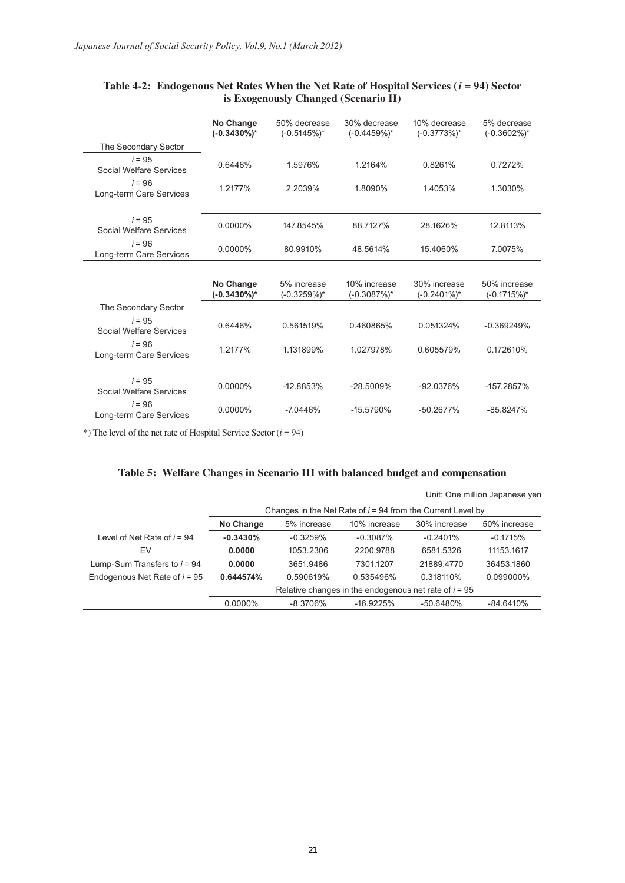|                                     | No Change<br>$(-0.3430\%)*$ | 50% decrease<br>$(-0.5145%)*$ | 30% decrease<br>$(-0.4459%)$ * | 10% decrease<br>$(-0.3773%)$ * | 5% decrease<br>$(-0.3602\%)*$  |
|-------------------------------------|-----------------------------|-------------------------------|--------------------------------|--------------------------------|--------------------------------|
| The Secondary Sector                |                             |                               |                                |                                |                                |
| $i = 95$<br>Social Welfare Services | 0.6446%                     | 1.5976%                       | 1.2164%                        | 0.8261%                        | 0.7272%                        |
| $i = 96$<br>Long-term Care Services | 1.2177%                     | 2.2039%                       | 1.8090%                        | 1.4053%                        | 1.3030%                        |
| $i = 95$<br>Social Welfare Services | 0.0000%                     | 147.8545%                     | 88.7127%                       | 28.1626%                       | 12.8113%                       |
| $i = 96$<br>Long-term Care Services | $0.0000\%$                  | 80.9910%                      | 48.5614%                       | 15.4060%                       | 7.0075%                        |
|                                     |                             |                               |                                |                                |                                |
|                                     | No Change<br>$(-0.3430\%)*$ | 5% increase<br>$(-0.3259\%)*$ | 10% increase<br>$(-0.3087\%)*$ | 30% increase<br>$(-0.2401\%)*$ | 50% increase<br>$(-0.1715%)$ * |
| The Secondary Sector                |                             |                               |                                |                                |                                |
| $i = 95$<br>Social Welfare Services | 0.6446%                     | 0.561519%                     | 0.460865%                      | 0.051324%                      | $-0.369249%$                   |
| $i = 96$<br>Long-term Care Services | 1.2177%                     | 1.131899%                     | 1.027978%                      | 0.605579%                      | 0.172610%                      |
| $i = 95$<br>Social Welfare Services | 0.0000%                     | $-12.8853%$                   | $-28.5009%$                    | -92.0376%                      | -157.2857%                     |
| $i = 96$<br>Long-term Care Services | 0.0000%                     | $-7.0446%$                    | $-15.5790%$                    | $-50.2677%$                    | $-85.8247%$                    |

## **Table 4-2: Endogenous Net Rates When the Net Rate of Hospital Services (***i* **= 94) Sector is Exogenously Changed (Scenario II)**

\*) The level of the net rate of Hospital Service Sector (*i* = 94)

# **Table 5: Welfare Changes in Scenario III with balanced budget and compensation**

|                                 |            |                                                               |              |              | Unit: One million Japanese yen |
|---------------------------------|------------|---------------------------------------------------------------|--------------|--------------|--------------------------------|
|                                 |            | Changes in the Net Rate of $i = 94$ from the Current Level by |              |              |                                |
|                                 | No Change  | 5% increase                                                   | 10% increase | 30% increase | 50% increase                   |
| Level of Net Rate of $i = 94$   | $-0.3430%$ | $-0.3259%$                                                    | $-0.3087%$   | $-0.2401%$   | $-0.1715%$                     |
| EV                              | 0.0000     | 1053.2306                                                     | 2200.9788    | 6581.5326    | 11153.1617                     |
| Lump-Sum Transfers to $i = 94$  | 0.0000     | 3651.9486                                                     | 7301.1207    | 21889.4770   | 36453.1860                     |
| Endogenous Net Rate of $i = 95$ | 0.644574%  | 0.590619%                                                     | 0.535496%    | 0.318110%    | 0.099000%                      |
|                                 |            | Relative changes in the endogenous net rate of $i = 95$       |              |              |                                |
|                                 | 0.0000%    | $-8.3706%$                                                    | $-16.9225%$  | $-50.6480%$  | $-84.6410%$                    |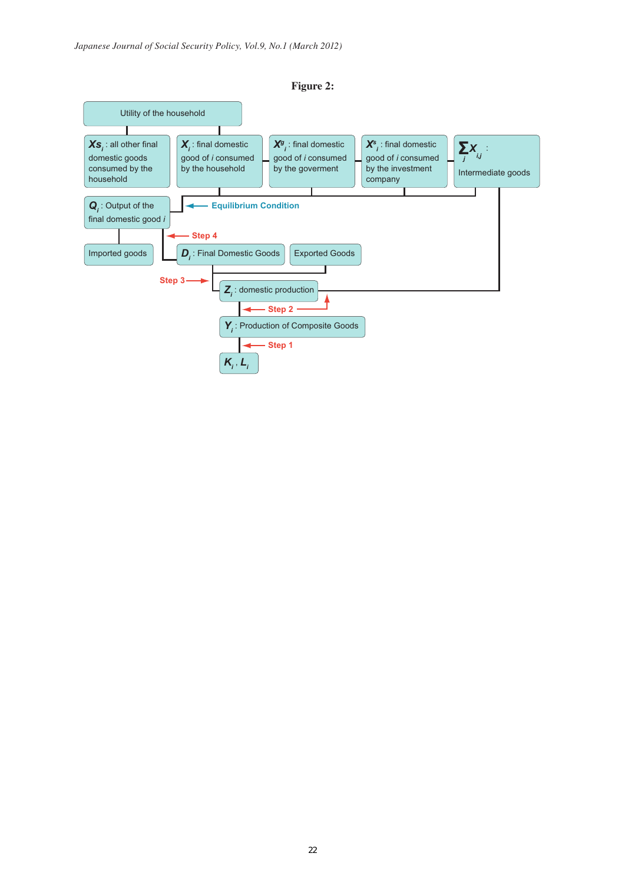

**Figure 2:**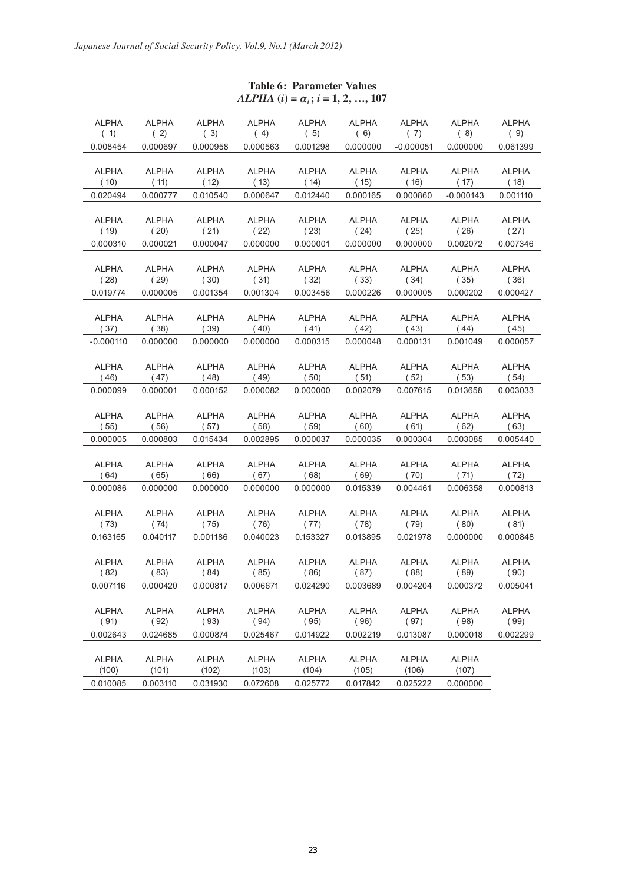| <b>ALPHA</b><br>(1)  | <b>ALPHA</b><br>(2)  | <b>ALPHA</b><br>(3) | <b>ALPHA</b><br>(4)  | <b>ALPHA</b><br>(5)  | ALPHA<br>(6)         | ALPHA<br>(7)  | <b>ALPHA</b><br>(8) | ALPHA<br>(9)         |
|----------------------|----------------------|---------------------|----------------------|----------------------|----------------------|---------------|---------------------|----------------------|
| 0.008454             | 0.000697             | 0.000958            | 0.000563             | 0.001298             | 0.000000             | $-0.000051$   | 0.000000            | 0.061399             |
|                      |                      |                     |                      |                      |                      |               |                     |                      |
| <b>ALPHA</b>         | <b>ALPHA</b>         | <b>ALPHA</b>        | ALPHA                | ALPHA                | <b>ALPHA</b>         | ALPHA         | <b>ALPHA</b>        | <b>ALPHA</b>         |
| (10)                 | (11)                 | (12)                | (13)                 | (14)                 | (15)                 | (16)          | (17)                | (18)                 |
| 0.020494             | 0.000777             | 0.010540            | 0.000647             | 0.012440             | 0.000165             | 0.000860      | $-0.000143$         | 0.001110             |
|                      |                      |                     |                      |                      |                      |               |                     |                      |
| <b>ALPHA</b>         | <b>ALPHA</b>         | <b>ALPHA</b>        | ALPHA                | ALPHA                | ALPHA                | ALPHA         | ALPHA               | <b>ALPHA</b>         |
| ( 19)                | (20)                 | (21)                | (22)                 | (23)                 | (24)                 | (25)          | (26)                | (27)                 |
| 0.000310             | 0.000021             | 0.000047            | 0.000000             | 0.000001             | 0.000000             | 0.000000      | 0.002072            | 0.007346             |
|                      |                      |                     |                      |                      |                      |               |                     |                      |
| <b>ALPHA</b><br>(28) | <b>ALPHA</b><br>(29) | ALPHA<br>(30)       | ALPHA<br>(31)        | ALPHA<br>(32)        | ALPHA<br>(33)        | ALPHA<br>(34) | ALPHA<br>(35)       | <b>ALPHA</b><br>(36) |
| 0.019774             | 0.000005             | 0.001354            | 0.001304             | 0.003456             | 0.000226             | 0.000005      | 0.000202            | 0.000427             |
|                      |                      |                     |                      |                      |                      |               |                     |                      |
| <b>ALPHA</b>         | ALPHA                | ALPHA               | ALPHA                | ALPHA                | ALPHA                | ALPHA         | ALPHA               | <b>ALPHA</b>         |
| (37)                 | (38)                 | (39)                | (40)                 | (41)                 | (42)                 | (43)          | (44)                | (45)                 |
| $-0.000110$          | 0.000000             | 0.000000            | 0.000000             | 0.000315             | 0.000048             | 0.000131      | 0.001049            | 0.000057             |
|                      |                      |                     |                      |                      |                      |               |                     |                      |
| <b>ALPHA</b>         | ALPHA                | <b>ALPHA</b>        | ALPHA                | <b>ALPHA</b>         | ALPHA                | ALPHA         | ALPHA               | ALPHA                |
| (46)                 | (47)                 | (48)                | (49)                 | (50)                 | (51)                 | (52)          | (53)                | (54)                 |
| 0.000099             | 0.000001             | 0.000152            | 0.000082             | 0.000000             | 0.002079             | 0.007615      | 0.013658            | 0.003033             |
|                      |                      |                     |                      |                      |                      |               |                     |                      |
| <b>ALPHA</b><br>(55) | <b>ALPHA</b><br>(56) | ALPHA<br>(57)       | <b>ALPHA</b><br>(58) | <b>ALPHA</b><br>(59) | <b>ALPHA</b><br>(60) | ALPHA<br>(61) | ALPHA<br>(62)       | ALPHA<br>(63)        |
| 0.000005             | 0.000803             | 0.015434            | 0.002895             | 0.000037             | 0.000035             | 0.000304      | 0.003085            | 0.005440             |
|                      |                      |                     |                      |                      |                      |               |                     |                      |
| <b>ALPHA</b>         | <b>ALPHA</b>         | ALPHA               | <b>ALPHA</b>         | <b>ALPHA</b>         | <b>ALPHA</b>         | ALPHA         | ALPHA               | <b>ALPHA</b>         |
| (64)                 | (65)                 | (66)                | (67)                 | (68)                 | (69)                 | (70)          | (71)                | (72)                 |
| 0.000086             | 0.000000             | 0.000000            | 0.000000             | 0.000000             | 0.015339             | 0.004461      | 0.006358            | 0.000813             |
|                      |                      |                     |                      |                      |                      |               |                     |                      |
| <b>ALPHA</b>         | <b>ALPHA</b>         | <b>ALPHA</b>        | <b>ALPHA</b>         | <b>ALPHA</b>         | <b>ALPHA</b>         | <b>ALPHA</b>  | ALPHA               | ALPHA                |
| (73)                 | (74)                 | (75)                | (76)                 | (77)                 | (78)                 | (79)          | (80)                | (81)                 |
| 0.163165             | 0.040117             | 0.001186            | 0.040023             | 0.153327             | 0.013895             | 0.021978      | 0.000000            | 0.000848             |
| <b>ALPHA</b>         | <b>ALPHA</b>         | ALPHA               | ALPHA                | ALPHA                | ALPHA                | ALPHA         | ALPHA               | ALPHA                |
| (82)                 | (83)                 | (84)                | (85)                 | (86)                 | (87)                 | (88)          | (89)                | (90)                 |
| 0.007116             | 0.000420             | 0.000817            | 0.006671             | 0.024290             | 0.003689             | 0.004204      | 0.000372            | 0.005041             |
|                      |                      |                     |                      |                      |                      |               |                     |                      |
| <b>ALPHA</b>         | <b>ALPHA</b>         | <b>ALPHA</b>        | <b>ALPHA</b>         | <b>ALPHA</b>         | <b>ALPHA</b>         | <b>ALPHA</b>  | <b>ALPHA</b>        | <b>ALPHA</b>         |
| (91)                 | (92)                 | (93)                | (94)                 | (95)                 | (96)                 | (97)          | (98)                | (99)                 |
| 0.002643             | 0.024685             | 0.000874            | 0.025467             | 0.014922             | 0.002219             | 0.013087      | 0.000018            | 0.002299             |
|                      |                      |                     |                      |                      |                      |               |                     |                      |
| <b>ALPHA</b>         | <b>ALPHA</b>         | <b>ALPHA</b>        | <b>ALPHA</b>         | <b>ALPHA</b>         | <b>ALPHA</b>         | <b>ALPHA</b>  | <b>ALPHA</b>        |                      |
| (100)                | (101)                | (102)               | (103)                | (104)                | (105)                | (106)         | (107)               |                      |
| 0.010085             | 0.003110             | 0.031930            | 0.072608             | 0.025772             | 0.017842             | 0.025222      | 0.000000            |                      |

# **Table 6: Parameter Values**  $ALPHA$  (*i*) =  $\alpha_i$ ; *i* = 1, 2, …, 107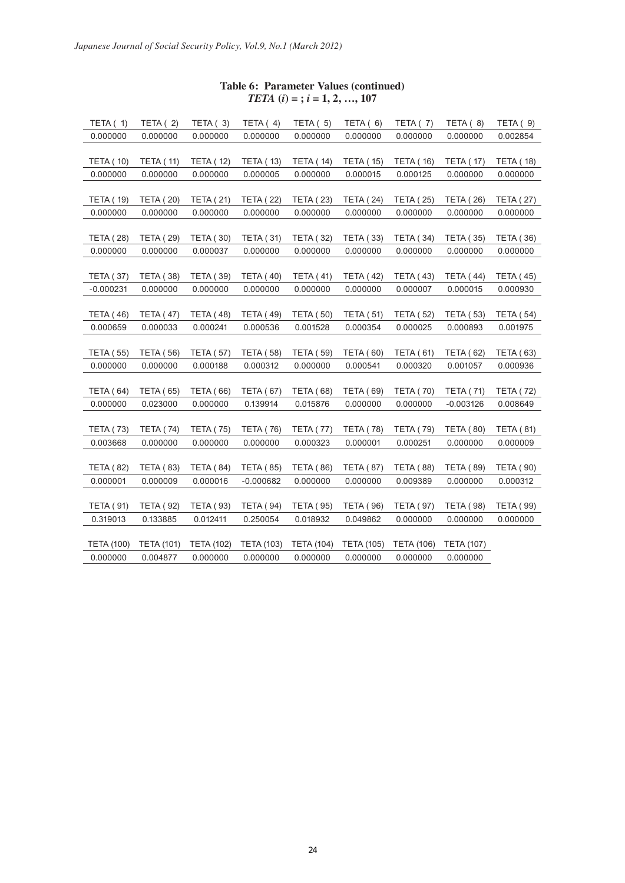## **Table 6: Parameter Values (continued)**  $TETA (i) =$ ;  $i = 1, 2, ..., 107$

| TETA $(1)$        | TETA $(2)$        | TETA $(3)$        | TETA $(4)$        | TETA $(5)$        | TETA $(6)$        | TETA $(7)$        | TETA $(8)$        | TETA (9)         |
|-------------------|-------------------|-------------------|-------------------|-------------------|-------------------|-------------------|-------------------|------------------|
| 0.000000          | 0.000000          | 0.000000          | 0.000000          | 0.000000          | 0.000000          | 0.000000          | 0.000000          | 0.002854         |
|                   |                   |                   |                   |                   |                   |                   |                   |                  |
| <b>TETA (10)</b>  | <b>TETA (11)</b>  | <b>TETA (12)</b>  | <b>TETA (13)</b>  | <b>TETA (14)</b>  | <b>TETA (15)</b>  | <b>TETA (16)</b>  | <b>TETA (17)</b>  | <b>TETA (18)</b> |
| 0.000000          | 0.000000          | 0.000000          | 0.000005          | 0.000000          | 0.000015          | 0.000125          | 0.000000          | 0.000000         |
|                   |                   |                   |                   |                   |                   |                   |                   |                  |
| <b>TETA (19)</b>  | <b>TETA (20)</b>  | <b>TETA (21)</b>  | <b>TETA (22)</b>  | <b>TETA (23)</b>  | <b>TETA (24)</b>  | <b>TETA (25)</b>  | <b>TETA (26)</b>  | <b>TETA (27)</b> |
| 0.000000          | 0.000000          | 0.000000          | 0.000000          | 0.000000          | 0.000000          | 0.000000          | 0.000000          | 0.000000         |
|                   |                   |                   |                   |                   |                   |                   |                   |                  |
| <b>TETA (28)</b>  | <b>TETA (29)</b>  | <b>TETA (30)</b>  | <b>TETA (31)</b>  | <b>TETA (32)</b>  | <b>TETA (33)</b>  | <b>TETA (34)</b>  | <b>TETA (35)</b>  | <b>TETA (36)</b> |
| 0.000000          | 0.000000          | 0.000037          | 0.000000          | 0.000000          | 0.000000          | 0.000000          | 0.000000          | 0.000000         |
| <b>TETA (37)</b>  | <b>TETA (38)</b>  | <b>TETA (39)</b>  | <b>TETA (40)</b>  | <b>TETA (41)</b>  | <b>TETA (42)</b>  | <b>TETA (43)</b>  | <b>TETA (44)</b>  | <b>TETA (45)</b> |
| $-0.000231$       | 0.000000          | 0.000000          | 0.000000          | 0.000000          | 0.000000          | 0.000007          | 0.000015          | 0.000930         |
|                   |                   |                   |                   |                   |                   |                   |                   |                  |
| <b>TETA (46)</b>  | <b>TETA (47)</b>  | <b>TETA (48)</b>  | <b>TETA (49)</b>  | <b>TETA (50)</b>  | <b>TETA (51)</b>  | <b>TETA (52)</b>  | <b>TETA (53)</b>  | <b>TETA (54)</b> |
| 0.000659          | 0.000033          | 0.000241          | 0.000536          | 0.001528          | 0.000354          | 0.000025          | 0.000893          | 0.001975         |
|                   |                   |                   |                   |                   |                   |                   |                   |                  |
| <b>TETA (55)</b>  | <b>TETA (56)</b>  | <b>TETA (57)</b>  | <b>TETA (58)</b>  | <b>TETA (59)</b>  | <b>TETA (60)</b>  | <b>TETA (61)</b>  | <b>TETA (62)</b>  | <b>TETA (63)</b> |
| 0.000000          | 0.000000          | 0.000188          | 0.000312          | 0.000000          | 0.000541          | 0.000320          | 0.001057          | 0.000936         |
|                   |                   |                   |                   |                   |                   |                   |                   |                  |
| <b>TETA (64)</b>  | <b>TETA (65)</b>  | <b>TETA (66)</b>  | <b>TETA (67)</b>  | <b>TETA (68)</b>  | <b>TETA (69)</b>  | <b>TETA (70)</b>  | <b>TETA (71)</b>  | <b>TETA (72)</b> |
| 0.000000          | 0.023000          | 0.000000          | 0.139914          | 0.015876          | 0.000000          | 0.000000          | $-0.003126$       | 0.008649         |
|                   |                   |                   |                   |                   |                   |                   |                   |                  |
| <b>TETA (73)</b>  | <b>TETA (74)</b>  | <b>TETA (75)</b>  | <b>TETA (76)</b>  | <b>TETA (77)</b>  | <b>TETA (78)</b>  | <b>TETA (79)</b>  | <b>TETA (80)</b>  | <b>TETA (81)</b> |
| 0.003668          | 0.000000          | 0.000000          | 0.000000          | 0.000323          | 0.000001          | 0.000251          | 0.000000          | 0.000009         |
|                   |                   |                   |                   |                   |                   |                   |                   |                  |
| <b>TETA (82)</b>  | <b>TETA (83)</b>  | <b>TETA (84)</b>  | <b>TETA (85)</b>  | <b>TETA (86)</b>  | <b>TETA (87)</b>  | <b>TETA (88)</b>  | <b>TETA (89)</b>  | <b>TETA (90)</b> |
| 0.000001          | 0.000009          | 0.000016          | $-0.000682$       | 0.000000          | 0.000000          | 0.009389          | 0.000000          | 0.000312         |
|                   |                   |                   |                   |                   |                   |                   |                   |                  |
| <b>TETA (91)</b>  | <b>TETA (92)</b>  | <b>TETA (93)</b>  | <b>TETA (94)</b>  | <b>TETA (95)</b>  | <b>TETA (96)</b>  | <b>TETA (97)</b>  | <b>TETA (98)</b>  | <b>TETA (99)</b> |
| 0.319013          | 0.133885          | 0.012411          | 0.250054          | 0.018932          | 0.049862          | 0.000000          | 0.000000          | 0.000000         |
| <b>TETA (100)</b> | <b>TETA (101)</b> | <b>TETA (102)</b> | <b>TETA (103)</b> | <b>TETA (104)</b> | <b>TETA (105)</b> | <b>TETA (106)</b> | <b>TETA (107)</b> |                  |
| 0.000000          | 0.004877          | 0.000000          | 0.000000          | 0.000000          | 0.000000          | 0.000000          | 0.000000          |                  |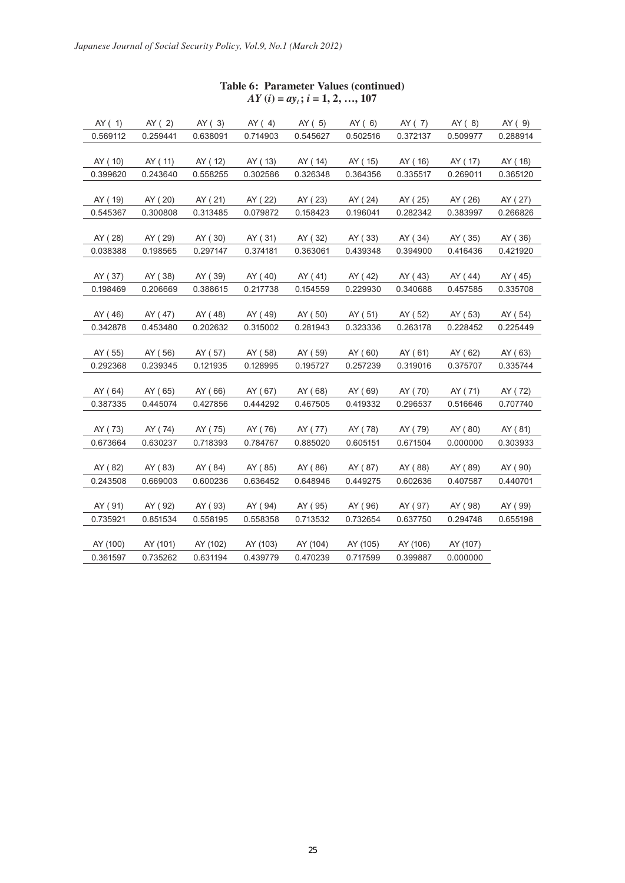| AY(1)    | AY(2)    | AY(3)    | AY (4)   | AY (5)   | AY(6)    | AY (7)   | AY (8)   | AY (9)   |
|----------|----------|----------|----------|----------|----------|----------|----------|----------|
| 0.569112 | 0.259441 | 0.638091 | 0.714903 | 0.545627 | 0.502516 | 0.372137 | 0.509977 | 0.288914 |
|          |          |          |          |          |          |          |          |          |
| AY (10)  | AY (11)  | AY (12)  | AY (13)  | AY ( 14) | AY (15)  | AY (16)  | AY (17)  | AY (18)  |
| 0.399620 | 0.243640 | 0.558255 | 0.302586 | 0.326348 | 0.364356 | 0.335517 | 0.269011 | 0.365120 |
|          |          |          |          |          |          |          |          |          |
| AY (19)  | AY (20)  | AY (21)  | AY (22)  | AY (23)  | AY (24)  | AY (25)  | AY (26)  | AY (27)  |
| 0.545367 | 0.300808 | 0.313485 | 0.079872 | 0.158423 | 0.196041 | 0.282342 | 0.383997 | 0.266826 |
|          |          |          |          |          |          |          |          |          |
| AY (28)  | AY (29)  | AY (30)  | AY (31)  | AY (32)  | AY (33)  | AY (34)  | AY (35)  | AY (36)  |
| 0.038388 | 0.198565 | 0.297147 | 0.374181 | 0.363061 | 0.439348 | 0.394900 | 0.416436 | 0.421920 |
|          |          |          |          |          |          |          |          |          |
| AY (37)  | AY (38)  | AY (39)  | AY (40)  | AY ( 41) | AY ( 42) | AY (43)  | AY (44)  | AY (45)  |
| 0.198469 | 0.206669 | 0.388615 | 0.217738 | 0.154559 | 0.229930 | 0.340688 | 0.457585 | 0.335708 |
|          |          |          |          |          |          |          |          |          |
| AY (46)  | AY (47)  | AY (48)  | AY (49)  | AY (50)  | AY (51)  | AY (52)  | AY (53)  | AY (54)  |
| 0.342878 | 0.453480 | 0.202632 | 0.315002 | 0.281943 | 0.323336 | 0.263178 | 0.228452 | 0.225449 |
|          |          |          |          |          |          |          |          |          |
| AY (55)  | AY ( 56) | AY (57)  | AY (58)  | AY (59)  | AY (60)  | AY (61)  | AY (62)  | AY (63)  |
| 0.292368 | 0.239345 | 0.121935 | 0.128995 | 0.195727 | 0.257239 | 0.319016 | 0.375707 | 0.335744 |
|          |          |          |          |          |          |          |          |          |
| AY (64)  | AY (65)  | AY (66)  | AY (67)  | AY (68)  | AY (69)  | AY (70)  | AY (71)  | AY (72)  |
| 0.387335 | 0.445074 | 0.427856 | 0.444292 | 0.467505 | 0.419332 | 0.296537 | 0.516646 | 0.707740 |
|          |          |          |          |          |          |          |          |          |
| AY (73)  | AY ( 74) | AY (75)  | AY (76)  | AY (77)  | AY (78)  | AY (79)  | AY (80)  | AY (81)  |
| 0.673664 | 0.630237 | 0.718393 | 0.784767 | 0.885020 | 0.605151 | 0.671504 | 0.000000 | 0.303933 |
|          |          |          |          |          |          |          |          |          |
| AY (82)  | AY (83)  | AY (84)  | AY (85)  | AY (86)  | AY (87)  | AY (88)  | AY (89)  | AY (90)  |
| 0.243508 | 0.669003 | 0.600236 | 0.636452 | 0.648946 | 0.449275 | 0.602636 | 0.407587 | 0.440701 |
|          |          |          |          |          |          |          |          |          |
| AY (91)  | AY (92)  | AY (93)  | AY (94)  | AY (95)  | AY (96)  | AY (97)  | AY (98)  | AY (99)  |
| 0.735921 | 0.851534 | 0.558195 | 0.558358 | 0.713532 | 0.732654 | 0.637750 | 0.294748 | 0.655198 |
|          |          |          |          |          |          |          |          |          |
| AY (100) | AY (101) | AY (102) | AY (103) | AY (104) | AY (105) | AY (106) | AY (107) |          |
| 0.361597 | 0.735262 | 0.631194 | 0.439779 | 0.470239 | 0.717599 | 0.399887 | 0.000000 |          |

# **Table 6: Parameter Values (continued)**  $AY (i) = ay_i; i = 1, 2, ..., 107$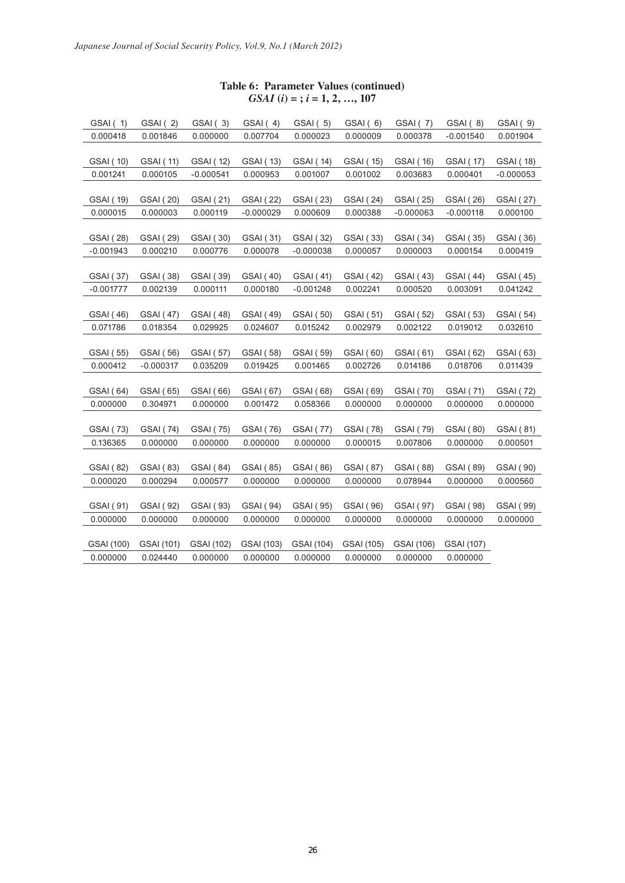## **Table 6: Parameter Values (continued)** *GSAI* **(***i***) = ;** *i* **= 1, 2, …, 107**

| GSAI (1)         | GSAI (2)         | GSAI (3)    | GSAI (4)         | GSAI (5)         | GSAI (6)         | GSAI (7)         | GSAI (8)         | GSAI (9)         |
|------------------|------------------|-------------|------------------|------------------|------------------|------------------|------------------|------------------|
| 0.000418         | 0.001846         | 0.000000    | 0.007704         | 0.000023         | 0.000009         | 0.000378         | $-0.001540$      | 0.001904         |
|                  |                  |             |                  |                  |                  |                  |                  |                  |
| GSAI (10)        | GSAI (11)        | GSAI (12)   | GSAI (13)        | GSAI (14)        | GSAI (15)        | GSAI (16)        | GSAI (17)        | GSAI (18)        |
| 0.001241         | 0.000105         | $-0.000541$ | 0.000953         | 0.001007         | 0.001002         | 0.003683         | 0.000401         | $-0.000053$      |
|                  |                  |             |                  |                  |                  |                  |                  |                  |
| GSAI (19)        | GSAI (20)        | GSAI (21)   | <b>GSAI</b> (22) | <b>GSAI</b> (23) | GSAI (24)        | GSAI (25)        | GSAI (26)        | GSAI (27)        |
| 0.000015         | 0.000003         | 0.000119    | $-0.000029$      | 0.000609         | 0.000388         | $-0.000063$      | $-0.000118$      | 0.000100         |
|                  |                  |             |                  |                  |                  |                  |                  |                  |
| GSAI (28)        | GSAI (29)        | GSAI (30)   | GSAI (31)        | GSAI (32)        | GSAI (33)        | GSAI (34)        | GSAI (35)        | GSAI (36)        |
| $-0.001943$      | 0.000210         | 0.000776    | 0.000078         | $-0.000038$      | 0.000057         | 0.000003         | 0.000154         | 0.000419         |
| GSAI (37)        | GSAI (38)        | GSAI (39)   | GSAI (40)        | GSAI (41)        | GSAI (42)        | GSAI (43)        | <b>GSAI</b> (44) | GSAI (45)        |
| $-0.001777$      | 0.002139         | 0.000111    | 0.000180         | $-0.001248$      | 0.002241         | 0.000520         | 0.003091         | 0.041242         |
|                  |                  |             |                  |                  |                  |                  |                  |                  |
| GSAI (46)        | <b>GSAI</b> (47) | GSAI (48)   | GSAI (49)        | GSAI (50)        | GSAI (51)        | GSAI (52)        | GSAI (53)        | GSAI (54)        |
| 0.071786         | 0.018354         | 0.029925    | 0.024607         | 0.015242         | 0.002979         | 0.002122         | 0.019012         | 0.032610         |
|                  |                  |             |                  |                  |                  |                  |                  |                  |
| GSAI (55)        | GSAI (56)        | GSAI (57)   | GSAI (58)        | GSAI (59)        | GSAI (60)        | GSAI (61)        | GSAI (62)        | GSAI (63)        |
| 0.000412         | $-0.000317$      | 0.035209    | 0.019425         | 0.001465         | 0.002726         | 0.014186         | 0.018706         | 0.011439         |
|                  |                  |             |                  |                  |                  |                  |                  |                  |
| GSAI (64)        | GSAI (65)        | GSAI (66)   | GSAI (67)        | GSAI (68)        | GSAI (69)        | <b>GSAI</b> (70) | GSAI (71)        | <b>GSAI</b> (72) |
| 0.000000         | 0.304971         | 0.000000    | 0.001472         | 0.058366         | 0.000000         | 0.000000         | 0.000000         | 0.000000         |
|                  |                  |             |                  |                  |                  |                  |                  |                  |
| <b>GSAI</b> (73) | GSAI (74)        | GSAI (75)   | GSAI (76)        | <b>GSAI</b> (77) | <b>GSAI</b> (78) | GSAI (79)        | GSAI (80)        | GSAI (81)        |
| 0.136365         | 0.000000         | 0.000000    | 0.000000         | 0.000000         | 0.000015         | 0.007806         | 0.000000         | 0.000501         |
|                  |                  |             |                  |                  |                  |                  |                  |                  |
| GSAI (82)        | GSAI (83)        | GSAI (84)   | GSAI (85)        | GSAI (86)        | GSAI (87)        | GSAI (88)        | GSAI (89)        | GSAI (90)        |
| 0.000020         | 0.000294         | 0.000577    | 0.000000         | 0.000000         | 0.000000         | 0.078944         | 0.000000         | 0.000560         |
|                  |                  |             |                  |                  |                  |                  |                  |                  |
| GSAI (91)        | GSAI (92)        | GSAI (93)   | GSAI (94)        | GSAI (95)        | GSAI (96)        | GSAI (97)        | GSAI (98)        | GSAI (99)        |
| 0.000000         | 0.000000         | 0.000000    | 0.000000         | 0.000000         | 0.000000         | 0.000000         | 0.000000         | 0.000000         |
|                  |                  |             |                  |                  |                  |                  |                  |                  |
| GSAI (100)       | GSAI (101)       | GSAI (102)  | GSAI (103)       | GSAI (104)       | GSAI (105)       | GSAI (106)       | GSAI (107)       |                  |
| 0.000000         | 0.024440         | 0.000000    | 0.000000         | 0.000000         | 0.000000         | 0.000000         | 0.000000         |                  |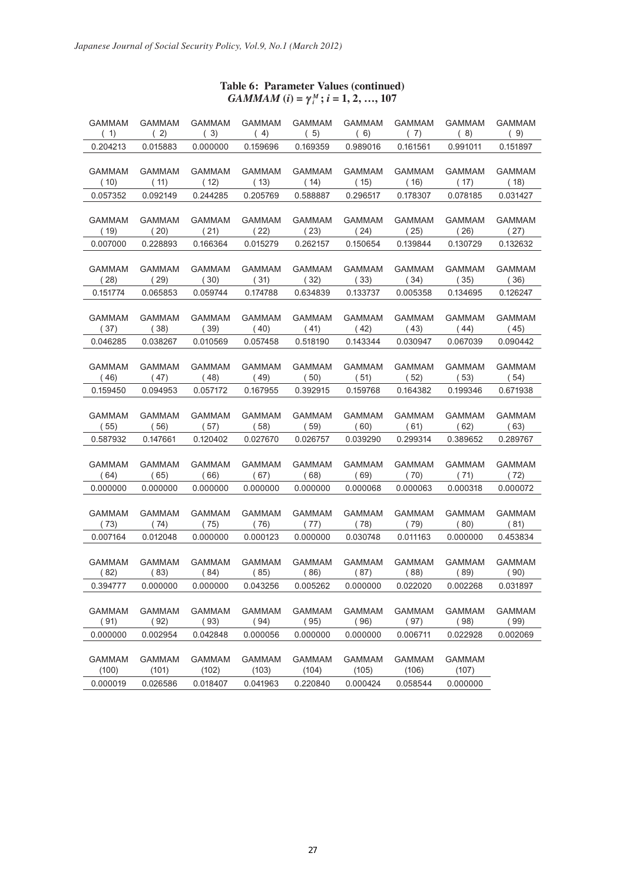## **Table 6: Parameter Values (continued)**  $GAMMAM$  (*i*) =  $\gamma_i^M$ ; *i* = 1, 2, …, 107

| (1)<br>(2)<br>(3)<br>(7)<br>(8)<br>(9)<br>(4)<br>(5)<br>(6)<br>0.204213<br>0.015883<br>0.000000<br>0.159696<br>0.169359<br>0.989016<br>0.161561<br>0.991011<br>0.151897<br><b>GAMMAM</b><br><b>GAMMAM</b><br><b>GAMMAM</b><br><b>GAMMAM</b><br><b>GAMMAM</b><br>GAMMAM<br>GAMMAM<br><b>GAMMAM</b><br>GAMMAM<br>(18)<br>(10)<br>(11)<br>(12)<br>(13)<br>(14)<br>(15)<br>(16)<br>(17) |  |
|-------------------------------------------------------------------------------------------------------------------------------------------------------------------------------------------------------------------------------------------------------------------------------------------------------------------------------------------------------------------------------------|--|
|                                                                                                                                                                                                                                                                                                                                                                                     |  |
|                                                                                                                                                                                                                                                                                                                                                                                     |  |
|                                                                                                                                                                                                                                                                                                                                                                                     |  |
|                                                                                                                                                                                                                                                                                                                                                                                     |  |
| 0.092149<br>0.244285<br>0.205769<br>0.588887<br>0.296517<br>0.031427<br>0.057352<br>0.178307<br>0.078185                                                                                                                                                                                                                                                                            |  |
|                                                                                                                                                                                                                                                                                                                                                                                     |  |
| <b>GAMMAM</b><br><b>GAMMAM</b><br><b>GAMMAM</b><br><b>GAMMAM</b><br><b>GAMMAM</b><br><b>GAMMAM</b><br><b>GAMMAM</b><br><b>GAMMAM</b><br><b>GAMMAM</b>                                                                                                                                                                                                                               |  |
| (19)<br>(20)<br>(21)<br>(22)<br>(23)<br>(24)<br>(25)<br>(26)<br>(27)                                                                                                                                                                                                                                                                                                                |  |
| 0.228893<br>0.015279<br>0.150654<br>0.139844<br>0.130729<br>0.132632<br>0.007000<br>0.166364<br>0.262157                                                                                                                                                                                                                                                                            |  |
|                                                                                                                                                                                                                                                                                                                                                                                     |  |
| <b>GAMMAM</b><br><b>GAMMAM</b><br><b>GAMMAM</b><br><b>GAMMAM</b><br><b>GAMMAM</b><br><b>GAMMAM</b><br>GAMMAM<br><b>GAMMAM</b><br><b>GAMMAM</b><br>(28)<br>(29)<br>(30)<br>(31)<br>(32)<br>(33)<br>(34)<br>(35)<br>(36)                                                                                                                                                              |  |
| 0.134695<br>0.151774<br>0.065853<br>0.059744<br>0.174788<br>0.634839<br>0.133737<br>0.005358<br>0.126247                                                                                                                                                                                                                                                                            |  |
|                                                                                                                                                                                                                                                                                                                                                                                     |  |
| <b>GAMMAM</b><br><b>GAMMAM</b><br><b>GAMMAM</b><br><b>GAMMAM</b><br><b>GAMMAM</b><br><b>GAMMAM</b><br>GAMMAM<br><b>GAMMAM</b><br><b>GAMMAM</b>                                                                                                                                                                                                                                      |  |
| (38)<br>(37)<br>(39)<br>(40)<br>(41)<br>(42)<br>(43)<br>(44)<br>(45)                                                                                                                                                                                                                                                                                                                |  |
| 0.143344<br>0.090442<br>0.046285<br>0.038267<br>0.010569<br>0.057458<br>0.518190<br>0.030947<br>0.067039                                                                                                                                                                                                                                                                            |  |
|                                                                                                                                                                                                                                                                                                                                                                                     |  |
| <b>GAMMAM</b><br><b>GAMMAM</b><br><b>GAMMAM</b><br><b>GAMMAM</b><br><b>GAMMAM</b><br><b>GAMMAM</b><br>GAMMAM<br><b>GAMMAM</b><br><b>GAMMAM</b>                                                                                                                                                                                                                                      |  |
| (46)<br>(47)<br>(48)<br>(49)<br>(50)<br>(51)<br>(52)<br>(53)<br>(54)                                                                                                                                                                                                                                                                                                                |  |
| 0.164382<br>0.671938<br>0.159450<br>0.094953<br>0.057172<br>0.167955<br>0.392915<br>0.159768<br>0.199346                                                                                                                                                                                                                                                                            |  |
| <b>GAMMAM</b><br><b>GAMMAM</b><br><b>GAMMAM</b><br><b>GAMMAM</b><br><b>GAMMAM</b><br><b>GAMMAM</b><br><b>GAMMAM</b>                                                                                                                                                                                                                                                                 |  |
| <b>GAMMAM</b><br><b>GAMMAM</b><br>(58)<br>(60)<br>(62)<br>(63)<br>(55)<br>(56)<br>(57)<br>(59)<br>(61)                                                                                                                                                                                                                                                                              |  |
| 0.587932<br>0.147661<br>0.120402<br>0.027670<br>0.026757<br>0.039290<br>0.299314<br>0.389652<br>0.289767                                                                                                                                                                                                                                                                            |  |
|                                                                                                                                                                                                                                                                                                                                                                                     |  |
| <b>GAMMAM</b><br><b>GAMMAM</b><br><b>GAMMAM</b><br><b>GAMMAM</b><br>GAMMAM<br>GAMMAM<br>GAMMAM<br><b>GAMMAM</b><br><b>GAMMAM</b>                                                                                                                                                                                                                                                    |  |
| (65)<br>(66)<br>(68)<br>(69)<br>(70)<br>(72)<br>(64)<br>(67)<br>(71)                                                                                                                                                                                                                                                                                                                |  |
| 0.000000<br>0.000000<br>0.000063<br>0.000318<br>0.000000<br>0.000000<br>0.000000<br>0.000068<br>0.000072                                                                                                                                                                                                                                                                            |  |
|                                                                                                                                                                                                                                                                                                                                                                                     |  |
| <b>GAMMAM</b><br><b>GAMMAM</b><br><b>GAMMAM</b><br><b>GAMMAM</b><br>GAMMAM<br>GAMMAM<br>GAMMAM<br><b>GAMMAM</b><br><b>GAMMAM</b>                                                                                                                                                                                                                                                    |  |
| (81)<br>(73)<br>(74)<br>(75)<br>(76)<br>(77)<br>(78)<br>(79)<br>(80)                                                                                                                                                                                                                                                                                                                |  |
| 0.000123<br>0.000000<br>0.007164<br>0.012048<br>0.000000<br>0.030748<br>0.011163<br>0.000000<br>0.453834                                                                                                                                                                                                                                                                            |  |
| <b>GAMMAM</b><br><b>GAMMAM</b><br><b>GAMMAM</b><br><b>GAMMAM</b><br><b>GAMMAM</b><br><b>GAMMAM</b><br><b>GAMMAM</b><br><b>GAMMAM</b><br><b>GAMMAM</b>                                                                                                                                                                                                                               |  |
| (84)<br>(85)<br>(88)<br>(89)<br>(90)<br>(82)<br>(83)<br>(86)<br>(87)                                                                                                                                                                                                                                                                                                                |  |
| 0.022020<br>0.000000<br>0.043256<br>0.005262<br>0.000000<br>0.002268<br>0.031897<br>0.394777<br>0.000000                                                                                                                                                                                                                                                                            |  |
|                                                                                                                                                                                                                                                                                                                                                                                     |  |
| <b>GAMMAM</b><br><b>GAMMAM</b><br><b>GAMMAM</b><br><b>GAMMAM</b><br><b>GAMMAM</b><br>GAMMAM<br>GAMMAM<br>GAMMAM<br>GAMMAM                                                                                                                                                                                                                                                           |  |
| (91)<br>(92)<br>(93)<br>(94)<br>(95)<br>(96)<br>(98)<br>(99)<br>(97)                                                                                                                                                                                                                                                                                                                |  |
| 0.042848<br>0.000000<br>0.000000<br>0.006711<br>0.022928<br>0.002069<br>0.000000<br>0.002954<br>0.000056                                                                                                                                                                                                                                                                            |  |
|                                                                                                                                                                                                                                                                                                                                                                                     |  |
| GAMMAM<br>GAMMAM<br>GAMMAM<br><b>GAMMAM</b><br>GAMMAM<br><b>GAMMAM</b><br>GAMMAM<br>GAMMAM<br>(100)<br>(105)                                                                                                                                                                                                                                                                        |  |
| (101)<br>(103)<br>(106)<br>(107)<br>(102)<br>(104)<br>0.000019<br>0.026586<br>0.018407<br>0.041963<br>0.220840<br>0.000424<br>0.058544<br>0.000000                                                                                                                                                                                                                                  |  |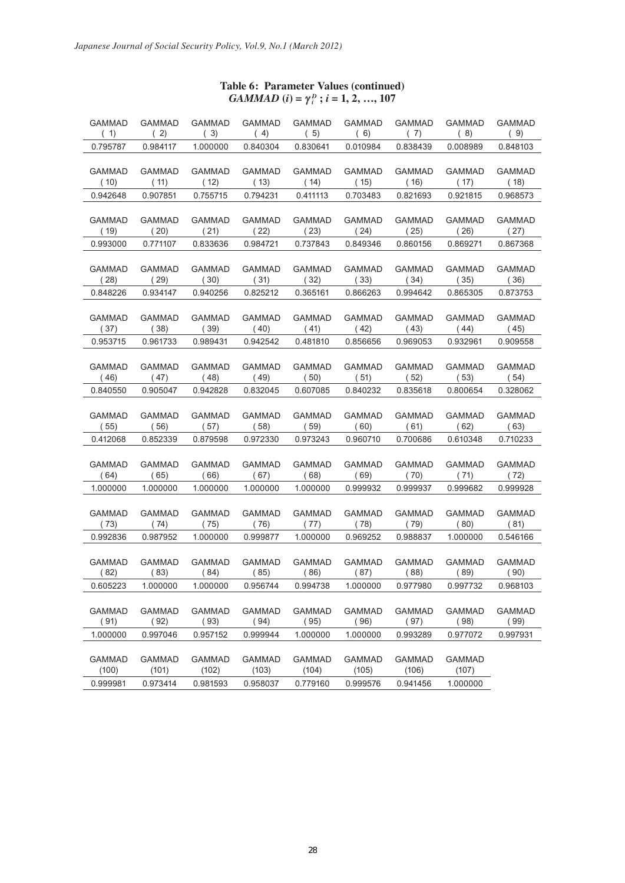# **Table 6: Parameter Values (continued)** *GAMMAD*  $(i) = \gamma_i^D$ ;  $i = 1, 2, ..., 107$

| <b>GAMMAD</b> | <b>GAMMAD</b> | <b>GAMMAD</b> | <b>GAMMAD</b> | <b>GAMMAD</b> | <b>GAMMAD</b> | <b>GAMMAD</b> | <b>GAMMAD</b> | <b>GAMMAD</b> |
|---------------|---------------|---------------|---------------|---------------|---------------|---------------|---------------|---------------|
| (1)           | (2)           | (3)           | (4)           | (5)           | (6)           | (7)           | (8)           | (9)           |
| 0.795787      | 0.984117      | 1.000000      | 0.840304      | 0.830641      | 0.010984      | 0.838439      | 0.008989      | 0.848103      |
| <b>GAMMAD</b> | <b>GAMMAD</b> | <b>GAMMAD</b> | <b>GAMMAD</b> | <b>GAMMAD</b> | <b>GAMMAD</b> | <b>GAMMAD</b> | <b>GAMMAD</b> | <b>GAMMAD</b> |
| (10)          | (11)          | (12)          | (13)          | (14)          | (15)          | (16)          | (17)          | (18)          |
| 0.942648      | 0.907851      | 0.755715      | 0.794231      | 0.411113      | 0.703483      | 0.821693      | 0.921815      | 0.968573      |
| <b>GAMMAD</b> | <b>GAMMAD</b> | <b>GAMMAD</b> | <b>GAMMAD</b> | <b>GAMMAD</b> | <b>GAMMAD</b> | <b>GAMMAD</b> | <b>GAMMAD</b> | <b>GAMMAD</b> |
| (19)          | (20)          | (21)          | (22)          | (23)          | (24)          | (25)          | (26)          | (27)          |
| 0.993000      | 0.771107      | 0.833636      | 0.984721      | 0.737843      | 0.849346      | 0.860156      | 0.869271      | 0.867368      |
| <b>GAMMAD</b> | <b>GAMMAD</b> | <b>GAMMAD</b> | <b>GAMMAD</b> | <b>GAMMAD</b> | <b>GAMMAD</b> | <b>GAMMAD</b> | <b>GAMMAD</b> | <b>GAMMAD</b> |
| (28)          | (29)          | (30)          | (31)          | (32)          | (33)          | (34)          | (35)          | (36)          |
| 0.848226      | 0.934147      | 0.940256      | 0.825212      | 0.365161      | 0.866263      | 0.994642      | 0.865305      | 0.873753      |
| <b>GAMMAD</b> | GAMMAD        | GAMMAD        | GAMMAD        | <b>GAMMAD</b> | <b>GAMMAD</b> | <b>GAMMAD</b> | <b>GAMMAD</b> | <b>GAMMAD</b> |
| (37)          | (38)          | (39)          | (40)          | (41)          | (42)          | (43)          | (44)          | (45)          |
| 0.953715      | 0.961733      | 0.989431      | 0.942542      | 0.481810      | 0.856656      | 0.969053      | 0.932961      | 0.909558      |
| <b>GAMMAD</b> | <b>GAMMAD</b> | <b>GAMMAD</b> | <b>GAMMAD</b> | <b>GAMMAD</b> | <b>GAMMAD</b> | <b>GAMMAD</b> | <b>GAMMAD</b> | <b>GAMMAD</b> |
| (46)          | (47)          | (48)          | (49)          | (50)          | (51)          | (52)          | (53)          | (54)          |
| 0.840550      | 0.905047      | 0.942828      | 0.832045      | 0.607085      | 0.840232      | 0.835618      | 0.800654      | 0.328062      |
| <b>GAMMAD</b> | GAMMAD        | <b>GAMMAD</b> | <b>GAMMAD</b> | <b>GAMMAD</b> | <b>GAMMAD</b> | <b>GAMMAD</b> | <b>GAMMAD</b> | <b>GAMMAD</b> |
| (55)          | (56)          | (57)          | (58)          | (59)          | (60)          | (61)          | (62)          | (63)          |
| 0.412068      | 0.852339      | 0.879598      | 0.972330      | 0.973243      | 0.960710      | 0.700686      | 0.610348      | 0.710233      |
| <b>GAMMAD</b> | <b>GAMMAD</b> | <b>GAMMAD</b> | GAMMAD        | <b>GAMMAD</b> | <b>GAMMAD</b> | <b>GAMMAD</b> | <b>GAMMAD</b> | <b>GAMMAD</b> |
| (64)          | (65)          | (66)          | (67)          | (68)          | (69)          | (70)          | (71)          | (72)          |
| 1.000000      | 1.000000      | 1.000000      | 1.000000      | 1.000000      | 0.999932      | 0.999937      | 0.999682      | 0.999928      |
| <b>GAMMAD</b> | GAMMAD        | GAMMAD        | GAMMAD        | GAMMAD        | <b>GAMMAD</b> | <b>GAMMAD</b> | <b>GAMMAD</b> | <b>GAMMAD</b> |
| (73)          | (74)          | (75)          | (76)          | (77)          | (78)          | (79)          | (80)          | (81)          |
| 0.992836      | 0.987952      | 1.000000      | 0.999877      | 1.000000      | 0.969252      | 0.988837      | 1.000000      | 0.546166      |
| <b>GAMMAD</b> | <b>GAMMAD</b> | <b>GAMMAD</b> | <b>GAMMAD</b> | <b>GAMMAD</b> | <b>GAMMAD</b> | <b>GAMMAD</b> | <b>GAMMAD</b> | <b>GAMMAD</b> |
| (82)          | (83)          | (84)          | (85)          | (86)          | (87)          | (88)          | (89)          | (90)          |
| 0.605223      | 1.000000      | 1.000000      | 0.956744      | 0.994738      | 1.000000      | 0.977980      | 0.997732      | 0.968103      |
| <b>GAMMAD</b> | <b>GAMMAD</b> | <b>GAMMAD</b> | <b>GAMMAD</b> | <b>GAMMAD</b> | <b>GAMMAD</b> | <b>GAMMAD</b> | <b>GAMMAD</b> | <b>GAMMAD</b> |
| (91)          | (92)          | (93)          | (94)          | (95)          | (96)          | (97)          | (98)          | (99)          |
| 1.000000      | 0.997046      | 0.957152      | 0.999944      | 1.000000      | 1.000000      | 0.993289      | 0.977072      | 0.997931      |
| <b>GAMMAD</b> | <b>GAMMAD</b> | GAMMAD        | <b>GAMMAD</b> | GAMMAD        | GAMMAD        | <b>GAMMAD</b> | GAMMAD        |               |
| (100)         | (101)         | (102)         | (103)         | (104)         | (105)         | (106)         | (107)         |               |
| 0.999981      | 0.973414      | 0.981593      | 0.958037      | 0.779160      | 0.999576      | 0.941456      | 1.000000      |               |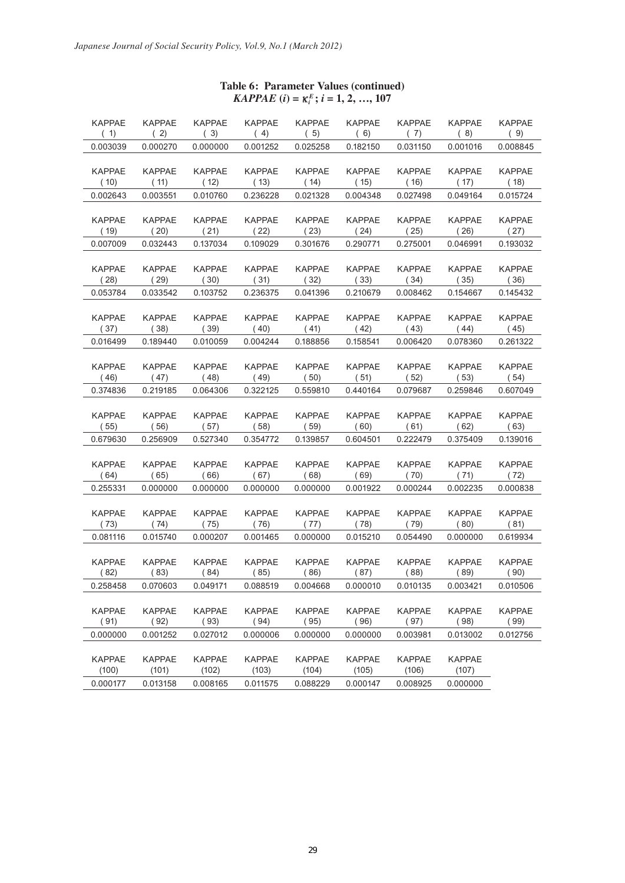| <b>KAPPAE</b><br>(1) | <b>KAPPAE</b><br>(2) | <b>KAPPAE</b><br>(3) | <b>KAPPAE</b><br>(4) | <b>KAPPAE</b><br>(5) | <b>KAPPAE</b><br>(6) | <b>KAPPAE</b><br>(7) | <b>KAPPAE</b><br>(8) | <b>KAPPAE</b><br>(9) |
|----------------------|----------------------|----------------------|----------------------|----------------------|----------------------|----------------------|----------------------|----------------------|
| 0.003039             | 0.000270             | 0.000000             | 0.001252             | 0.025258             | 0.182150             | 0.031150             | 0.001016             | 0.008845             |
|                      |                      |                      |                      |                      |                      |                      |                      |                      |
| <b>KAPPAE</b>        | <b>KAPPAE</b>        | <b>KAPPAE</b>        | <b>KAPPAE</b>        | <b>KAPPAE</b>        | <b>KAPPAE</b>        | <b>KAPPAE</b>        | <b>KAPPAE</b>        | <b>KAPPAE</b>        |
| (10)                 | (11)                 | (12)                 | (13)                 | (14)                 | (15)                 | (16)                 | (17)                 | (18)                 |
| 0.002643             | 0.003551             | 0.010760             | 0.236228             | 0.021328             | 0.004348             | 0.027498             | 0.049164             | 0.015724             |
|                      |                      |                      |                      |                      |                      |                      |                      |                      |
| <b>KAPPAE</b>        | <b>KAPPAE</b>        | <b>KAPPAE</b>        | <b>KAPPAE</b>        | <b>KAPPAE</b>        | <b>KAPPAE</b>        | <b>KAPPAE</b>        | <b>KAPPAE</b>        | <b>KAPPAE</b>        |
| (19)                 | (20)                 | (21)                 | (22)                 | (23)                 | (24)                 | (25)                 | (26)                 | (27)                 |
| 0.007009             | 0.032443             | 0.137034             | 0.109029             | 0.301676             | 0.290771             | 0.275001             | 0.046991             | 0.193032             |
|                      |                      |                      |                      |                      |                      |                      |                      |                      |
| <b>KAPPAE</b>        | <b>KAPPAE</b>        | <b>KAPPAE</b>        | <b>KAPPAE</b>        | <b>KAPPAE</b>        | <b>KAPPAE</b>        | <b>KAPPAE</b>        | <b>KAPPAE</b>        | <b>KAPPAE</b>        |
| (28)                 | (29)                 | (30)                 | (31)                 | (32)                 | (33)                 | (34)                 | (35)                 | (36)                 |
| 0.053784             | 0.033542             | 0.103752             | 0.236375             | 0.041396             | 0.210679             | 0.008462             | 0.154667             | 0.145432             |
|                      |                      |                      |                      |                      |                      |                      |                      |                      |
| <b>KAPPAE</b>        | <b>KAPPAE</b>        | <b>KAPPAE</b>        | <b>KAPPAE</b>        | <b>KAPPAE</b>        | <b>KAPPAE</b>        | <b>KAPPAE</b>        | <b>KAPPAE</b>        | <b>KAPPAE</b>        |
| (37)                 | (38)                 | (39)                 | (40)                 | (41)                 | (42)                 | (43)                 | (44)                 | (45)                 |
| 0.016499             | 0.189440             | 0.010059             | 0.004244             | 0.188856             | 0.158541             | 0.006420             | 0.078360             | 0.261322             |
|                      |                      |                      |                      |                      |                      |                      |                      |                      |
| <b>KAPPAE</b>        | <b>KAPPAE</b>        | <b>KAPPAE</b>        | <b>KAPPAE</b>        | <b>KAPPAE</b>        | <b>KAPPAE</b>        | <b>KAPPAE</b>        | <b>KAPPAE</b>        | <b>KAPPAE</b>        |
| (46)                 | (47)                 | (48)                 | (49)                 | (50)<br>0.559810     | (51)                 | (52)                 | (53)                 | (54)                 |
| 0.374836             | 0.219185             | 0.064306             | 0.322125             |                      | 0.440164             | 0.079687             | 0.259846             | 0.607049             |
| <b>KAPPAE</b>        | <b>KAPPAE</b>        | <b>KAPPAE</b>        | <b>KAPPAE</b>        | <b>KAPPAE</b>        | <b>KAPPAE</b>        | <b>KAPPAE</b>        | <b>KAPPAE</b>        | <b>KAPPAE</b>        |
| (55)                 | (56)                 | (57)                 | (58)                 | (59)                 | (60)                 | (61)                 | (62)                 | (63)                 |
| 0.679630             | 0.256909             | 0.527340             | 0.354772             | 0.139857             | 0.604501             | 0.222479             | 0.375409             | 0.139016             |
|                      |                      |                      |                      |                      |                      |                      |                      |                      |
| <b>KAPPAE</b>        | <b>KAPPAE</b>        | <b>KAPPAE</b>        | <b>KAPPAE</b>        | <b>KAPPAE</b>        | <b>KAPPAE</b>        | <b>KAPPAE</b>        | <b>KAPPAE</b>        | <b>KAPPAE</b>        |
| (64)                 | (65)                 | (66)                 | (67)                 | (68)                 | (69)                 | (70)                 | (71)                 | (72)                 |
| 0.255331             | 0.000000             | 0.000000             | 0.000000             | 0.000000             | 0.001922             | 0.000244             | 0.002235             | 0.000838             |
|                      |                      |                      |                      |                      |                      |                      |                      |                      |
| <b>KAPPAE</b>        | <b>KAPPAE</b>        | <b>KAPPAE</b>        | <b>KAPPAE</b>        | <b>KAPPAE</b>        | <b>KAPPAE</b>        | <b>KAPPAE</b>        | <b>KAPPAE</b>        | <b>KAPPAE</b>        |
| (73)                 | (74)                 | (75)                 | (76)                 | (77)                 | (78)                 | (79)                 | (80)                 | (81)                 |
| 0.081116             | 0.015740             | 0.000207             | 0.001465             | 0.000000             | 0.015210             | 0.054490             | 0.000000             | 0.619934             |
|                      |                      |                      |                      |                      |                      |                      |                      |                      |
| <b>KAPPAE</b>        | <b>KAPPAE</b>        | <b>KAPPAE</b>        | <b>KAPPAE</b>        | <b>KAPPAE</b>        | <b>KAPPAE</b>        | <b>KAPPAE</b>        | <b>KAPPAE</b>        | <b>KAPPAE</b>        |
| (82)                 | (83)                 | (84)                 | (85)                 | (86)                 | (87)                 | (88)                 | (89)                 | (90)                 |
| 0.258458             | 0.070603             | 0.049171             | 0.088519             | 0.004668             | 0.000010             | 0.010135             | 0.003421             | 0.010506             |
|                      |                      |                      |                      |                      |                      |                      |                      |                      |
| <b>KAPPAE</b>        | <b>KAPPAE</b>        | <b>KAPPAE</b>        | <b>KAPPAE</b>        | <b>KAPPAE</b>        | <b>KAPPAE</b>        | <b>KAPPAE</b>        | <b>KAPPAE</b>        | <b>KAPPAE</b>        |
| (91)                 | (92)                 | (93)                 | (94)                 | (95)                 | (96)                 | (97)                 | (98)                 | (99)                 |
| 0.000000             | 0.001252             | 0.027012             | 0.000006             | 0.000000             | 0.000000             | 0.003981             | 0.013002             | 0.012756             |
|                      |                      |                      |                      |                      |                      |                      |                      |                      |
| <b>KAPPAE</b>        | <b>KAPPAE</b>        | <b>KAPPAE</b>        | <b>KAPPAE</b>        | <b>KAPPAE</b>        | <b>KAPPAE</b>        | <b>KAPPAE</b>        | <b>KAPPAE</b>        |                      |
| (100)                | (101)                | (102)                | (103)                | (104)                | (105)                | (106)                | (107)                |                      |
| 0.000177             | 0.013158             | 0.008165             | 0.011575             | 0.088229             | 0.000147             | 0.008925             | 0.000000             |                      |

# **Table 6: Parameter Values (continued)**  $KAPPAE$  (*i*) =  $\kappa_i^E$ ; *i* = 1, 2, …, 107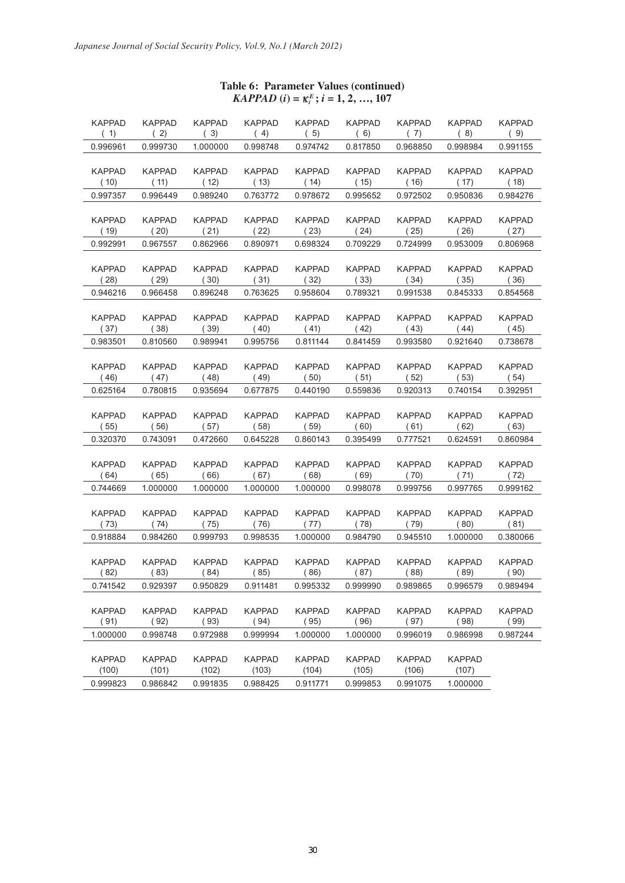| <b>KAPPAD</b>         | KAPPAD                | <b>KAPPAD</b>         | <b>KAPPAD</b>         | <b>KAPPAD</b>         | <b>KAPPAD</b>         | <b>KAPPAD</b>         | <b>KAPPAD</b>         | <b>KAPPAD</b>         |
|-----------------------|-----------------------|-----------------------|-----------------------|-----------------------|-----------------------|-----------------------|-----------------------|-----------------------|
| (1)                   | (2)                   | (3)                   | (4)                   | (5)                   | (6)                   | (7)                   | (8)                   | (9)                   |
| 0.996961              | 0.999730              | 1.000000              | 0.998748              | 0.974742              | 0.817850              | 0.968850              | 0.998984              | 0.991155              |
|                       |                       |                       |                       |                       |                       |                       |                       |                       |
| <b>KAPPAD</b>         | <b>KAPPAD</b>         | <b>KAPPAD</b>         | <b>KAPPAD</b>         | <b>KAPPAD</b>         | <b>KAPPAD</b>         | <b>KAPPAD</b>         | <b>KAPPAD</b>         | <b>KAPPAD</b>         |
| (10)                  | (11)                  | (12)                  | (13)                  | (14)                  | (15)                  | (16)                  | (17)                  | (18)                  |
| 0.997357              | 0.996449              | 0.989240              | 0.763772              | 0.978672              | 0.995652              | 0.972502              | 0.950836              | 0.984276              |
|                       |                       |                       |                       |                       |                       |                       |                       |                       |
| <b>KAPPAD</b>         | <b>KAPPAD</b>         | <b>KAPPAD</b>         | <b>KAPPAD</b>         | <b>KAPPAD</b>         | <b>KAPPAD</b>         | <b>KAPPAD</b>         | <b>KAPPAD</b>         | <b>KAPPAD</b>         |
| (19)                  | (20)                  | (21)                  | (22)                  | (23)                  | (24)                  | (25)                  | (26)                  | (27)                  |
| 0.992991              | 0.967557              | 0.862966              | 0.890971              | 0.698324              | 0.709229              | 0.724999              | 0.953009              | 0.806968              |
|                       |                       |                       |                       |                       |                       |                       |                       |                       |
| <b>KAPPAD</b>         | <b>KAPPAD</b>         | <b>KAPPAD</b>         | <b>KAPPAD</b>         | <b>KAPPAD</b>         | <b>KAPPAD</b>         | <b>KAPPAD</b>         | <b>KAPPAD</b>         | <b>KAPPAD</b>         |
| (28)                  | (29)                  | (30)                  | (31)                  | (32)                  | (33)                  | (34)                  | (35)                  | (36)                  |
| 0.946216              | 0.966458              | 0.896248              | 0.763625              | 0.958604              | 0.789321              | 0.991538              | 0.845333              | 0.854568              |
|                       |                       |                       |                       |                       |                       |                       |                       |                       |
| <b>KAPPAD</b><br>(37) | <b>KAPPAD</b><br>(38) | <b>KAPPAD</b><br>(39) | <b>KAPPAD</b><br>(40) | <b>KAPPAD</b><br>(41) | <b>KAPPAD</b><br>(42) | <b>KAPPAD</b><br>(43) | <b>KAPPAD</b><br>(44) | <b>KAPPAD</b><br>(45) |
| 0.983501              | 0.810560              | 0.989941              | 0.995756              | 0.811144              | 0.841459              | 0.993580              | 0.921640              | 0.738678              |
|                       |                       |                       |                       |                       |                       |                       |                       |                       |
| <b>KAPPAD</b>         | <b>KAPPAD</b>         | <b>KAPPAD</b>         | <b>KAPPAD</b>         | <b>KAPPAD</b>         | <b>KAPPAD</b>         | <b>KAPPAD</b>         | <b>KAPPAD</b>         | <b>KAPPAD</b>         |
| (46)                  | (47)                  | (48)                  | (49)                  | (50)                  | (51)                  | (52)                  | (53)                  | (54)                  |
| 0.625164              | 0.780815              | 0.935694              | 0.677875              | 0.440190              | 0.559836              | 0.920313              | 0.740154              | 0.392951              |
|                       |                       |                       |                       |                       |                       |                       |                       |                       |
| <b>KAPPAD</b>         | <b>KAPPAD</b>         | <b>KAPPAD</b>         | <b>KAPPAD</b>         | <b>KAPPAD</b>         | <b>KAPPAD</b>         | <b>KAPPAD</b>         | <b>KAPPAD</b>         | <b>KAPPAD</b>         |
| (55)                  | (56)                  | (57)                  | (58)                  | (59)                  | (60)                  | (61)                  | (62)                  | (63)                  |
| 0.320370              | 0.743091              | 0.472660              | 0.645228              | 0.860143              | 0.395499              | 0.777521              | 0.624591              | 0.860984              |
|                       |                       |                       |                       |                       |                       |                       |                       |                       |
| <b>KAPPAD</b>         | <b>KAPPAD</b>         | <b>KAPPAD</b>         | <b>KAPPAD</b>         | <b>KAPPAD</b>         | <b>KAPPAD</b>         | <b>KAPPAD</b>         | <b>KAPPAD</b>         | <b>KAPPAD</b>         |
| (64)                  | (65)                  | (66)                  | (67)                  | (68)                  | (69)                  | (70)                  | (71)                  | (72)                  |
| 0.744669              | 1.000000              | 1.000000              | 1.000000              | 1.000000              | 0.998078              | 0.999756              | 0.997765              | 0.999162              |
|                       |                       |                       |                       |                       |                       |                       |                       |                       |
| <b>KAPPAD</b>         | <b>KAPPAD</b>         | <b>KAPPAD</b>         | <b>KAPPAD</b>         | <b>KAPPAD</b>         | <b>KAPPAD</b>         | <b>KAPPAD</b>         | <b>KAPPAD</b>         | <b>KAPPAD</b>         |
| (73)                  | (74)                  | (75)                  | (76)                  | (77)                  | (78)                  | (79)                  | (80)                  | (81)                  |
| 0.918884              | 0.984260              | 0.999793              | 0.998535              | 1.000000              | 0.984790              | 0.945510              | 1.000000              | 0.380066              |
|                       |                       |                       |                       |                       |                       |                       |                       |                       |
| <b>KAPPAD</b>         | <b>KAPPAD</b>         | <b>KAPPAD</b>         | <b>KAPPAD</b>         | <b>KAPPAD</b>         | <b>KAPPAD</b>         | <b>KAPPAD</b>         | <b>KAPPAD</b>         | <b>KAPPAD</b>         |
| (82)                  | (83)                  | (84)                  | (85)                  | (86)                  | (87)                  | (88)                  | (89)                  | (90)                  |
| 0.741542              | 0.929397              | 0.950829              | 0.911481              | 0.995332              | 0.999990              | 0.989865              | 0.996579              | 0.989494              |
|                       |                       |                       |                       |                       |                       |                       |                       |                       |
| <b>KAPPAD</b>         | KAPPAD                | <b>KAPPAD</b>         | <b>KAPPAD</b>         | <b>KAPPAD</b>         | <b>KAPPAD</b>         | <b>KAPPAD</b>         | <b>KAPPAD</b>         | <b>KAPPAD</b>         |
| (91)                  | (92)                  | (93)                  | (94)                  | (95)                  | (96)                  | (97)                  | (98)                  | (99)                  |
| 1.000000              | 0.998748              | 0.972988              | 0.999994              | 1.000000              | 1.000000              | 0.996019              | 0.986998              | 0.987244              |
|                       |                       |                       |                       |                       |                       |                       |                       |                       |
| <b>KAPPAD</b>         | <b>KAPPAD</b>         | <b>KAPPAD</b>         | <b>KAPPAD</b>         | <b>KAPPAD</b>         | <b>KAPPAD</b>         | <b>KAPPAD</b>         | <b>KAPPAD</b>         |                       |
| (100)                 | (101)                 | (102)                 | (103)                 | (104)                 | (105)                 | (106)                 | (107)                 |                       |
| 0.999823              | 0.986842              | 0.991835              | 0.988425              | 0.911771              | 0.999853              | 0.991075              | 1.000000              |                       |

# **Table 6: Parameter Values (continued)**  $KAPPAD$   $(i) = \kappa_i^E$ ;  $i = 1, 2, ..., 107$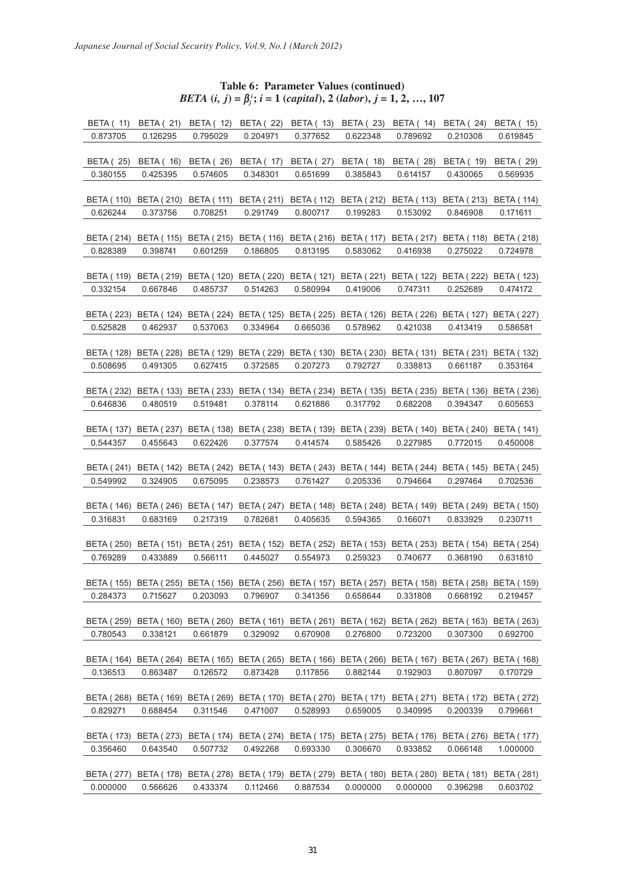# **Table 6: Parameter Values (continued)** *BETA*  $(i, j) = \beta_j^i$ ;  $i = 1$  (*capital*), 2 (*labor*),  $j = 1, 2, ..., 107$

| <b>BETA (11)</b>  | <b>BETA</b> (21)  | <b>BETA</b> (12)                                                                                            | <b>BETA</b> (22)  | <b>BETA</b> (13)      | <b>BETA (23)</b>                            | <b>BETA</b> (14)      | <b>BETA</b> (24)                            | <b>BETA (15)</b>  |
|-------------------|-------------------|-------------------------------------------------------------------------------------------------------------|-------------------|-----------------------|---------------------------------------------|-----------------------|---------------------------------------------|-------------------|
| 0.873705          | 0.126295          | 0.795029                                                                                                    | 0.204971          | 0.377652              | 0.622348                                    | 0.789692              | 0.210308                                    | 0.619845          |
|                   |                   |                                                                                                             |                   |                       |                                             |                       |                                             |                   |
| <b>BETA (25)</b>  | <b>BETA</b> (16)  | BETA (26)                                                                                                   | BETA (17)         | BETA (27)             | <b>BETA</b> (18)                            | <b>BETA (28)</b>      | <b>BETA (19)</b>                            | <b>BETA (29)</b>  |
| 0.380155          | 0.425395          | 0.574605                                                                                                    | 0.348301          | 0.651699              | 0.385843                                    | 0.614157              | 0.430065                                    | 0.569935          |
|                   |                   |                                                                                                             |                   |                       |                                             |                       |                                             |                   |
|                   |                   |                                                                                                             |                   |                       |                                             |                       |                                             |                   |
|                   |                   | BETA (110) BETA (210) BETA (111)                                                                            | BETA ( 211)       | BETA (112)            |                                             | BETA (212) BETA (113) | BETA (213)                                  | <b>BETA</b> (114) |
| 0.626244          | 0.373756          | 0.708251                                                                                                    | 0.291749          | 0.800717              | 0.199283                                    | 0.153092              | 0.846908                                    | 0.171611          |
|                   |                   |                                                                                                             |                   |                       |                                             |                       |                                             |                   |
| BETA (214)        |                   | BETA (115) BETA (215)                                                                                       |                   | BETA (116) BETA (216) | <b>BETA</b> (117)                           | <b>BETA (217)</b>     | BETA (118) BETA (218)                       |                   |
| 0.828389          | 0.398741          | 0.601259                                                                                                    | 0.186805          | 0.813195              | 0.583062                                    | 0.416938              | 0.275022                                    | 0.724978          |
|                   |                   |                                                                                                             |                   |                       |                                             |                       |                                             |                   |
| BETA ( 119)       |                   | BETA (219) BETA (120) BETA (220) BETA (121)                                                                 |                   |                       |                                             |                       | BETA (221) BETA (122) BETA (222) BETA (123) |                   |
| 0.332154          | 0.667846          | 0.485737                                                                                                    | 0.514263          | 0.580994              | 0.419006                                    | 0.747311              | 0.252689                                    | 0.474172          |
|                   |                   |                                                                                                             |                   |                       |                                             |                       |                                             |                   |
|                   |                   |                                                                                                             |                   |                       |                                             |                       |                                             |                   |
| BETA ( 223)       |                   | BETA (124) BETA (224) BETA (125) BETA (225)                                                                 |                   |                       |                                             |                       | BETA (126) BETA (226) BETA (127)            | <b>BETA (227)</b> |
| 0.525828          | 0.462937          | 0.537063                                                                                                    | 0.334964          | 0.665036              | 0.578962                                    | 0.421038              | 0.413419                                    | 0.586581          |
|                   |                   |                                                                                                             |                   |                       |                                             |                       |                                             |                   |
| BETA ( 128)       |                   | BETA (228) BETA (129) BETA (229) BETA (130) BETA (230) BETA (131)                                           |                   |                       |                                             |                       | BETA ( 231)                                 | <b>BETA (132)</b> |
| 0.508695          | 0.491305          | 0.627415                                                                                                    | 0.372585          | 0.207273              | 0.792727                                    | 0.338813              | 0.661187                                    | 0.353164          |
|                   |                   |                                                                                                             |                   |                       |                                             |                       |                                             |                   |
| BETA (232)        |                   | BETA (133) BETA (233) BETA (134) BETA (234) BETA (135) BETA (235) BETA (136)                                |                   |                       |                                             |                       |                                             | <b>BETA (236)</b> |
| 0.646836          | 0.480519          | 0.519481                                                                                                    | 0.378114          | 0.621886              | 0.317792                                    | 0.682208              | 0.394347                                    | 0.605653          |
|                   |                   |                                                                                                             |                   |                       |                                             |                       |                                             |                   |
| BETA (137)        |                   | BETA (237) BETA (138) BETA (238) BETA (139) BETA (239) BETA (140) BETA (240)                                |                   |                       |                                             |                       |                                             | <b>BETA (141)</b> |
|                   |                   |                                                                                                             |                   |                       |                                             |                       |                                             |                   |
| 0.544357          | 0.455643          | 0.622426                                                                                                    | 0.377574          | 0.414574              | 0.585426                                    | 0.227985              | 0.772015                                    | 0.450008          |
|                   |                   |                                                                                                             |                   |                       |                                             |                       |                                             |                   |
| <b>BETA (241)</b> |                   | BETA (142) BETA (242) BETA (143) BETA (243) BETA (144) BETA (244) BETA (145)                                |                   |                       |                                             |                       |                                             | <b>BETA (245)</b> |
| 0.549992          | 0.324905          | 0.675095                                                                                                    | 0.238573          | 0.761427              | 0.205336                                    | 0.794664              | 0.297464                                    | 0.702536          |
|                   |                   |                                                                                                             |                   |                       |                                             |                       |                                             |                   |
| <b>BETA (146)</b> |                   | BETA (246) BETA (147)                                                                                       | <b>BETA (247)</b> | <b>BETA (148)</b>     |                                             | BETA (248) BETA (149) | BETA ( 249)                                 | <b>BETA (150)</b> |
| 0.316831          | 0.683169          | 0.217319                                                                                                    | 0.782681          | 0.405635              | 0.594365                                    | 0.166071              | 0.833929                                    | 0.230711          |
|                   |                   |                                                                                                             |                   |                       |                                             |                       |                                             |                   |
| BETA ( 250)       | BETA (151)        | BETA ( 251)                                                                                                 | BETA ( 152)       |                       | BETA (252) BETA (153) BETA (253) BETA (154) |                       |                                             | <b>BETA</b> (254) |
| 0.769289          | 0.433889          | 0.566111                                                                                                    | 0.445027          | 0.554973              | 0.259323                                    | 0.740677              | 0.368190                                    | 0.631810          |
|                   |                   |                                                                                                             |                   |                       |                                             |                       |                                             |                   |
|                   |                   |                                                                                                             |                   |                       |                                             |                       |                                             |                   |
|                   |                   | BETA ( 155) BETA ( 255) BETA ( 156) BETA ( 256) BETA ( 157) BETA ( 257) BETA ( 158) BETA ( 258) BETA ( 159) |                   |                       |                                             |                       |                                             |                   |
| 0.284373          | 0.715627          | 0.203093                                                                                                    | 0.796907          | 0.341356              | 0.658644                                    | 0.331808              | 0.668192                                    | 0.219457          |
|                   |                   |                                                                                                             |                   |                       |                                             |                       |                                             |                   |
| BETA (259)        |                   | BETA (160) BETA (260) BETA (161) BETA (261) BETA (162) BETA (262) BETA (163)                                |                   |                       |                                             |                       |                                             | <b>BETA (263)</b> |
| 0.780543          | 0.338121          | 0.661879                                                                                                    | 0.329092          | 0.670908              | 0.276800                                    | 0.723200              | 0.307300                                    | 0.692700          |
|                   |                   |                                                                                                             |                   |                       |                                             |                       |                                             |                   |
| BETA ( 164)       | BETA ( 264)       | BETA (165)                                                                                                  |                   |                       | BETA (265) BETA (166) BETA (266) BETA (167) |                       | <b>BETA (267)</b>                           | <b>BETA</b> (168) |
| 0.136513          | 0.863487          | 0.126572                                                                                                    | 0.873428          | 0.117856              | 0.882144                                    | 0.192903              | 0.807097                                    | 0.170729          |
|                   |                   |                                                                                                             |                   |                       |                                             |                       |                                             |                   |
| <b>BETA (268)</b> | <b>BETA (169)</b> | <b>BETA (269)</b>                                                                                           |                   | BETA (170) BETA (270) |                                             | BETA (171) BETA (271) | <b>BETA (172)</b>                           | <b>BETA (272)</b> |
|                   |                   |                                                                                                             |                   |                       |                                             |                       |                                             |                   |
| 0.829271          | 0.688454          | 0.311546                                                                                                    | 0.471007          | 0.528993              | 0.659005                                    | 0.340995              | 0.200339                                    | 0.799661          |
|                   |                   |                                                                                                             |                   |                       |                                             |                       |                                             |                   |
| <b>BETA (173)</b> | <b>BETA (273)</b> | <b>BETA (174)</b>                                                                                           | <b>BETA (274)</b> | <b>BETA (175)</b>     | <b>BETA (275)</b>                           | <b>BETA (176)</b>     | <b>BETA (276)</b>                           | <b>BETA (177)</b> |
| 0.356460          | 0.643540          | 0.507732                                                                                                    | 0.492268          | 0.693330              | 0.306670                                    | 0.933852              | 0.066148                                    | 1.000000          |
|                   |                   |                                                                                                             |                   |                       |                                             |                       |                                             |                   |
| <b>BETA (277)</b> | <b>BETA (178)</b> | <b>BETA (278)</b>                                                                                           |                   | BETA (179) BETA (279) | BETA (180) BETA (280)                       |                       | <b>BETA (181)</b>                           | <b>BETA (281)</b> |
| 0.000000          | 0.566626          | 0.433374                                                                                                    | 0.112466          | 0.887534              | 0.000000                                    | 0.000000              | 0.396298                                    | 0.603702          |
|                   |                   |                                                                                                             |                   |                       |                                             |                       |                                             |                   |